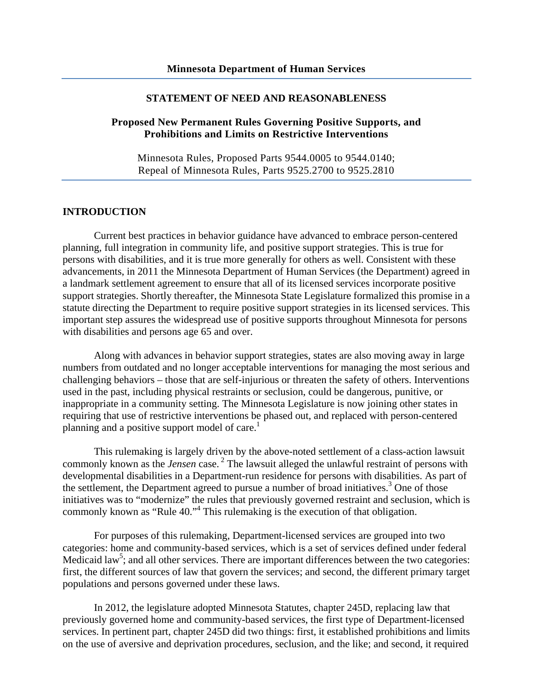#### **STATEMENT OF NEED AND REASONABLENESS**

## **Proposed New Permanent Rules Governing Positive Supports, and Prohibitions and Limits on Restrictive Interventions**

Minnesota Rules, Proposed Parts 9544.0005 to 9544.0140; Repeal of Minnesota Rules, Parts 9525.2700 to 9525.2810

#### **INTRODUCTION**

Current best practices in behavior guidance have advanced to embrace person-centered planning, full integration in community life, and positive support strategies. This is true for persons with disabilities, and it is true more generally for others as well. Consistent with these advancements, in 2011 the Minnesota Department of Human Services (the Department) agreed in a landmark settlement agreement to ensure that all of its licensed services incorporate positive support strategies. Shortly thereafter, the Minnesota State Legislature formalized this promise in a statute directing the Department to require positive support strategies in its licensed services. This important step assures the widespread use of positive supports throughout Minnesota for persons with disabilities and persons age 65 and over.

Along with advances in behavior support strategies, states are also moving away in large numbers from outdated and no longer acceptable interventions for managing the most serious and challenging behaviors – those that are self-injurious or threaten the safety of others. Interventions used in the past, including physical restraints or seclusion, could be dangerous, punitive, or inappropriate in a community setting. The Minnesota Legislature is now joining other states in requiring that use of restrictive interventions be phased out, and replaced with person-centered planning and a positive support model of care.<sup>1</sup>

This rulemaking is largely driven by the above-noted settlement of a class-action lawsuit commonly known as the *Jensen* case.<sup>2</sup> The lawsuit alleged the unlawful restraint of persons with developmental disabilities in a Department-run residence for persons with disabilities. As part of the settlement, the Department agreed to pursue a number of broad initiatives.<sup>3</sup> One of those initiatives was to "modernize" the rules that previously governed restraint and seclusion, which is commonly known as "Rule 40."<sup>4</sup> This rulemaking is the execution of that obligation.

For purposes of this rulemaking, Department-licensed services are grouped into two categories: home and community-based services, which is a set of services defined under federal Medicaid law<sup>5</sup>; and all other services. There are important differences between the two categories: first, the different sources of law that govern the services; and second, the different primary target populations and persons governed under these laws.

In 2012, the legislature adopted Minnesota Statutes, chapter 245D, replacing law that previously governed home and community-based services, the first type of Department-licensed services. In pertinent part, chapter 245D did two things: first, it established prohibitions and limits on the use of aversive and deprivation procedures, seclusion, and the like; and second, it required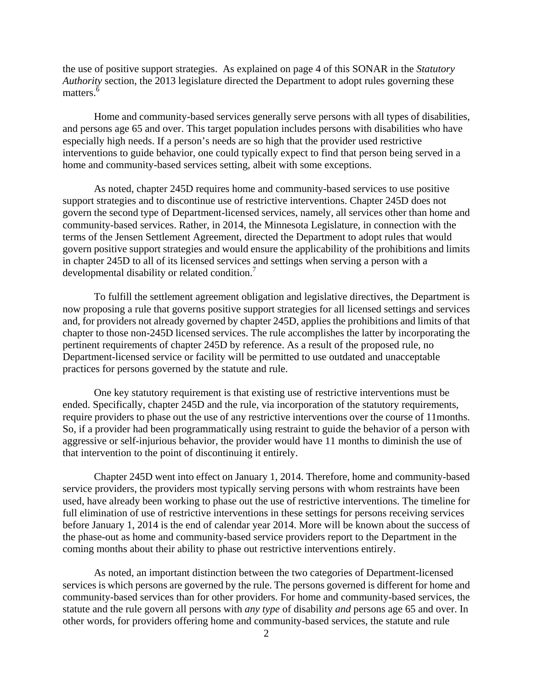the use of positive support strategies. As explained on page 4 of this SONAR in the *Statutory Authority* section, the 2013 legislature directed the Department to adopt rules governing these matters.<sup>6</sup>

Home and community-based services generally serve persons with all types of disabilities, and persons age 65 and over. This target population includes persons with disabilities who have especially high needs. If a person's needs are so high that the provider used restrictive interventions to guide behavior, one could typically expect to find that person being served in a home and community-based services setting, albeit with some exceptions.

developmental disability or related condition.<sup>7</sup> As noted, chapter 245D requires home and community-based services to use positive support strategies and to discontinue use of restrictive interventions. Chapter 245D does not govern the second type of Department-licensed services, namely, all services other than home and community-based services. Rather, in 2014, the Minnesota Legislature, in connection with the terms of the Jensen Settlement Agreement, directed the Department to adopt rules that would govern positive support strategies and would ensure the applicability of the prohibitions and limits in chapter 245D to all of its licensed services and settings when serving a person with a

To fulfill the settlement agreement obligation and legislative directives, the Department is now proposing a rule that governs positive support strategies for all licensed settings and services and, for providers not already governed by chapter 245D, applies the prohibitions and limits of that chapter to those non-245D licensed services. The rule accomplishes the latter by incorporating the pertinent requirements of chapter 245D by reference. As a result of the proposed rule, no Department-licensed service or facility will be permitted to use outdated and unacceptable practices for persons governed by the statute and rule.

One key statutory requirement is that existing use of restrictive interventions must be ended. Specifically, chapter 245D and the rule, via incorporation of the statutory requirements, require providers to phase out the use of any restrictive interventions over the course of 11months. So, if a provider had been programmatically using restraint to guide the behavior of a person with aggressive or self-injurious behavior, the provider would have 11 months to diminish the use of that intervention to the point of discontinuing it entirely.

Chapter 245D went into effect on January 1, 2014. Therefore, home and community-based service providers, the providers most typically serving persons with whom restraints have been used, have already been working to phase out the use of restrictive interventions. The timeline for full elimination of use of restrictive interventions in these settings for persons receiving services before January 1, 2014 is the end of calendar year 2014. More will be known about the success of the phase-out as home and community-based service providers report to the Department in the coming months about their ability to phase out restrictive interventions entirely.

As noted, an important distinction between the two categories of Department-licensed services is which persons are governed by the rule. The persons governed is different for home and community-based services than for other providers. For home and community-based services, the statute and the rule govern all persons with *any type* of disability *and* persons age 65 and over. In other words, for providers offering home and community-based services, the statute and rule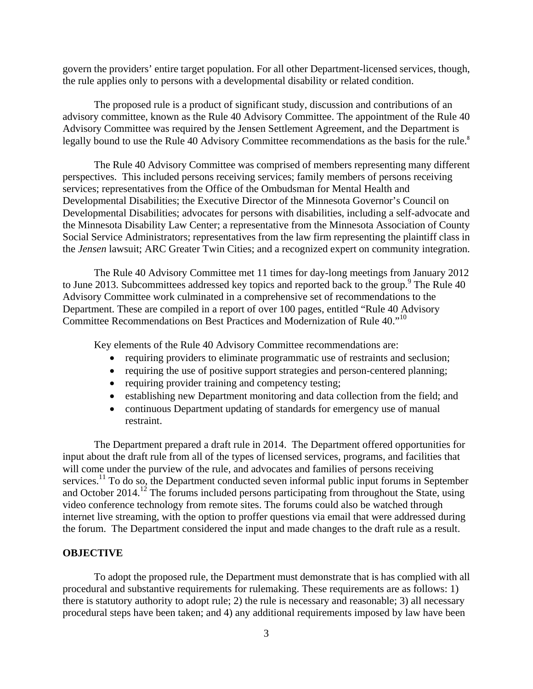govern the providers' entire target population. For all other Department-licensed services, though, the rule applies only to persons with a developmental disability or related condition.

The proposed rule is a product of significant study, discussion and contributions of an advisory committee, known as the Rule 40 Advisory Committee. The appointment of the Rule 40 Advisory Committee was required by the Jensen Settlement Agreement, and the Department is legally bound to use the Rule 40 Advisory Committee recommendations as the basis for the rule.<sup>8</sup>

The Rule 40 Advisory Committee was comprised of members representing many different perspectives. This included persons receiving services; family members of persons receiving services; representatives from the Office of the Ombudsman for Mental Health and Developmental Disabilities; the Executive Director of the Minnesota Governor's Council on Developmental Disabilities; advocates for persons with disabilities, including a self-advocate and the Minnesota Disability Law Center; a representative from the Minnesota Association of County Social Service Administrators; representatives from the law firm representing the plaintiff class in the *Jensen* lawsuit; ARC Greater Twin Cities; and a recognized expert on community integration.

The Rule 40 Advisory Committee met 11 times for day-long meetings from January 2012 to June 2013. Subcommittees addressed key topics and reported back to the group.<sup>9</sup> The Rule 40 Advisory Committee work culminated in a comprehensive set of recommendations to the Department. These are compiled in a report of over 100 pages, entitled "Rule 40 Advisory Committee Recommendations on Best Practices and Modernization of Rule 40."10

Key elements of the Rule 40 Advisory Committee recommendations are:

- requiring providers to eliminate programmatic use of restraints and seclusion;
- requiring the use of positive support strategies and person-centered planning;
- requiring provider training and competency testing;
- establishing new Department monitoring and data collection from the field; and
- continuous Department updating of standards for emergency use of manual restraint.

The Department prepared a draft rule in 2014. The Department offered opportunities for input about the draft rule from all of the types of licensed services, programs, and facilities that will come under the purview of the rule, and advocates and families of persons receiving services.<sup>11</sup> To do so, the Department conducted seven informal public input forums in September and October  $2014.<sup>12</sup>$  The forums included persons participating from throughout the State, using video conference technology from remote sites. The forums could also be watched through internet live streaming, with the option to proffer questions via email that were addressed during the forum. The Department considered the input and made changes to the draft rule as a result.

#### **OBJECTIVE**

To adopt the proposed rule, the Department must demonstrate that is has complied with all procedural and substantive requirements for rulemaking. These requirements are as follows: 1) there is statutory authority to adopt rule; 2) the rule is necessary and reasonable; 3) all necessary procedural steps have been taken; and 4) any additional requirements imposed by law have been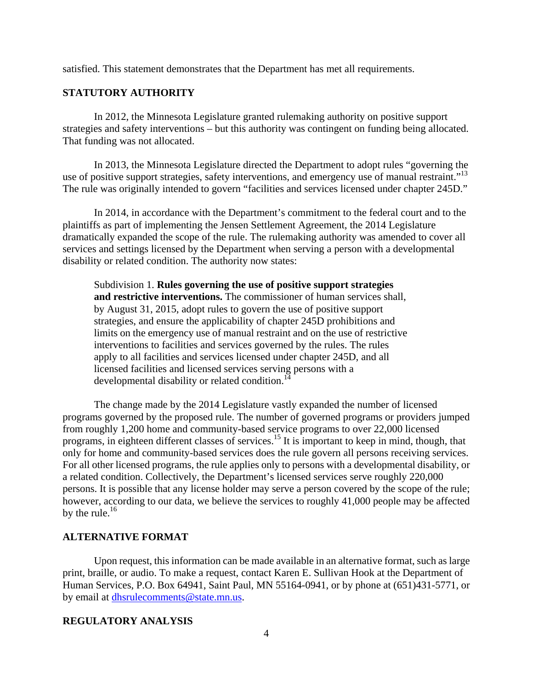satisfied. This statement demonstrates that the Department has met all requirements.

# **STATUTORY AUTHORITY**

In 2012, the Minnesota Legislature granted rulemaking authority on positive support strategies and safety interventions – but this authority was contingent on funding being allocated. That funding was not allocated.

use of positive support strategies, safety interventions, and emergency use of manual restraint."<sup>13</sup> In 2013, the Minnesota Legislature directed the Department to adopt rules "governing the The rule was originally intended to govern "facilities and services licensed under chapter 245D."

In 2014, in accordance with the Department's commitment to the federal court and to the plaintiffs as part of implementing the Jensen Settlement Agreement, the 2014 Legislature dramatically expanded the scope of the rule. The rulemaking authority was amended to cover all services and settings licensed by the Department when serving a person with a developmental disability or related condition. The authority now states:

Subdivision 1. **Rules governing the use of positive support strategies and restrictive interventions.** The commissioner of human services shall, by August 31, 2015, adopt rules to govern the use of positive support strategies, and ensure the applicability of chapter 245D prohibitions and limits on the emergency use of manual restraint and on the use of restrictive interventions to facilities and services governed by the rules. The rules apply to all facilities and services licensed under chapter 245D, and all licensed facilities and licensed services serving persons with a developmental disability or related condition.<sup>14</sup>

The change made by the 2014 Legislature vastly expanded the number of licensed programs governed by the proposed rule. The number of governed programs or providers jumped from roughly 1,200 home and community-based service programs to over 22,000 licensed programs, in eighteen different classes of services.15 It is important to keep in mind, though, that only for home and community-based services does the rule govern all persons receiving services. For all other licensed programs, the rule applies only to persons with a developmental disability, or a related condition. Collectively, the Department's licensed services serve roughly 220,000 persons. It is possible that any license holder may serve a person covered by the scope of the rule; however, according to our data, we believe the services to roughly 41,000 people may be affected by the rule. $16$ 

## **ALTERNATIVE FORMAT**

Upon request, this information can be made available in an alternative format, such as large print, braille, or audio. To make a request, contact Karen E. Sullivan Hook at the Department of Human Services, P.O. Box 64941, Saint Paul, MN 55164-0941, or by phone at (651)431-5771, or by email at dhsrulecomments@state.mn.us.

#### **REGULATORY ANALYSIS**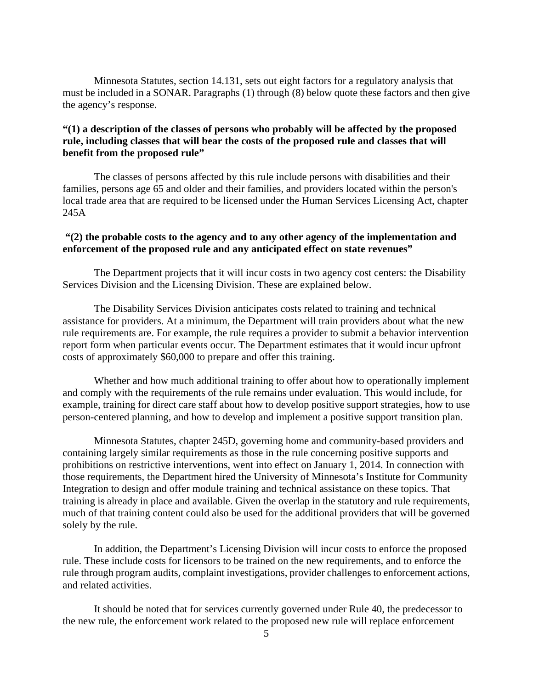Minnesota Statutes, section 14.131, sets out eight factors for a regulatory analysis that must be included in a SONAR. Paragraphs (1) through (8) below quote these factors and then give the agency's response.

# **"(1) a description of the classes of persons who probably will be affected by the proposed rule, including classes that will bear the costs of the proposed rule and classes that will benefit from the proposed rule"**

The classes of persons affected by this rule include persons with disabilities and their families, persons age 65 and older and their families, and providers located within the person's local trade area that are required to be licensed under the Human Services Licensing Act, chapter 245A

## **"(2) the probable costs to the agency and to any other agency of the implementation and enforcement of the proposed rule and any anticipated effect on state revenues"**

The Department projects that it will incur costs in two agency cost centers: the Disability Services Division and the Licensing Division. These are explained below.

The Disability Services Division anticipates costs related to training and technical assistance for providers. At a minimum, the Department will train providers about what the new rule requirements are. For example, the rule requires a provider to submit a behavior intervention report form when particular events occur. The Department estimates that it would incur upfront costs of approximately \$60,000 to prepare and offer this training.

Whether and how much additional training to offer about how to operationally implement and comply with the requirements of the rule remains under evaluation. This would include, for example, training for direct care staff about how to develop positive support strategies, how to use person-centered planning, and how to develop and implement a positive support transition plan.

Minnesota Statutes, chapter 245D, governing home and community-based providers and containing largely similar requirements as those in the rule concerning positive supports and prohibitions on restrictive interventions, went into effect on January 1, 2014. In connection with those requirements, the Department hired the University of Minnesota's Institute for Community Integration to design and offer module training and technical assistance on these topics. That training is already in place and available. Given the overlap in the statutory and rule requirements, much of that training content could also be used for the additional providers that will be governed solely by the rule.

In addition, the Department's Licensing Division will incur costs to enforce the proposed rule. These include costs for licensors to be trained on the new requirements, and to enforce the rule through program audits, complaint investigations, provider challenges to enforcement actions, and related activities.

It should be noted that for services currently governed under Rule 40, the predecessor to the new rule, the enforcement work related to the proposed new rule will replace enforcement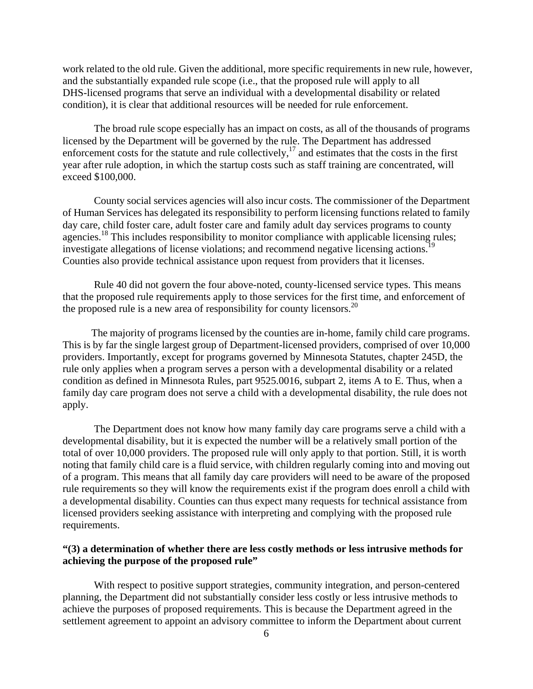work related to the old rule. Given the additional, more specific requirements in new rule, however, and the substantially expanded rule scope (i.e., that the proposed rule will apply to all DHS-licensed programs that serve an individual with a developmental disability or related condition), it is clear that additional resources will be needed for rule enforcement.

The broad rule scope especially has an impact on costs, as all of the thousands of programs licensed by the Department will be governed by the rule. The Department has addressed enforcement costs for the statute and rule collectively, $17$  and estimates that the costs in the first year after rule adoption, in which the startup costs such as staff training are concentrated, will exceed \$100,000.

investigate allegations of license violations; and recommend negative licensing actions.<sup>19</sup> County social services agencies will also incur costs. The commissioner of the Department of Human Services has delegated its responsibility to perform licensing functions related to family day care, child foster care, adult foster care and family adult day services programs to county agencies.<sup>18</sup> This includes responsibility to monitor compliance with applicable licensing rules; Counties also provide technical assistance upon request from providers that it licenses.

Rule 40 did not govern the four above-noted, county-licensed service types. This means that the proposed rule requirements apply to those services for the first time, and enforcement of the proposed rule is a new area of responsibility for county licensors.20

The majority of programs licensed by the counties are in-home, family child care programs. This is by far the single largest group of Department-licensed providers, comprised of over 10,000 providers. Importantly, except for programs governed by Minnesota Statutes, chapter 245D, the rule only applies when a program serves a person with a developmental disability or a related condition as defined in Minnesota Rules, part 9525.0016, subpart 2, items A to E. Thus, when a family day care program does not serve a child with a developmental disability, the rule does not apply.

The Department does not know how many family day care programs serve a child with a developmental disability, but it is expected the number will be a relatively small portion of the total of over 10,000 providers. The proposed rule will only apply to that portion. Still, it is worth noting that family child care is a fluid service, with children regularly coming into and moving out of a program. This means that all family day care providers will need to be aware of the proposed rule requirements so they will know the requirements exist if the program does enroll a child with a developmental disability. Counties can thus expect many requests for technical assistance from licensed providers seeking assistance with interpreting and complying with the proposed rule requirements.

### **"(3) a determination of whether there are less costly methods or less intrusive methods for achieving the purpose of the proposed rule"**

With respect to positive support strategies, community integration, and person-centered planning, the Department did not substantially consider less costly or less intrusive methods to achieve the purposes of proposed requirements. This is because the Department agreed in the settlement agreement to appoint an advisory committee to inform the Department about current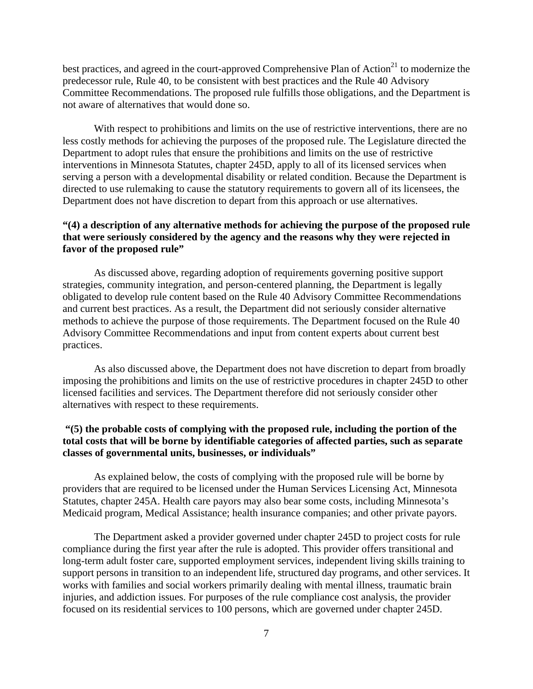best practices, and agreed in the court-approved Comprehensive Plan of Action<sup>21</sup> to modernize the predecessor rule, Rule 40, to be consistent with best practices and the Rule 40 Advisory Committee Recommendations. The proposed rule fulfills those obligations, and the Department is not aware of alternatives that would done so.

With respect to prohibitions and limits on the use of restrictive interventions, there are no less costly methods for achieving the purposes of the proposed rule. The Legislature directed the Department to adopt rules that ensure the prohibitions and limits on the use of restrictive interventions in Minnesota Statutes, chapter 245D, apply to all of its licensed services when serving a person with a developmental disability or related condition. Because the Department is directed to use rulemaking to cause the statutory requirements to govern all of its licensees, the Department does not have discretion to depart from this approach or use alternatives.

# **"(4) a description of any alternative methods for achieving the purpose of the proposed rule that were seriously considered by the agency and the reasons why they were rejected in favor of the proposed rule"**

As discussed above, regarding adoption of requirements governing positive support strategies, community integration, and person-centered planning, the Department is legally obligated to develop rule content based on the Rule 40 Advisory Committee Recommendations and current best practices. As a result, the Department did not seriously consider alternative methods to achieve the purpose of those requirements. The Department focused on the Rule 40 Advisory Committee Recommendations and input from content experts about current best practices.

As also discussed above, the Department does not have discretion to depart from broadly imposing the prohibitions and limits on the use of restrictive procedures in chapter 245D to other licensed facilities and services. The Department therefore did not seriously consider other alternatives with respect to these requirements.

# **"(5) the probable costs of complying with the proposed rule, including the portion of the total costs that will be borne by identifiable categories of affected parties, such as separate classes of governmental units, businesses, or individuals"**

As explained below, the costs of complying with the proposed rule will be borne by providers that are required to be licensed under the Human Services Licensing Act, Minnesota Statutes, chapter 245A. Health care payors may also bear some costs, including Minnesota's Medicaid program, Medical Assistance; health insurance companies; and other private payors.

The Department asked a provider governed under chapter 245D to project costs for rule compliance during the first year after the rule is adopted. This provider offers transitional and long-term adult foster care, supported employment services, independent living skills training to support persons in transition to an independent life, structured day programs, and other services. It works with families and social workers primarily dealing with mental illness, traumatic brain injuries, and addiction issues. For purposes of the rule compliance cost analysis, the provider focused on its residential services to 100 persons, which are governed under chapter 245D.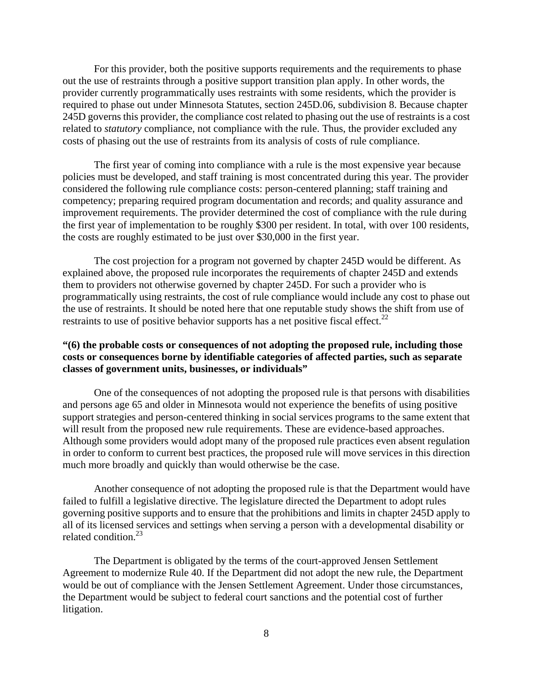For this provider, both the positive supports requirements and the requirements to phase out the use of restraints through a positive support transition plan apply. In other words, the provider currently programmatically uses restraints with some residents, which the provider is required to phase out under Minnesota Statutes, section 245D.06, subdivision 8. Because chapter 245D governs this provider, the compliance cost related to phasing out the use of restraints is a cost related to *statutory* compliance, not compliance with the rule. Thus, the provider excluded any costs of phasing out the use of restraints from its analysis of costs of rule compliance.

The first year of coming into compliance with a rule is the most expensive year because policies must be developed, and staff training is most concentrated during this year. The provider considered the following rule compliance costs: person-centered planning; staff training and competency; preparing required program documentation and records; and quality assurance and improvement requirements. The provider determined the cost of compliance with the rule during the first year of implementation to be roughly \$300 per resident. In total, with over 100 residents, the costs are roughly estimated to be just over \$30,000 in the first year.

The cost projection for a program not governed by chapter 245D would be different. As explained above, the proposed rule incorporates the requirements of chapter 245D and extends them to providers not otherwise governed by chapter 245D. For such a provider who is programmatically using restraints, the cost of rule compliance would include any cost to phase out the use of restraints. It should be noted here that one reputable study shows the shift from use of restraints to use of positive behavior supports has a net positive fiscal effect.<sup>22</sup>

# **"(6) the probable costs or consequences of not adopting the proposed rule, including those costs or consequences borne by identifiable categories of affected parties, such as separate classes of government units, businesses, or individuals"**

One of the consequences of not adopting the proposed rule is that persons with disabilities and persons age 65 and older in Minnesota would not experience the benefits of using positive support strategies and person-centered thinking in social services programs to the same extent that will result from the proposed new rule requirements. These are evidence-based approaches. Although some providers would adopt many of the proposed rule practices even absent regulation in order to conform to current best practices, the proposed rule will move services in this direction much more broadly and quickly than would otherwise be the case.

Another consequence of not adopting the proposed rule is that the Department would have failed to fulfill a legislative directive. The legislature directed the Department to adopt rules governing positive supports and to ensure that the prohibitions and limits in chapter 245D apply to all of its licensed services and settings when serving a person with a developmental disability or related condition.<sup>23</sup>

The Department is obligated by the terms of the court-approved Jensen Settlement Agreement to modernize Rule 40. If the Department did not adopt the new rule, the Department would be out of compliance with the Jensen Settlement Agreement. Under those circumstances, the Department would be subject to federal court sanctions and the potential cost of further litigation.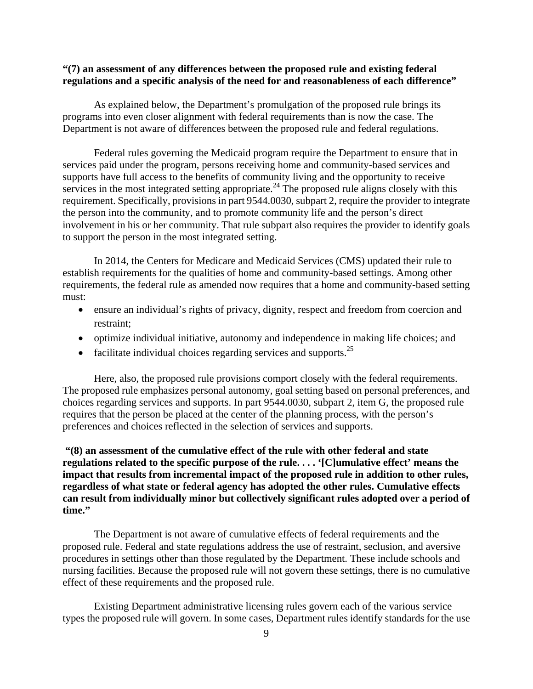## **"(7) an assessment of any differences between the proposed rule and existing federal regulations and a specific analysis of the need for and reasonableness of each difference"**

As explained below, the Department's promulgation of the proposed rule brings its programs into even closer alignment with federal requirements than is now the case. The Department is not aware of differences between the proposed rule and federal regulations.

Federal rules governing the Medicaid program require the Department to ensure that in services paid under the program, persons receiving home and community-based services and supports have full access to the benefits of community living and the opportunity to receive services in the most integrated setting appropriate.<sup>24</sup> The proposed rule aligns closely with this requirement. Specifically, provisions in part 9544.0030, subpart 2, require the provider to integrate the person into the community, and to promote community life and the person's direct involvement in his or her community. That rule subpart also requires the provider to identify goals to support the person in the most integrated setting.

In 2014, the Centers for Medicare and Medicaid Services (CMS) updated their rule to establish requirements for the qualities of home and community-based settings. Among other requirements, the federal rule as amended now requires that a home and community-based setting must:

- ensure an individual's rights of privacy, dignity, respect and freedom from coercion and restraint;
- optimize individual initiative, autonomy and independence in making life choices; and
- facilitate individual choices regarding services and supports. $^{25}$

Here, also, the proposed rule provisions comport closely with the federal requirements. The proposed rule emphasizes personal autonomy, goal setting based on personal preferences, and choices regarding services and supports. In part 9544.0030, subpart 2, item G, the proposed rule requires that the person be placed at the center of the planning process, with the person's preferences and choices reflected in the selection of services and supports.

 **time." "(8) an assessment of the cumulative effect of the rule with other federal and state regulations related to the specific purpose of the rule. . . . '[C]umulative effect' means the impact that results from incremental impact of the proposed rule in addition to other rules, regardless of what state or federal agency has adopted the other rules. Cumulative effects can result from individually minor but collectively significant rules adopted over a period of** 

The Department is not aware of cumulative effects of federal requirements and the proposed rule. Federal and state regulations address the use of restraint, seclusion, and aversive procedures in settings other than those regulated by the Department. These include schools and nursing facilities. Because the proposed rule will not govern these settings, there is no cumulative effect of these requirements and the proposed rule.

Existing Department administrative licensing rules govern each of the various service types the proposed rule will govern. In some cases, Department rules identify standards for the use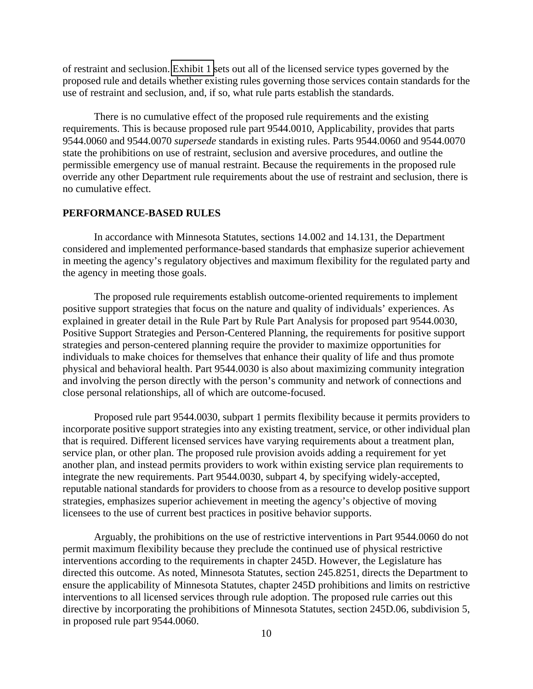of restraint and seclusion. [Exhibit 1](#page-71-0) sets out all of the licensed service types governed by the proposed rule and details whether existing rules governing those services contain standards for the use of restraint and seclusion, and, if so, what rule parts establish the standards.

There is no cumulative effect of the proposed rule requirements and the existing requirements. This is because proposed rule part 9544.0010, Applicability, provides that parts 9544.0060 and 9544.0070 *supersede* standards in existing rules. Parts 9544.0060 and 9544.0070 state the prohibitions on use of restraint, seclusion and aversive procedures, and outline the permissible emergency use of manual restraint. Because the requirements in the proposed rule override any other Department rule requirements about the use of restraint and seclusion, there is no cumulative effect.

#### **PERFORMANCE-BASED RULES**

In accordance with Minnesota Statutes, sections 14.002 and 14.131, the Department considered and implemented performance-based standards that emphasize superior achievement in meeting the agency's regulatory objectives and maximum flexibility for the regulated party and the agency in meeting those goals.

The proposed rule requirements establish outcome-oriented requirements to implement positive support strategies that focus on the nature and quality of individuals' experiences. As explained in greater detail in the Rule Part by Rule Part Analysis for proposed part 9544.0030, Positive Support Strategies and Person-Centered Planning, the requirements for positive support strategies and person-centered planning require the provider to maximize opportunities for individuals to make choices for themselves that enhance their quality of life and thus promote physical and behavioral health. Part 9544.0030 is also about maximizing community integration and involving the person directly with the person's community and network of connections and close personal relationships, all of which are outcome-focused.

Proposed rule part 9544.0030, subpart 1 permits flexibility because it permits providers to incorporate positive support strategies into any existing treatment, service, or other individual plan that is required. Different licensed services have varying requirements about a treatment plan, service plan, or other plan. The proposed rule provision avoids adding a requirement for yet another plan, and instead permits providers to work within existing service plan requirements to integrate the new requirements. Part 9544.0030, subpart 4, by specifying widely-accepted, reputable national standards for providers to choose from as a resource to develop positive support strategies, emphasizes superior achievement in meeting the agency's objective of moving licensees to the use of current best practices in positive behavior supports.

Arguably, the prohibitions on the use of restrictive interventions in Part 9544.0060 do not permit maximum flexibility because they preclude the continued use of physical restrictive interventions according to the requirements in chapter 245D. However, the Legislature has directed this outcome. As noted, Minnesota Statutes, section 245.8251, directs the Department to ensure the applicability of Minnesota Statutes, chapter 245D prohibitions and limits on restrictive interventions to all licensed services through rule adoption. The proposed rule carries out this directive by incorporating the prohibitions of Minnesota Statutes, section 245D.06, subdivision 5, in proposed rule part 9544.0060.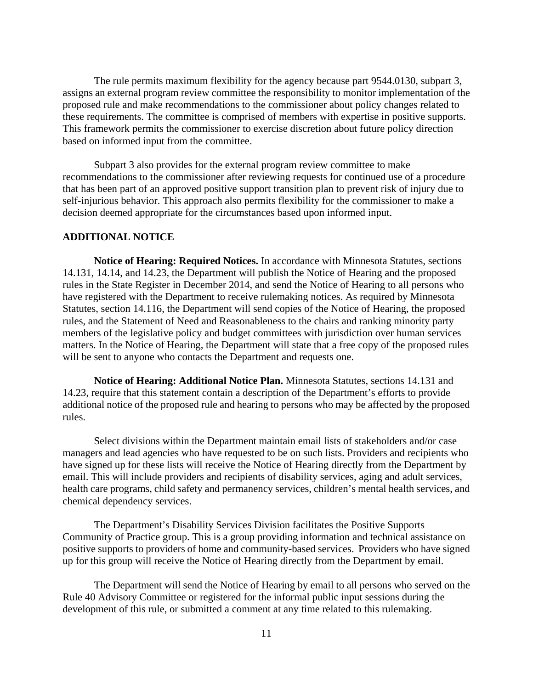The rule permits maximum flexibility for the agency because part 9544.0130, subpart 3, assigns an external program review committee the responsibility to monitor implementation of the proposed rule and make recommendations to the commissioner about policy changes related to these requirements. The committee is comprised of members with expertise in positive supports. This framework permits the commissioner to exercise discretion about future policy direction based on informed input from the committee.

Subpart 3 also provides for the external program review committee to make recommendations to the commissioner after reviewing requests for continued use of a procedure that has been part of an approved positive support transition plan to prevent risk of injury due to self-injurious behavior. This approach also permits flexibility for the commissioner to make a decision deemed appropriate for the circumstances based upon informed input.

#### **ADDITIONAL NOTICE**

**Notice of Hearing: Required Notices.** In accordance with Minnesota Statutes, sections 14.131, 14.14, and 14.23, the Department will publish the Notice of Hearing and the proposed rules in the State Register in December 2014, and send the Notice of Hearing to all persons who have registered with the Department to receive rulemaking notices. As required by Minnesota Statutes, section 14.116, the Department will send copies of the Notice of Hearing, the proposed rules, and the Statement of Need and Reasonableness to the chairs and ranking minority party members of the legislative policy and budget committees with jurisdiction over human services matters. In the Notice of Hearing, the Department will state that a free copy of the proposed rules will be sent to anyone who contacts the Department and requests one.

**Notice of Hearing: Additional Notice Plan.** Minnesota Statutes, sections 14.131 and 14.23, require that this statement contain a description of the Department's efforts to provide additional notice of the proposed rule and hearing to persons who may be affected by the proposed rules.

Select divisions within the Department maintain email lists of stakeholders and/or case managers and lead agencies who have requested to be on such lists. Providers and recipients who have signed up for these lists will receive the Notice of Hearing directly from the Department by email. This will include providers and recipients of disability services, aging and adult services, health care programs, child safety and permanency services, children's mental health services, and chemical dependency services.

The Department's Disability Services Division facilitates the Positive Supports Community of Practice group. This is a group providing information and technical assistance on positive supports to providers of home and community-based services. Providers who have signed up for this group will receive the Notice of Hearing directly from the Department by email.

The Department will send the Notice of Hearing by email to all persons who served on the Rule 40 Advisory Committee or registered for the informal public input sessions during the development of this rule, or submitted a comment at any time related to this rulemaking.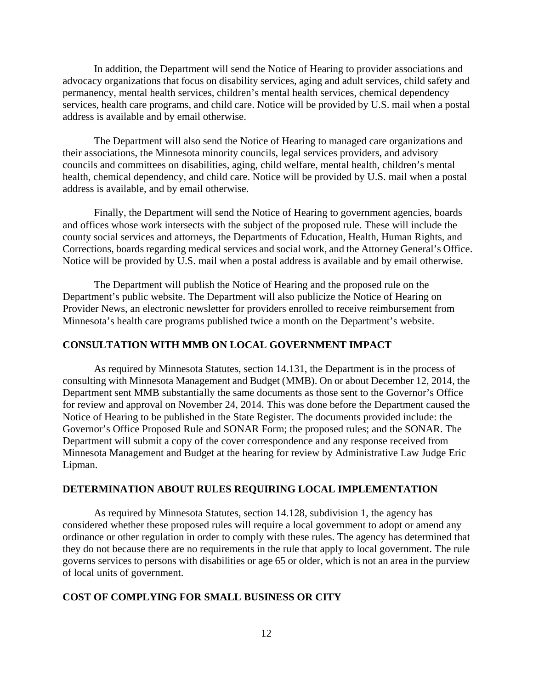In addition, the Department will send the Notice of Hearing to provider associations and advocacy organizations that focus on disability services, aging and adult services, child safety and permanency, mental health services, children's mental health services, chemical dependency services, health care programs, and child care. Notice will be provided by U.S. mail when a postal address is available and by email otherwise.

The Department will also send the Notice of Hearing to managed care organizations and their associations, the Minnesota minority councils, legal services providers, and advisory councils and committees on disabilities, aging, child welfare, mental health, children's mental health, chemical dependency, and child care. Notice will be provided by U.S. mail when a postal address is available, and by email otherwise.

Finally, the Department will send the Notice of Hearing to government agencies, boards and offices whose work intersects with the subject of the proposed rule. These will include the county social services and attorneys, the Departments of Education, Health, Human Rights, and Corrections, boards regarding medical services and social work, and the Attorney General's Office. Notice will be provided by U.S. mail when a postal address is available and by email otherwise.

The Department will publish the Notice of Hearing and the proposed rule on the Department's public website. The Department will also publicize the Notice of Hearing on Provider News, an electronic newsletter for providers enrolled to receive reimbursement from Minnesota's health care programs published twice a month on the Department's website.

## **CONSULTATION WITH MMB ON LOCAL GOVERNMENT IMPACT**

As required by Minnesota Statutes, section 14.131, the Department is in the process of consulting with Minnesota Management and Budget (MMB). On or about December 12, 2014, the Department sent MMB substantially the same documents as those sent to the Governor's Office for review and approval on November 24, 2014. This was done before the Department caused the Notice of Hearing to be published in the State Register. The documents provided include: the Governor's Office Proposed Rule and SONAR Form; the proposed rules; and the SONAR. The Department will submit a copy of the cover correspondence and any response received from Minnesota Management and Budget at the hearing for review by Administrative Law Judge Eric Lipman.

## **DETERMINATION ABOUT RULES REQUIRING LOCAL IMPLEMENTATION**

As required by Minnesota Statutes, section 14.128, subdivision 1, the agency has considered whether these proposed rules will require a local government to adopt or amend any ordinance or other regulation in order to comply with these rules. The agency has determined that they do not because there are no requirements in the rule that apply to local government. The rule governs services to persons with disabilities or age 65 or older, which is not an area in the purview of local units of government.

#### **COST OF COMPLYING FOR SMALL BUSINESS OR CITY**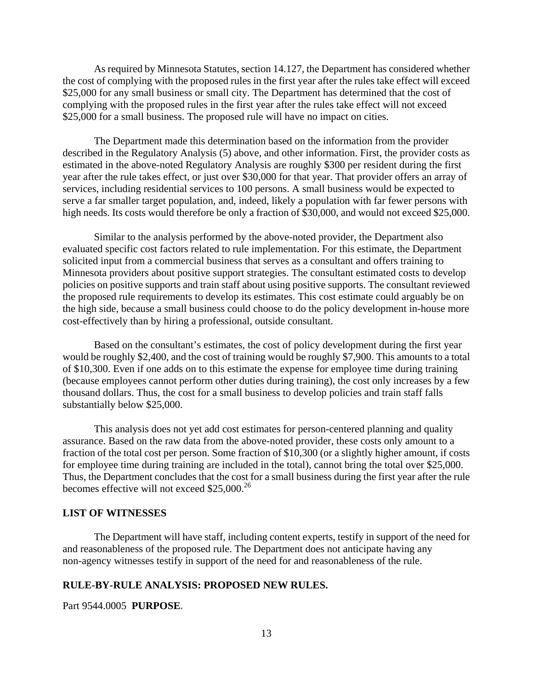As required by Minnesota Statutes, section 14.127, the Department has considered whether the cost of complying with the proposed rules in the first year after the rules take effect will exceed \$25,000 for any small business or small city. The Department has determined that the cost of complying with the proposed rules in the first year after the rules take effect will not exceed \$25,000 for a small business. The proposed rule will have no impact on cities.

The Department made this determination based on the information from the provider described in the Regulatory Analysis (5) above, and other information. First, the provider costs as estimated in the above-noted Regulatory Analysis are roughly \$300 per resident during the first year after the rule takes effect, or just over \$30,000 for that year. That provider offers an array of services, including residential services to 100 persons. A small business would be expected to serve a far smaller target population, and, indeed, likely a population with far fewer persons with high needs. Its costs would therefore be only a fraction of \$30,000, and would not exceed \$25,000.

Similar to the analysis performed by the above-noted provider, the Department also evaluated specific cost factors related to rule implementation. For this estimate, the Department solicited input from a commercial business that serves as a consultant and offers training to Minnesota providers about positive support strategies. The consultant estimated costs to develop policies on positive supports and train staff about using positive supports. The consultant reviewed the proposed rule requirements to develop its estimates. This cost estimate could arguably be on the high side, because a small business could choose to do the policy development in-house more cost-effectively than by hiring a professional, outside consultant.

Based on the consultant's estimates, the cost of policy development during the first year would be roughly \$2,400, and the cost of training would be roughly \$7,900. This amounts to a total of \$10,300. Even if one adds on to this estimate the expense for employee time during training (because employees cannot perform other duties during training), the cost only increases by a few thousand dollars. Thus, the cost for a small business to develop policies and train staff falls substantially below \$25,000.

This analysis does not yet add cost estimates for person-centered planning and quality assurance. Based on the raw data from the above-noted provider, these costs only amount to a fraction of the total cost per person. Some fraction of \$10,300 (or a slightly higher amount, if costs for employee time during training are included in the total), cannot bring the total over \$25,000. Thus, the Department concludes that the cost for a small business during the first year after the rule becomes effective will not exceed \$25,000.<sup>26</sup>

## **LIST OF WITNESSES**

The Department will have staff, including content experts, testify in support of the need for and reasonableness of the proposed rule. The Department does not anticipate having any non-agency witnesses testify in support of the need for and reasonableness of the rule.

#### **RULE-BY-RULE ANALYSIS: PROPOSED NEW RULES.**

Part 9544.0005 **PURPOSE.**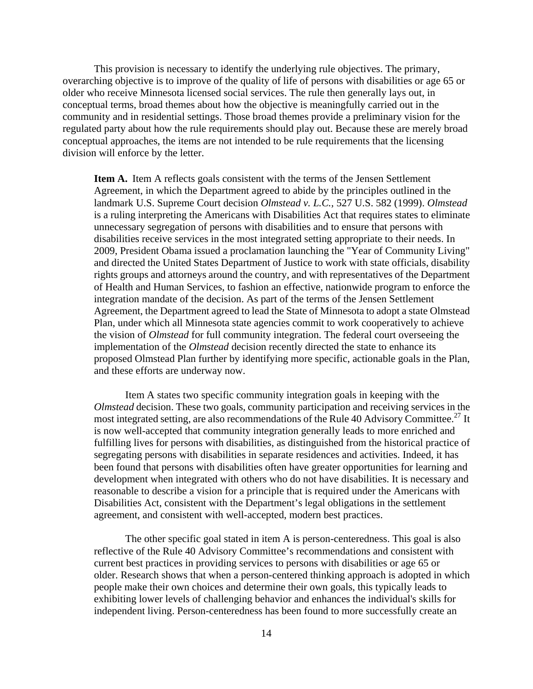This provision is necessary to identify the underlying rule objectives. The primary, overarching objective is to improve of the quality of life of persons with disabilities or age 65 or older who receive Minnesota licensed social services. The rule then generally lays out, in conceptual terms, broad themes about how the objective is meaningfully carried out in the community and in residential settings. Those broad themes provide a preliminary vision for the regulated party about how the rule requirements should play out. Because these are merely broad conceptual approaches, the items are not intended to be rule requirements that the licensing division will enforce by the letter.

 **Item A.** Item A reflects goals consistent with the terms of the Jensen Settlement Agreement, in which the Department agreed to abide by the principles outlined in the landmark U.S. Supreme Court decision *Olmstead v. L.C.,* 527 U.S. 582 (1999). *Olmstead*  is a ruling interpreting the Americans with Disabilities Act that requires states to eliminate unnecessary segregation of persons with disabilities and to ensure that persons with disabilities receive services in the most integrated setting appropriate to their needs. In 2009, President Obama issued a proclamation launching the "Year of Community Living" and directed the United States Department of Justice to work with state officials, disability rights groups and attorneys around the country, and with representatives of the Department of Health and Human Services, to fashion an effective, nationwide program to enforce the integration mandate of the decision. As part of the terms of the Jensen Settlement Agreement, the Department agreed to lead the State of Minnesota to adopt a state Olmstead Plan, under which all Minnesota state agencies commit to work cooperatively to achieve the vision of *Olmstead* for full community integration. The federal court overseeing the implementation of the *Olmstead* decision recently directed the state to enhance its proposed Olmstead Plan further by identifying more specific, actionable goals in the Plan, and these efforts are underway now.

Item A states two specific community integration goals in keeping with the *Olmstead* decision. These two goals, community participation and receiving services in the most integrated setting, are also recommendations of the Rule 40 Advisory Committee.<sup>27</sup> It is now well-accepted that community integration generally leads to more enriched and fulfilling lives for persons with disabilities, as distinguished from the historical practice of segregating persons with disabilities in separate residences and activities. Indeed, it has been found that persons with disabilities often have greater opportunities for learning and development when integrated with others who do not have disabilities. It is necessary and reasonable to describe a vision for a principle that is required under the Americans with Disabilities Act, consistent with the Department's legal obligations in the settlement agreement, and consistent with well-accepted, modern best practices.

The other specific goal stated in item A is person-centeredness. This goal is also reflective of the Rule 40 Advisory Committee's recommendations and consistent with current best practices in providing services to persons with disabilities or age 65 or older. Research shows that when a person-centered thinking approach is adopted in which people make their own choices and determine their own goals, this typically leads to exhibiting lower levels of challenging behavior and enhances the individual's skills for independent living. Person-centeredness has been found to more successfully create an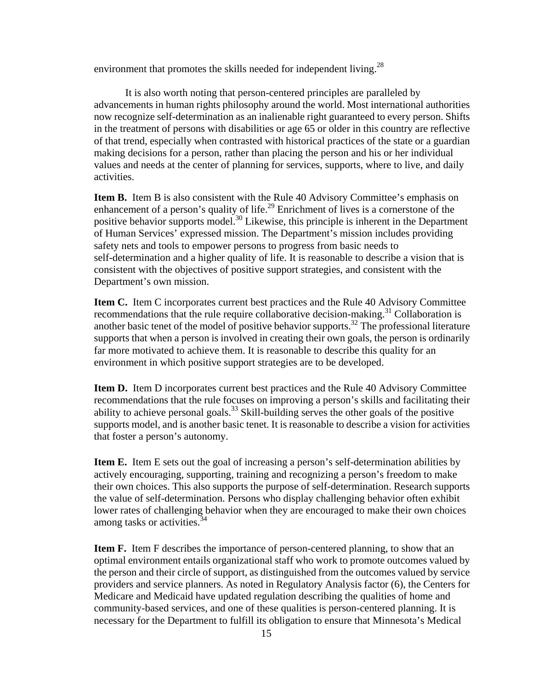environment that promotes the skills needed for independent living.<sup>28</sup>

It is also worth noting that person-centered principles are paralleled by advancements in human rights philosophy around the world. Most international authorities now recognize self-determination as an inalienable right guaranteed to every person. Shifts in the treatment of persons with disabilities or age 65 or older in this country are reflective of that trend, especially when contrasted with historical practices of the state or a guardian making decisions for a person, rather than placing the person and his or her individual values and needs at the center of planning for services, supports, where to live, and daily activities.

**Item B.** Item B is also consistent with the Rule 40 Advisory Committee's emphasis on enhancement of a person's quality of life.<sup>29</sup> Enrichment of lives is a cornerstone of the positive behavior supports model.30 Likewise, this principle is inherent in the Department of Human Services' expressed mission. The Department's mission includes providing safety nets and tools to empower persons to progress from basic needs to self-determination and a higher quality of life. It is reasonable to describe a vision that is consistent with the objectives of positive support strategies, and consistent with the Department's own mission.

**Item C.** Item C incorporates current best practices and the Rule 40 Advisory Committee recommendations that the rule require collaborative decision-making.<sup>31</sup> Collaboration is another basic tenet of the model of positive behavior supports.<sup>32</sup> The professional literature supports that when a person is involved in creating their own goals, the person is ordinarily far more motivated to achieve them. It is reasonable to describe this quality for an environment in which positive support strategies are to be developed.

**Item D.** Item D incorporates current best practices and the Rule 40 Advisory Committee recommendations that the rule focuses on improving a person's skills and facilitating their ability to achieve personal goals.<sup>33</sup> Skill-building serves the other goals of the positive supports model, and is another basic tenet. It is reasonable to describe a vision for activities that foster a person's autonomy.

among tasks or activities.<sup>34</sup> **Item E.** Item E sets out the goal of increasing a person's self-determination abilities by actively encouraging, supporting, training and recognizing a person's freedom to make their own choices. This also supports the purpose of self-determination. Research supports the value of self-determination. Persons who display challenging behavior often exhibit lower rates of challenging behavior when they are encouraged to make their own choices

**Item F.** Item F describes the importance of person-centered planning, to show that an optimal environment entails organizational staff who work to promote outcomes valued by the person and their circle of support, as distinguished from the outcomes valued by service providers and service planners. As noted in Regulatory Analysis factor (6), the Centers for Medicare and Medicaid have updated regulation describing the qualities of home and community-based services, and one of these qualities is person-centered planning. It is necessary for the Department to fulfill its obligation to ensure that Minnesota's Medical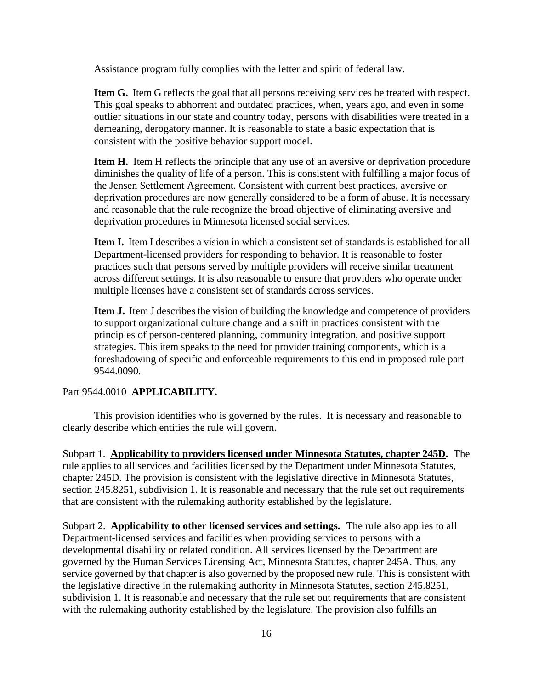Assistance program fully complies with the letter and spirit of federal law.

**Item G.** Item G reflects the goal that all persons receiving services be treated with respect. This goal speaks to abhorrent and outdated practices, when, years ago, and even in some outlier situations in our state and country today, persons with disabilities were treated in a demeaning, derogatory manner. It is reasonable to state a basic expectation that is consistent with the positive behavior support model.

**Item H.** Item H reflects the principle that any use of an aversive or deprivation procedure diminishes the quality of life of a person. This is consistent with fulfilling a major focus of the Jensen Settlement Agreement. Consistent with current best practices, aversive or deprivation procedures are now generally considered to be a form of abuse. It is necessary and reasonable that the rule recognize the broad objective of eliminating aversive and deprivation procedures in Minnesota licensed social services.

multiple licenses have a consistent set of standards across services. **Item I.** Item I describes a vision in which a consistent set of standards is established for all Department-licensed providers for responding to behavior. It is reasonable to foster practices such that persons served by multiple providers will receive similar treatment across different settings. It is also reasonable to ensure that providers who operate under

**Item J.** Item J describes the vision of building the knowledge and competence of providers to support organizational culture change and a shift in practices consistent with the principles of person-centered planning, community integration, and positive support strategies. This item speaks to the need for provider training components, which is a foreshadowing of specific and enforceable requirements to this end in proposed rule part 9544.0090.

#### Part 9544.0010 **APPLICABILITY.**

This provision identifies who is governed by the rules. It is necessary and reasonable to clearly describe which entities the rule will govern.

 Subpart 1. **Applicability to providers licensed under Minnesota Statutes, chapter 245D.** The rule applies to all services and facilities licensed by the Department under Minnesota Statutes, chapter 245D. The provision is consistent with the legislative directive in Minnesota Statutes, section 245.8251, subdivision 1. It is reasonable and necessary that the rule set out requirements that are consistent with the rulemaking authority established by the legislature.

Subpart 2. **Applicability to other licensed services and settings.** The rule also applies to all Department-licensed services and facilities when providing services to persons with a developmental disability or related condition. All services licensed by the Department are governed by the Human Services Licensing Act, Minnesota Statutes, chapter 245A. Thus, any service governed by that chapter is also governed by the proposed new rule. This is consistent with the legislative directive in the rulemaking authority in Minnesota Statutes, section 245.8251, subdivision 1. It is reasonable and necessary that the rule set out requirements that are consistent with the rulemaking authority established by the legislature. The provision also fulfills an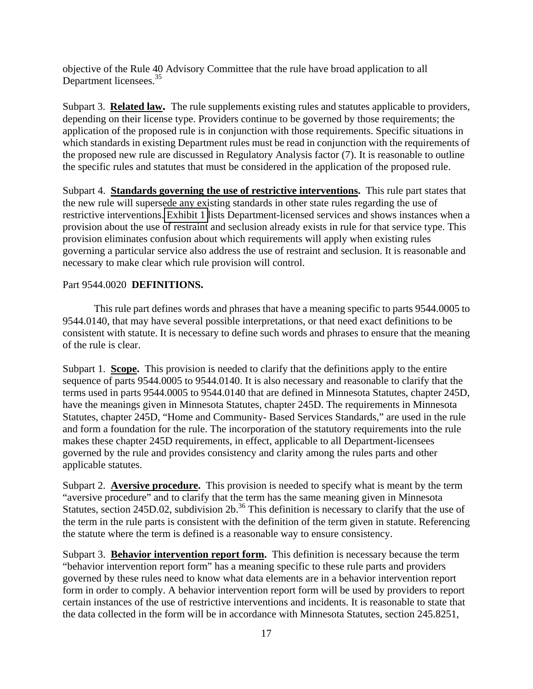objective of the Rule 40 Advisory Committee that the rule have broad application to all Department licensees.<sup>35</sup>

 Subpart 3. **Related law.** The rule supplements existing rules and statutes applicable to providers, depending on their license type. Providers continue to be governed by those requirements; the application of the proposed rule is in conjunction with those requirements. Specific situations in which standards in existing Department rules must be read in conjunction with the requirements of the proposed new rule are discussed in Regulatory Analysis factor (7). It is reasonable to outline the specific rules and statutes that must be considered in the application of the proposed rule.

Subpart 4. **Standards governing the use of restrictive interventions.** This rule part states that the new rule will supersede any existing standards in other state rules regarding the use of restrictive interventions. [Exhibit 1 l](#page-70-0)ists Department-licensed services and shows instances when a provision about the use of restraint and seclusion already exists in rule for that service type. This provision eliminates confusion about which requirements will apply when existing rules governing a particular service also address the use of restraint and seclusion. It is reasonable and necessary to make clear which rule provision will control.

# Part 9544.0020 **DEFINITIONS.**

This rule part defines words and phrases that have a meaning specific to parts 9544.0005 to 9544.0140, that may have several possible interpretations, or that need exact definitions to be consistent with statute. It is necessary to define such words and phrases to ensure that the meaning of the rule is clear.

Subpart 1. **Scope.** This provision is needed to clarify that the definitions apply to the entire sequence of parts 9544.0005 to 9544.0140. It is also necessary and reasonable to clarify that the terms used in parts 9544.0005 to 9544.0140 that are defined in Minnesota Statutes, chapter 245D, have the meanings given in Minnesota Statutes, chapter 245D. The requirements in Minnesota Statutes, chapter 245D, "Home and Community- Based Services Standards," are used in the rule and form a foundation for the rule. The incorporation of the statutory requirements into the rule makes these chapter 245D requirements, in effect, applicable to all Department-licensees governed by the rule and provides consistency and clarity among the rules parts and other applicable statutes.

Subpart 2. **Aversive procedure.** This provision is needed to specify what is meant by the term "aversive procedure" and to clarify that the term has the same meaning given in Minnesota Statutes, section 245D.02, subdivision  $2b$ <sup>36</sup> This definition is necessary to clarify that the use of the term in the rule parts is consistent with the definition of the term given in statute. Referencing the statute where the term is defined is a reasonable way to ensure consistency.

Subpart 3. **Behavior intervention report form.** This definition is necessary because the term "behavior intervention report form" has a meaning specific to these rule parts and providers governed by these rules need to know what data elements are in a behavior intervention report form in order to comply. A behavior intervention report form will be used by providers to report certain instances of the use of restrictive interventions and incidents. It is reasonable to state that the data collected in the form will be in accordance with Minnesota Statutes, section 245.8251,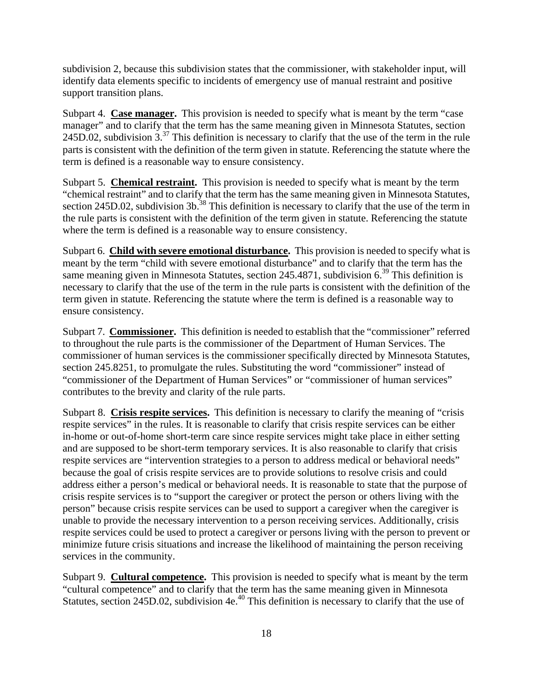subdivision 2, because this subdivision states that the commissioner, with stakeholder input, will identify data elements specific to incidents of emergency use of manual restraint and positive support transition plans.

Subpart 4. **Case manager.** This provision is needed to specify what is meant by the term "case manager" and to clarify that the term has the same meaning given in Minnesota Statutes, section 245D.02, subdivision  $3^{37}$  This definition is necessary to clarify that the use of the term in the rule parts is consistent with the definition of the term given in statute. Referencing the statute where the term is defined is a reasonable way to ensure consistency.

Subpart 5. **Chemical restraint.** This provision is needed to specify what is meant by the term "chemical restraint" and to clarify that the term has the same meaning given in Minnesota Statutes, section 245D.02, subdivision  $3b$ <sup>38</sup>. This definition is necessary to clarify that the use of the term in the rule parts is consistent with the definition of the term given in statute. Referencing the statute where the term is defined is a reasonable way to ensure consistency.

Subpart 6. **Child with severe emotional disturbance.** This provision is needed to specify what is meant by the term "child with severe emotional disturbance" and to clarify that the term has the same meaning given in Minnesota Statutes, section 245.4871, subdivision  $6^{39}$  This definition is necessary to clarify that the use of the term in the rule parts is consistent with the definition of the term given in statute. Referencing the statute where the term is defined is a reasonable way to ensure consistency.

Subpart 7. **Commissioner.** This definition is needed to establish that the "commissioner" referred to throughout the rule parts is the commissioner of the Department of Human Services. The commissioner of human services is the commissioner specifically directed by Minnesota Statutes, section 245.8251, to promulgate the rules. Substituting the word "commissioner" instead of "commissioner of the Department of Human Services" or "commissioner of human services" contributes to the brevity and clarity of the rule parts.

Subpart 8. Crisis respite services. This definition is necessary to clarify the meaning of "crisis" respite services" in the rules. It is reasonable to clarify that crisis respite services can be either in-home or out-of-home short-term care since respite services might take place in either setting and are supposed to be short-term temporary services. It is also reasonable to clarify that crisis respite services are "intervention strategies to a person to address medical or behavioral needs" because the goal of crisis respite services are to provide solutions to resolve crisis and could address either a person's medical or behavioral needs. It is reasonable to state that the purpose of crisis respite services is to "support the caregiver or protect the person or others living with the person" because crisis respite services can be used to support a caregiver when the caregiver is unable to provide the necessary intervention to a person receiving services. Additionally, crisis respite services could be used to protect a caregiver or persons living with the person to prevent or minimize future crisis situations and increase the likelihood of maintaining the person receiving services in the community.

Subpart 9. **Cultural competence.** This provision is needed to specify what is meant by the term "cultural competence" and to clarify that the term has the same meaning given in Minnesota Statutes, section 245D.02, subdivision 4e.<sup>40</sup> This definition is necessary to clarify that the use of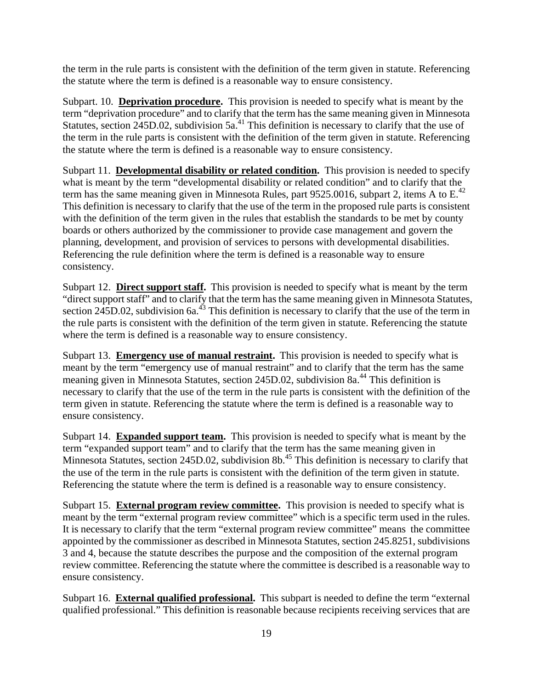the term in the rule parts is consistent with the definition of the term given in statute. Referencing the statute where the term is defined is a reasonable way to ensure consistency.

Subpart. 10. **Deprivation procedure.** This provision is needed to specify what is meant by the term "deprivation procedure" and to clarify that the term has the same meaning given in Minnesota Statutes, section 245D.02, subdivision  $5a<sup>41</sup>$ . This definition is necessary to clarify that the use of the term in the rule parts is consistent with the definition of the term given in statute. Referencing the statute where the term is defined is a reasonable way to ensure consistency.

Subpart 11. **Developmental disability or related condition.** This provision is needed to specify what is meant by the term "developmental disability or related condition" and to clarify that the term has the same meaning given in Minnesota Rules, part 9525.0016, subpart 2, items A to E.<sup>42</sup> This definition is necessary to clarify that the use of the term in the proposed rule parts is consistent with the definition of the term given in the rules that establish the standards to be met by county boards or others authorized by the commissioner to provide case management and govern the planning, development, and provision of services to persons with developmental disabilities. Referencing the rule definition where the term is defined is a reasonable way to ensure consistency.

Subpart 12. **Direct support staff.** This provision is needed to specify what is meant by the term "direct support staff" and to clarify that the term has the same meaning given in Minnesota Statutes, section 245D.02, subdivision 6a.<sup>43</sup> This definition is necessary to clarify that the use of the term in the rule parts is consistent with the definition of the term given in statute. Referencing the statute where the term is defined is a reasonable way to ensure consistency.

Subpart 13. **Emergency use of manual restraint.** This provision is needed to specify what is meant by the term "emergency use of manual restraint" and to clarify that the term has the same meaning given in Minnesota Statutes, section 245D.02, subdivision 8a.44 This definition is necessary to clarify that the use of the term in the rule parts is consistent with the definition of the term given in statute. Referencing the statute where the term is defined is a reasonable way to ensure consistency.

Subpart 14. **Expanded support team.** This provision is needed to specify what is meant by the term "expanded support team" and to clarify that the term has the same meaning given in Minnesota Statutes, section 245D.02, subdivision 8b.<sup>45</sup> This definition is necessary to clarify that the use of the term in the rule parts is consistent with the definition of the term given in statute. Referencing the statute where the term is defined is a reasonable way to ensure consistency.

Subpart 15. **External program review committee.** This provision is needed to specify what is meant by the term "external program review committee" which is a specific term used in the rules. It is necessary to clarify that the term "external program review committee" means the committee appointed by the commissioner as described in Minnesota Statutes, section 245.8251, subdivisions 3 and 4, because the statute describes the purpose and the composition of the external program review committee. Referencing the statute where the committee is described is a reasonable way to ensure consistency.

Subpart 16. **External qualified professional.** This subpart is needed to define the term "external qualified professional." This definition is reasonable because recipients receiving services that are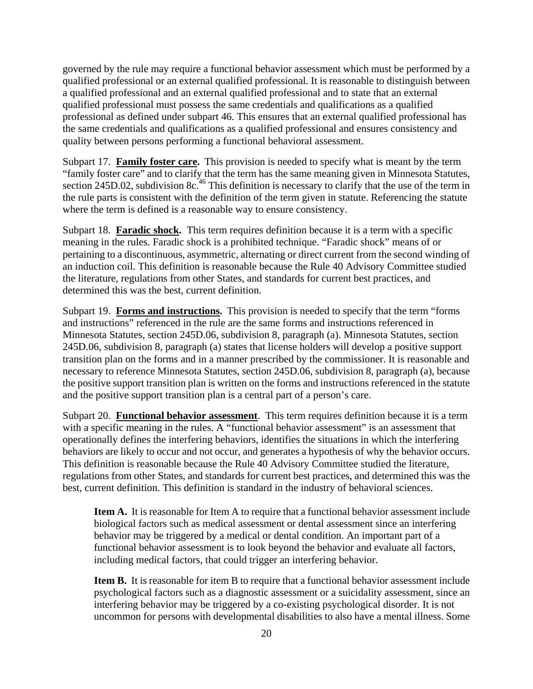governed by the rule may require a functional behavior assessment which must be performed by a qualified professional or an external qualified professional. It is reasonable to distinguish between a qualified professional and an external qualified professional and to state that an external qualified professional must possess the same credentials and qualifications as a qualified professional as defined under subpart 46. This ensures that an external qualified professional has the same credentials and qualifications as a qualified professional and ensures consistency and quality between persons performing a functional behavioral assessment.

Subpart 17. **Family foster care.** This provision is needed to specify what is meant by the term "family foster care" and to clarify that the term has the same meaning given in Minnesota Statutes, section 245D.02, subdivision 8c.<sup>46</sup> This definition is necessary to clarify that the use of the term in the rule parts is consistent with the definition of the term given in statute. Referencing the statute where the term is defined is a reasonable way to ensure consistency.

Subpart 18. **Faradic shock.** This term requires definition because it is a term with a specific meaning in the rules. Faradic shock is a prohibited technique. "Faradic shock" means of or pertaining to a discontinuous, asymmetric, alternating or direct current from the second winding of an induction coil. This definition is reasonable because the Rule 40 Advisory Committee studied the literature, regulations from other States, and standards for current best practices, and determined this was the best, current definition.

Subpart 19. **Forms and instructions.** This provision is needed to specify that the term "forms and instructions" referenced in the rule are the same forms and instructions referenced in Minnesota Statutes, section 245D.06, subdivision 8, paragraph (a). Minnesota Statutes, section 245D.06, subdivision 8, paragraph (a) states that license holders will develop a positive support transition plan on the forms and in a manner prescribed by the commissioner. It is reasonable and necessary to reference Minnesota Statutes, section 245D.06, subdivision 8, paragraph (a), because the positive support transition plan is written on the forms and instructions referenced in the statute and the positive support transition plan is a central part of a person's care.

Subpart 20. **Functional behavior assessment**. This term requires definition because it is a term with a specific meaning in the rules. A "functional behavior assessment" is an assessment that operationally defines the interfering behaviors, identifies the situations in which the interfering behaviors are likely to occur and not occur, and generates a hypothesis of why the behavior occurs. This definition is reasonable because the Rule 40 Advisory Committee studied the literature, regulations from other States, and standards for current best practices, and determined this was the best, current definition. This definition is standard in the industry of behavioral sciences.

**Item A.** It is reasonable for Item A to require that a functional behavior assessment include biological factors such as medical assessment or dental assessment since an interfering behavior may be triggered by a medical or dental condition. An important part of a functional behavior assessment is to look beyond the behavior and evaluate all factors, including medical factors, that could trigger an interfering behavior.

**Item B.** It is reasonable for item B to require that a functional behavior assessment include psychological factors such as a diagnostic assessment or a suicidality assessment, since an interfering behavior may be triggered by a co-existing psychological disorder. It is not uncommon for persons with developmental disabilities to also have a mental illness. Some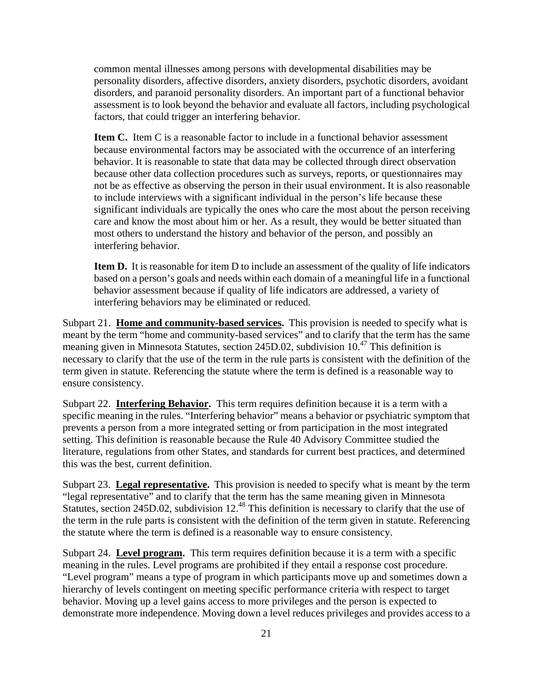common mental illnesses among persons with developmental disabilities may be personality disorders, affective disorders, anxiety disorders, psychotic disorders, avoidant disorders, and paranoid personality disorders. An important part of a functional behavior assessment is to look beyond the behavior and evaluate all factors, including psychological factors, that could trigger an interfering behavior.

**Item C.** Item C is a reasonable factor to include in a functional behavior assessment because environmental factors may be associated with the occurrence of an interfering behavior. It is reasonable to state that data may be collected through direct observation because other data collection procedures such as surveys, reports, or questionnaires may not be as effective as observing the person in their usual environment. It is also reasonable to include interviews with a significant individual in the person's life because these significant individuals are typically the ones who care the most about the person receiving care and know the most about him or her. As a result, they would be better situated than most others to understand the history and behavior of the person, and possibly an interfering behavior.

**Item D.** It is reasonable for item D to include an assessment of the quality of life indicators based on a person's goals and needs within each domain of a meaningful life in a functional behavior assessment because if quality of life indicators are addressed, a variety of interfering behaviors may be eliminated or reduced.

Subpart 21. **Home and community-based services.** This provision is needed to specify what is meant by the term "home and community-based services" and to clarify that the term has the same meaning given in Minnesota Statutes, section 245D.02, subdivision 10.47 This definition is necessary to clarify that the use of the term in the rule parts is consistent with the definition of the term given in statute. Referencing the statute where the term is defined is a reasonable way to ensure consistency.

Subpart 22. **Interfering Behavior.** This term requires definition because it is a term with a specific meaning in the rules. "Interfering behavior" means a behavior or psychiatric symptom that prevents a person from a more integrated setting or from participation in the most integrated setting. This definition is reasonable because the Rule 40 Advisory Committee studied the literature, regulations from other States, and standards for current best practices, and determined this was the best, current definition.

Subpart 23. Legal representative. This provision is needed to specify what is meant by the term "legal representative" and to clarify that the term has the same meaning given in Minnesota Statutes, section 245D.02, subdivision 12.<sup>48</sup> This definition is necessary to clarify that the use of the term in the rule parts is consistent with the definition of the term given in statute. Referencing the statute where the term is defined is a reasonable way to ensure consistency.

Subpart 24. **Level program.** This term requires definition because it is a term with a specific meaning in the rules. Level programs are prohibited if they entail a response cost procedure. "Level program" means a type of program in which participants move up and sometimes down a hierarchy of levels contingent on meeting specific performance criteria with respect to target behavior. Moving up a level gains access to more privileges and the person is expected to demonstrate more independence. Moving down a level reduces privileges and provides access to a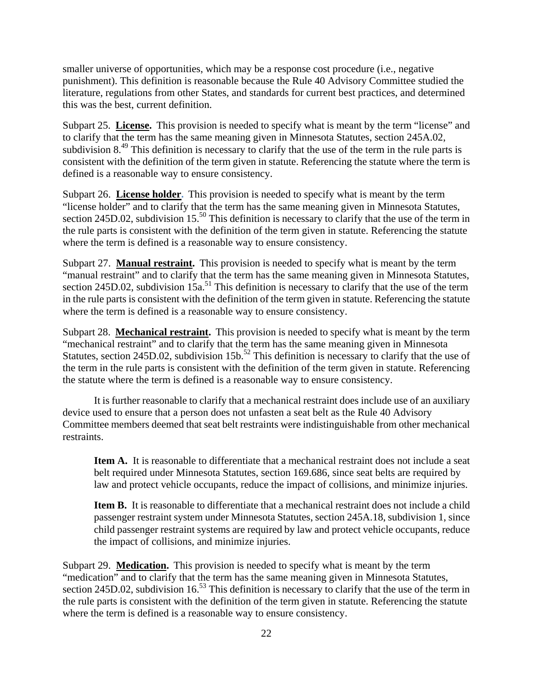smaller universe of opportunities, which may be a response cost procedure (i.e., negative punishment). This definition is reasonable because the Rule 40 Advisory Committee studied the literature, regulations from other States, and standards for current best practices, and determined this was the best, current definition.

Subpart 25. License. This provision is needed to specify what is meant by the term "license" and to clarify that the term has the same meaning given in Minnesota Statutes, section 245A.02, subdivision  $8^{49}$ . This definition is necessary to clarify that the use of the term in the rule parts is consistent with the definition of the term given in statute. Referencing the statute where the term is defined is a reasonable way to ensure consistency.

Subpart 26. **License holder**. This provision is needed to specify what is meant by the term "license holder" and to clarify that the term has the same meaning given in Minnesota Statutes, section 245D.02, subdivision 15.<sup>50</sup> This definition is necessary to clarify that the use of the term in the rule parts is consistent with the definition of the term given in statute. Referencing the statute where the term is defined is a reasonable way to ensure consistency.

Subpart 27. **Manual restraint.** This provision is needed to specify what is meant by the term "manual restraint" and to clarify that the term has the same meaning given in Minnesota Statutes, section 245D.02, subdivision  $15a$ <sup>51</sup>. This definition is necessary to clarify that the use of the term in the rule parts is consistent with the definition of the term given in statute. Referencing the statute where the term is defined is a reasonable way to ensure consistency.

Subpart 28. Mechanical restraint. This provision is needed to specify what is meant by the term "mechanical restraint" and to clarify that the term has the same meaning given in Minnesota Statutes, section 245D.02, subdivision 15b.<sup>52</sup> This definition is necessary to clarify that the use of the term in the rule parts is consistent with the definition of the term given in statute. Referencing the statute where the term is defined is a reasonable way to ensure consistency.

It is further reasonable to clarify that a mechanical restraint does include use of an auxiliary device used to ensure that a person does not unfasten a seat belt as the Rule 40 Advisory Committee members deemed that seat belt restraints were indistinguishable from other mechanical restraints.

**Item A.** It is reasonable to differentiate that a mechanical restraint does not include a seat belt required under Minnesota Statutes, section 169.686, since seat belts are required by law and protect vehicle occupants, reduce the impact of collisions, and minimize injuries.

**Item B.** It is reasonable to differentiate that a mechanical restraint does not include a child passenger restraint system under Minnesota Statutes, section 245A.18, subdivision 1, since child passenger restraint systems are required by law and protect vehicle occupants, reduce the impact of collisions, and minimize injuries.

Subpart 29. **Medication.** This provision is needed to specify what is meant by the term "medication" and to clarify that the term has the same meaning given in Minnesota Statutes, section 245D.02, subdivision 16.<sup>53</sup> This definition is necessary to clarify that the use of the term in the rule parts is consistent with the definition of the term given in statute. Referencing the statute where the term is defined is a reasonable way to ensure consistency.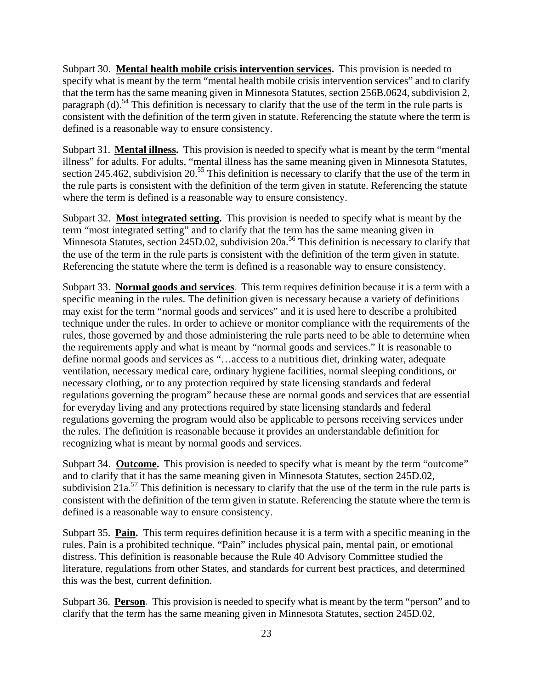Subpart 30. **Mental health mobile crisis intervention services.** This provision is needed to specify what is meant by the term "mental health mobile crisis intervention services" and to clarify that the term has the same meaning given in Minnesota Statutes, section 256B.0624, subdivision 2, paragraph (d).<sup>54</sup> This definition is necessary to clarify that the use of the term in the rule parts is consistent with the definition of the term given in statute. Referencing the statute where the term is defined is a reasonable way to ensure consistency.

Subpart 31. **Mental illness**. This provision is needed to specify what is meant by the term "mental illness" for adults. For adults, "mental illness has the same meaning given in Minnesota Statutes, section 245.462, subdivision 20.<sup>55</sup> This definition is necessary to clarify that the use of the term in the rule parts is consistent with the definition of the term given in statute. Referencing the statute where the term is defined is a reasonable way to ensure consistency.

Subpart 32. Most integrated setting. This provision is needed to specify what is meant by the term "most integrated setting" and to clarify that the term has the same meaning given in Minnesota Statutes, section 245D.02, subdivision 20a.<sup>56</sup> This definition is necessary to clarify that the use of the term in the rule parts is consistent with the definition of the term given in statute. Referencing the statute where the term is defined is a reasonable way to ensure consistency.

Subpart 33. **Normal goods and services**. This term requires definition because it is a term with a specific meaning in the rules. The definition given is necessary because a variety of definitions may exist for the term "normal goods and services" and it is used here to describe a prohibited technique under the rules. In order to achieve or monitor compliance with the requirements of the rules, those governed by and those administering the rule parts need to be able to determine when the requirements apply and what is meant by "normal goods and services." It is reasonable to define normal goods and services as "…access to a nutritious diet, drinking water, adequate ventilation, necessary medical care, ordinary hygiene facilities, normal sleeping conditions, or necessary clothing, or to any protection required by state licensing standards and federal regulations governing the program" because these are normal goods and services that are essential for everyday living and any protections required by state licensing standards and federal regulations governing the program would also be applicable to persons receiving services under the rules. The definition is reasonable because it provides an understandable definition for recognizing what is meant by normal goods and services.

Subpart 34. **Outcome.** This provision is needed to specify what is meant by the term "outcome" and to clarify that it has the same meaning given in Minnesota Statutes, section 245D.02, subdivision  $21a^{57}$  This definition is necessary to clarify that the use of the term in the rule parts is consistent with the definition of the term given in statute. Referencing the statute where the term is defined is a reasonable way to ensure consistency.

Subpart 35. **Pain.** This term requires definition because it is a term with a specific meaning in the rules. Pain is a prohibited technique. "Pain" includes physical pain, mental pain, or emotional distress. This definition is reasonable because the Rule 40 Advisory Committee studied the literature, regulations from other States, and standards for current best practices, and determined this was the best, current definition.

Subpart 36. **Person**. This provision is needed to specify what is meant by the term "person" and to clarify that the term has the same meaning given in Minnesota Statutes, section 245D.02,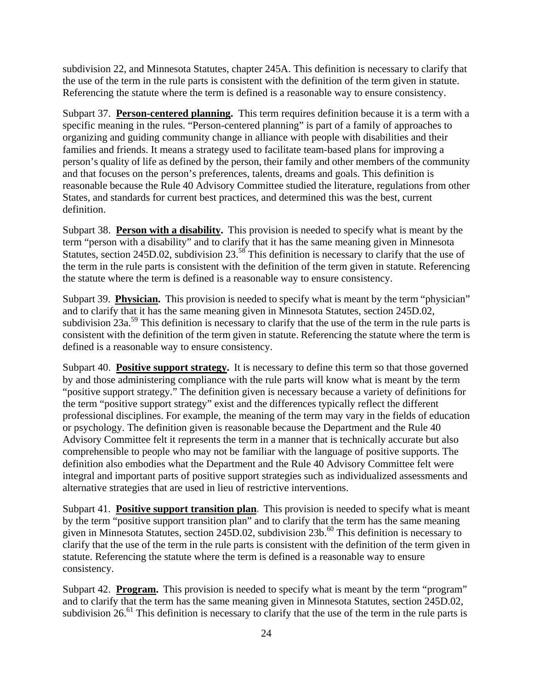subdivision 22, and Minnesota Statutes, chapter 245A. This definition is necessary to clarify that the use of the term in the rule parts is consistent with the definition of the term given in statute. Referencing the statute where the term is defined is a reasonable way to ensure consistency.

Subpart 37. **Person-centered planning.** This term requires definition because it is a term with a specific meaning in the rules. "Person-centered planning" is part of a family of approaches to organizing and guiding community change in alliance with people with disabilities and their families and friends. It means a strategy used to facilitate team-based plans for improving a person's quality of life as defined by the person, their family and other members of the community and that focuses on the person's preferences, talents, dreams and goals. This definition is reasonable because the Rule 40 Advisory Committee studied the literature, regulations from other States, and standards for current best practices, and determined this was the best, current definition.

Subpart 38. **Person with a disability.** This provision is needed to specify what is meant by the term "person with a disability" and to clarify that it has the same meaning given in Minnesota Statutes, section 245D.02, subdivision  $23.58^{\circ}$  This definition is necessary to clarify that the use of the term in the rule parts is consistent with the definition of the term given in statute. Referencing the statute where the term is defined is a reasonable way to ensure consistency.

Subpart 39. **Physician.** This provision is needed to specify what is meant by the term "physician" and to clarify that it has the same meaning given in Minnesota Statutes, section 245D.02, subdivision  $23a$ <sup>59</sup>. This definition is necessary to clarify that the use of the term in the rule parts is consistent with the definition of the term given in statute. Referencing the statute where the term is defined is a reasonable way to ensure consistency.

Subpart 40. **Positive support strategy.** It is necessary to define this term so that those governed by and those administering compliance with the rule parts will know what is meant by the term "positive support strategy." The definition given is necessary because a variety of definitions for the term "positive support strategy" exist and the differences typically reflect the different professional disciplines. For example, the meaning of the term may vary in the fields of education or psychology. The definition given is reasonable because the Department and the Rule 40 Advisory Committee felt it represents the term in a manner that is technically accurate but also comprehensible to people who may not be familiar with the language of positive supports. The definition also embodies what the Department and the Rule 40 Advisory Committee felt were integral and important parts of positive support strategies such as individualized assessments and alternative strategies that are used in lieu of restrictive interventions.

Subpart 41. **Positive support transition plan**. This provision is needed to specify what is meant by the term "positive support transition plan" and to clarify that the term has the same meaning given in Minnesota Statutes, section 245D.02, subdivision  $23b$ .<sup>60</sup> This definition is necessary to clarify that the use of the term in the rule parts is consistent with the definition of the term given in statute. Referencing the statute where the term is defined is a reasonable way to ensure consistency.

Subpart 42. **Program.** This provision is needed to specify what is meant by the term "program" and to clarify that the term has the same meaning given in Minnesota Statutes, section 245D.02, subdivision 26.<sup>61</sup> This definition is necessary to clarify that the use of the term in the rule parts is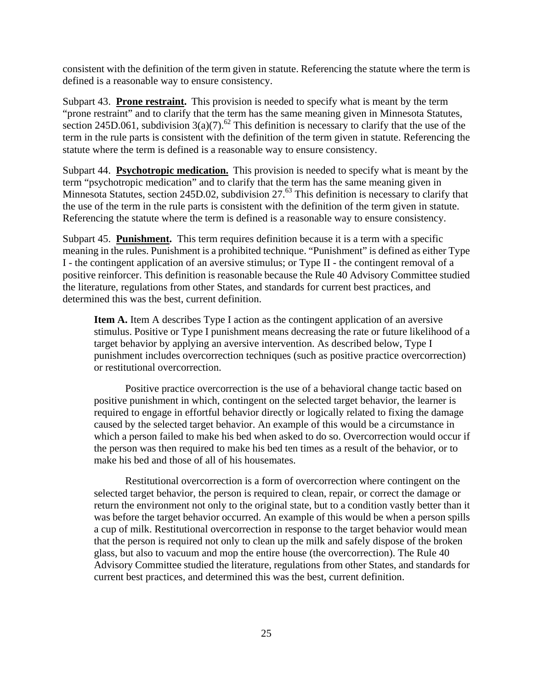consistent with the definition of the term given in statute. Referencing the statute where the term is defined is a reasonable way to ensure consistency.

Subpart 43. **Prone restraint.** This provision is needed to specify what is meant by the term "prone restraint" and to clarify that the term has the same meaning given in Minnesota Statutes, section 245D.061, subdivision  $3(a)(7)$ .<sup>62</sup> This definition is necessary to clarify that the use of the term in the rule parts is consistent with the definition of the term given in statute. Referencing the statute where the term is defined is a reasonable way to ensure consistency.

Subpart 44. **Psychotropic medication.** This provision is needed to specify what is meant by the term "psychotropic medication" and to clarify that the term has the same meaning given in Minnesota Statutes, section 245D.02, subdivision  $27.63$  This definition is necessary to clarify that the use of the term in the rule parts is consistent with the definition of the term given in statute. Referencing the statute where the term is defined is a reasonable way to ensure consistency.

Subpart 45. **Punishment.** This term requires definition because it is a term with a specific meaning in the rules. Punishment is a prohibited technique. "Punishment" is defined as either Type I - the contingent application of an aversive stimulus; or Type II - the contingent removal of a positive reinforcer. This definition is reasonable because the Rule 40 Advisory Committee studied the literature, regulations from other States, and standards for current best practices, and determined this was the best, current definition.

**Item A.** Item A describes Type I action as the contingent application of an aversive stimulus. Positive or Type I punishment means decreasing the rate or future likelihood of a target behavior by applying an aversive intervention. As described below, Type I punishment includes overcorrection techniques (such as positive practice overcorrection) or restitutional overcorrection.

Positive practice overcorrection is the use of a behavioral change tactic based on positive punishment in which, contingent on the selected target behavior, the learner is required to engage in effortful behavior directly or logically related to fixing the damage caused by the selected target behavior. An example of this would be a circumstance in which a person failed to make his bed when asked to do so. Overcorrection would occur if the person was then required to make his bed ten times as a result of the behavior, or to make his bed and those of all of his housemates.

Restitutional overcorrection is a form of overcorrection where contingent on the selected target behavior, the person is required to clean, repair, or correct the damage or return the environment not only to the original state, but to a condition vastly better than it was before the target behavior occurred. An example of this would be when a person spills a cup of milk. Restitutional overcorrection in response to the target behavior would mean that the person is required not only to clean up the milk and safely dispose of the broken glass, but also to vacuum and mop the entire house (the overcorrection). The Rule 40 Advisory Committee studied the literature, regulations from other States, and standards for current best practices, and determined this was the best, current definition.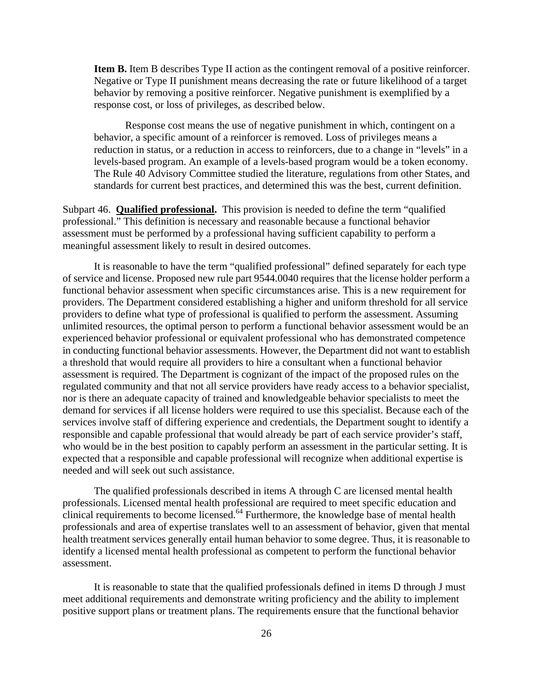**Item B.** Item B describes Type II action as the contingent removal of a positive reinforcer. Negative or Type II punishment means decreasing the rate or future likelihood of a target behavior by removing a positive reinforcer. Negative punishment is exemplified by a response cost, or loss of privileges, as described below.

Response cost means the use of negative punishment in which, contingent on a behavior, a specific amount of a reinforcer is removed. Loss of privileges means a reduction in status, or a reduction in access to reinforcers, due to a change in "levels" in a levels-based program. An example of a levels-based program would be a token economy. The Rule 40 Advisory Committee studied the literature, regulations from other States, and standards for current best practices, and determined this was the best, current definition.

Subpart 46. **Qualified professional.** This provision is needed to define the term "qualified professional." This definition is necessary and reasonable because a functional behavior assessment must be performed by a professional having sufficient capability to perform a meaningful assessment likely to result in desired outcomes.

It is reasonable to have the term "qualified professional" defined separately for each type of service and license. Proposed new rule part 9544.0040 requires that the license holder perform a functional behavior assessment when specific circumstances arise. This is a new requirement for providers. The Department considered establishing a higher and uniform threshold for all service providers to define what type of professional is qualified to perform the assessment. Assuming unlimited resources, the optimal person to perform a functional behavior assessment would be an experienced behavior professional or equivalent professional who has demonstrated competence in conducting functional behavior assessments. However, the Department did not want to establish a threshold that would require all providers to hire a consultant when a functional behavior assessment is required. The Department is cognizant of the impact of the proposed rules on the regulated community and that not all service providers have ready access to a behavior specialist, nor is there an adequate capacity of trained and knowledgeable behavior specialists to meet the demand for services if all license holders were required to use this specialist. Because each of the services involve staff of differing experience and credentials, the Department sought to identify a responsible and capable professional that would already be part of each service provider's staff, who would be in the best position to capably perform an assessment in the particular setting. It is expected that a responsible and capable professional will recognize when additional expertise is needed and will seek out such assistance.

The qualified professionals described in items A through C are licensed mental health professionals. Licensed mental health professional are required to meet specific education and clinical requirements to become licensed.64 Furthermore, the knowledge base of mental health professionals and area of expertise translates well to an assessment of behavior, given that mental health treatment services generally entail human behavior to some degree. Thus, it is reasonable to identify a licensed mental health professional as competent to perform the functional behavior assessment.

It is reasonable to state that the qualified professionals defined in items D through J must meet additional requirements and demonstrate writing proficiency and the ability to implement positive support plans or treatment plans. The requirements ensure that the functional behavior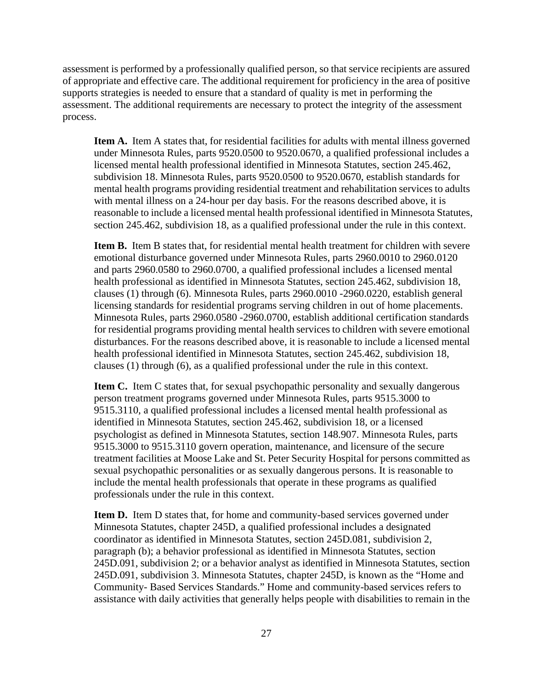assessment is performed by a professionally qualified person, so that service recipients are assured of appropriate and effective care. The additional requirement for proficiency in the area of positive supports strategies is needed to ensure that a standard of quality is met in performing the assessment. The additional requirements are necessary to protect the integrity of the assessment process.

**Item A.** Item A states that, for residential facilities for adults with mental illness governed under Minnesota Rules, parts 9520.0500 to 9520.0670, a qualified professional includes a licensed mental health professional identified in Minnesota Statutes, section 245.462, subdivision 18. Minnesota Rules, parts 9520.0500 to 9520.0670, establish standards for mental health programs providing residential treatment and rehabilitation services to adults with mental illness on a 24-hour per day basis. For the reasons described above, it is reasonable to include a licensed mental health professional identified in Minnesota Statutes, section 245.462, subdivision 18, as a qualified professional under the rule in this context.

**Item B.** Item B states that, for residential mental health treatment for children with severe emotional disturbance governed under Minnesota Rules, parts 2960.0010 to 2960.0120 and parts 2960.0580 to 2960.0700, a qualified professional includes a licensed mental health professional as identified in Minnesota Statutes, section 245.462, subdivision 18, clauses (1) through (6). Minnesota Rules, parts 2960.0010 -2960.0220, establish general licensing standards for residential programs serving children in out of home placements. Minnesota Rules, parts 2960.0580 -2960.0700, establish additional certification standards for residential programs providing mental health services to children with severe emotional disturbances. For the reasons described above, it is reasonable to include a licensed mental health professional identified in Minnesota Statutes, section 245.462, subdivision 18, clauses (1) through (6), as a qualified professional under the rule in this context.

**Item C.** Item C states that, for sexual psychopathic personality and sexually dangerous person treatment programs governed under Minnesota Rules, parts 9515.3000 to 9515.3110, a qualified professional includes a licensed mental health professional as identified in Minnesota Statutes, section 245.462, subdivision 18, or a licensed psychologist as defined in Minnesota Statutes, section 148.907. Minnesota Rules, parts 9515.3000 to 9515.3110 govern operation, maintenance, and licensure of the secure treatment facilities at Moose Lake and St. Peter Security Hospital for persons committed as sexual psychopathic personalities or as sexually dangerous persons. It is reasonable to include the mental health professionals that operate in these programs as qualified professionals under the rule in this context.

**Item D.** Item D states that, for home and community-based services governed under Minnesota Statutes, chapter 245D, a qualified professional includes a designated coordinator as identified in Minnesota Statutes, section 245D.081, subdivision 2, paragraph (b); a behavior professional as identified in Minnesota Statutes, section 245D.091, subdivision 2; or a behavior analyst as identified in Minnesota Statutes, section 245D.091, subdivision 3. Minnesota Statutes, chapter 245D, is known as the "Home and Community- Based Services Standards." Home and community-based services refers to assistance with daily activities that generally helps people with disabilities to remain in the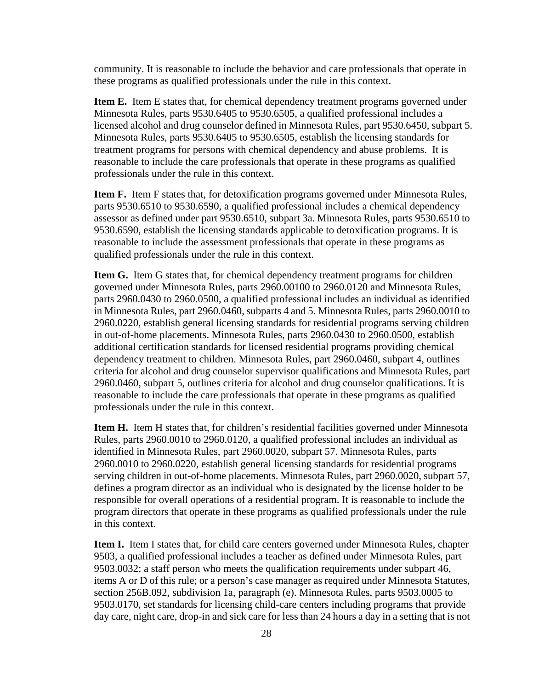community. It is reasonable to include the behavior and care professionals that operate in these programs as qualified professionals under the rule in this context.

**Item E.** Item E states that, for chemical dependency treatment programs governed under Minnesota Rules, parts 9530.6405 to 9530.6505, a qualified professional includes a licensed alcohol and drug counselor defined in Minnesota Rules, part 9530.6450, subpart 5. Minnesota Rules, parts 9530.6405 to 9530.6505, establish the licensing standards for treatment programs for persons with chemical dependency and abuse problems. It is reasonable to include the care professionals that operate in these programs as qualified professionals under the rule in this context.

**Item F.** Item F states that, for detoxification programs governed under Minnesota Rules, parts 9530.6510 to 9530.6590, a qualified professional includes a chemical dependency assessor as defined under part 9530.6510, subpart 3a. Minnesota Rules, parts 9530.6510 to 9530.6590, establish the licensing standards applicable to detoxification programs. It is reasonable to include the assessment professionals that operate in these programs as qualified professionals under the rule in this context.

**Item G.** Item G states that, for chemical dependency treatment programs for children governed under Minnesota Rules, parts 2960.00100 to 2960.0120 and Minnesota Rules, parts 2960.0430 to 2960.0500, a qualified professional includes an individual as identified in Minnesota Rules, part 2960.0460, subparts 4 and 5. Minnesota Rules, parts 2960.0010 to 2960.0220, establish general licensing standards for residential programs serving children in out-of-home placements. Minnesota Rules, parts 2960.0430 to 2960.0500, establish additional certification standards for licensed residential programs providing chemical dependency treatment to children. Minnesota Rules, part 2960.0460, subpart 4, outlines criteria for alcohol and drug counselor supervisor qualifications and Minnesota Rules, part 2960.0460, subpart 5, outlines criteria for alcohol and drug counselor qualifications. It is reasonable to include the care professionals that operate in these programs as qualified professionals under the rule in this context.

**Item H.** Item H states that, for children's residential facilities governed under Minnesota Rules, parts 2960.0010 to 2960.0120, a qualified professional includes an individual as identified in Minnesota Rules, part 2960.0020, subpart 57. Minnesota Rules, parts 2960.0010 to 2960.0220, establish general licensing standards for residential programs serving children in out-of-home placements. Minnesota Rules, part 2960.0020, subpart 57, defines a program director as an individual who is designated by the license holder to be responsible for overall operations of a residential program. It is reasonable to include the program directors that operate in these programs as qualified professionals under the rule in this context.

**Item I.** Item I states that, for child care centers governed under Minnesota Rules, chapter 9503, a qualified professional includes a teacher as defined under Minnesota Rules, part 9503.0032; a staff person who meets the qualification requirements under subpart 46, items A or D of this rule; or a person's case manager as required under Minnesota Statutes, section 256B.092, subdivision 1a, paragraph (e). Minnesota Rules, parts 9503.0005 to 9503.0170, set standards for licensing child-care centers including programs that provide day care, night care, drop-in and sick care for less than 24 hours a day in a setting that is not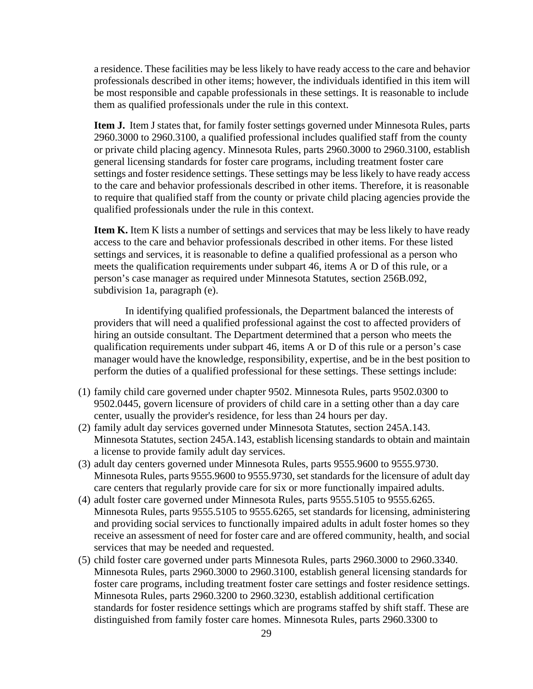a residence. These facilities may be less likely to have ready access to the care and behavior professionals described in other items; however, the individuals identified in this item will be most responsible and capable professionals in these settings. It is reasonable to include them as qualified professionals under the rule in this context.

**Item J.** Item J states that, for family foster settings governed under Minnesota Rules, parts 2960.3000 to 2960.3100, a qualified professional includes qualified staff from the county or private child placing agency. Minnesota Rules, parts 2960.3000 to 2960.3100, establish general licensing standards for foster care programs, including treatment foster care settings and foster residence settings. These settings may be less likely to have ready access to the care and behavior professionals described in other items. Therefore, it is reasonable to require that qualified staff from the county or private child placing agencies provide the qualified professionals under the rule in this context.

**Item K.** Item K lists a number of settings and services that may be less likely to have ready access to the care and behavior professionals described in other items. For these listed settings and services, it is reasonable to define a qualified professional as a person who meets the qualification requirements under subpart 46, items A or D of this rule, or a person's case manager as required under Minnesota Statutes, section 256B.092, subdivision 1a, paragraph (e).

In identifying qualified professionals, the Department balanced the interests of providers that will need a qualified professional against the cost to affected providers of hiring an outside consultant. The Department determined that a person who meets the qualification requirements under subpart 46, items A or D of this rule or a person's case manager would have the knowledge, responsibility, expertise, and be in the best position to perform the duties of a qualified professional for these settings. These settings include:

- (1) family child care governed under chapter 9502. Minnesota Rules, parts 9502.0300 to 9502.0445, govern licensure of providers of child care in a setting other than a day care center, usually the provider's residence, for less than 24 hours per day.
- (2) family adult day services governed under Minnesota Statutes, section 245A.143. Minnesota Statutes, section 245A.143, establish licensing standards to obtain and maintain a license to provide family adult day services.
- (3) adult day centers governed under Minnesota Rules, parts 9555.9600 to 9555.9730. Minnesota Rules, parts 9555.9600 to 9555.9730, set standards for the licensure of adult day care centers that regularly provide care for six or more functionally impaired adults.
- (4) adult foster care governed under Minnesota Rules, parts 9555.5105 to 9555.6265. Minnesota Rules, parts 9555.5105 to 9555.6265, set standards for licensing, administering and providing social services to functionally impaired adults in adult foster homes so they receive an assessment of need for foster care and are offered community, health, and social services that may be needed and requested.
- (5) child foster care governed under parts Minnesota Rules, parts 2960.3000 to 2960.3340. Minnesota Rules, parts 2960.3000 to 2960.3100, establish general licensing standards for foster care programs, including treatment foster care settings and foster residence settings. Minnesota Rules, parts 2960.3200 to 2960.3230, establish additional certification standards for foster residence settings which are programs staffed by shift staff. These are distinguished from family foster care homes. Minnesota Rules, parts 2960.3300 to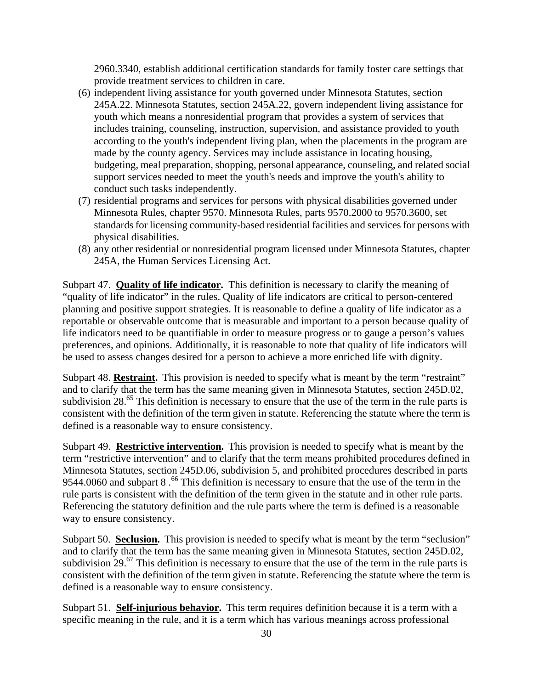2960.3340, establish additional certification standards for family foster care settings that provide treatment services to children in care.

- (6) independent living assistance for youth governed under Minnesota Statutes, section 245A.22. Minnesota Statutes, section 245A.22, govern independent living assistance for youth which means a nonresidential program that provides a system of services that includes training, counseling, instruction, supervision, and assistance provided to youth according to the youth's independent living plan, when the placements in the program are made by the county agency. Services may include assistance in locating housing, budgeting, meal preparation, shopping, personal appearance, counseling, and related social support services needed to meet the youth's needs and improve the youth's ability to conduct such tasks independently.
- (7) residential programs and services for persons with physical disabilities governed under Minnesota Rules, chapter 9570. Minnesota Rules, parts 9570.2000 to 9570.3600, set standards for licensing community-based residential facilities and services for persons with physical disabilities.
- (8) any other residential or nonresidential program licensed under Minnesota Statutes, chapter 245A, the Human Services Licensing Act.

Subpart 47. **Quality of life indicator.** This definition is necessary to clarify the meaning of "quality of life indicator" in the rules. Quality of life indicators are critical to person-centered planning and positive support strategies. It is reasonable to define a quality of life indicator as a reportable or observable outcome that is measurable and important to a person because quality of life indicators need to be quantifiable in order to measure progress or to gauge a person's values preferences, and opinions. Additionally, it is reasonable to note that quality of life indicators will be used to assess changes desired for a person to achieve a more enriched life with dignity.

Subpart 48. **Restraint.** This provision is needed to specify what is meant by the term "restraint" and to clarify that the term has the same meaning given in Minnesota Statutes, section 245D.02, subdivision 28.<sup>65</sup> This definition is necessary to ensure that the use of the term in the rule parts is consistent with the definition of the term given in statute. Referencing the statute where the term is defined is a reasonable way to ensure consistency.

Subpart 49. **Restrictive intervention.** This provision is needed to specify what is meant by the term "restrictive intervention" and to clarify that the term means prohibited procedures defined in Minnesota Statutes, section 245D.06, subdivision 5, and prohibited procedures described in parts 9544.0060 and subpart 8.<sup>66</sup> This definition is necessary to ensure that the use of the term in the rule parts is consistent with the definition of the term given in the statute and in other rule parts. Referencing the statutory definition and the rule parts where the term is defined is a reasonable way to ensure consistency.

Subpart 50. **Seclusion.** This provision is needed to specify what is meant by the term "seclusion" and to clarify that the term has the same meaning given in Minnesota Statutes, section 245D.02, subdivision 29.<sup>67</sup> This definition is necessary to ensure that the use of the term in the rule parts is consistent with the definition of the term given in statute. Referencing the statute where the term is defined is a reasonable way to ensure consistency.

Subpart 51. **Self-injurious behavior.** This term requires definition because it is a term with a specific meaning in the rule, and it is a term which has various meanings across professional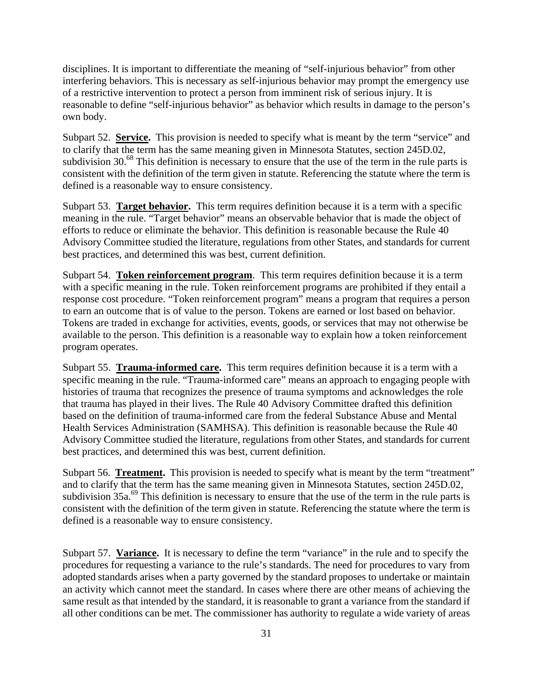disciplines. It is important to differentiate the meaning of "self-injurious behavior" from other interfering behaviors. This is necessary as self-injurious behavior may prompt the emergency use of a restrictive intervention to protect a person from imminent risk of serious injury. It is reasonable to define "self-injurious behavior" as behavior which results in damage to the person's own body.

Subpart 52. **Service.** This provision is needed to specify what is meant by the term "service" and to clarify that the term has the same meaning given in Minnesota Statutes, section 245D.02, subdivision 30.<sup>68</sup> This definition is necessary to ensure that the use of the term in the rule parts is consistent with the definition of the term given in statute. Referencing the statute where the term is defined is a reasonable way to ensure consistency.

Subpart 53. **Target behavior.** This term requires definition because it is a term with a specific meaning in the rule. "Target behavior" means an observable behavior that is made the object of efforts to reduce or eliminate the behavior. This definition is reasonable because the Rule 40 Advisory Committee studied the literature, regulations from other States, and standards for current best practices, and determined this was best, current definition.

Subpart 54. **Token reinforcement program**. This term requires definition because it is a term with a specific meaning in the rule. Token reinforcement programs are prohibited if they entail a response cost procedure. "Token reinforcement program" means a program that requires a person to earn an outcome that is of value to the person. Tokens are earned or lost based on behavior. Tokens are traded in exchange for activities, events, goods, or services that may not otherwise be available to the person. This definition is a reasonable way to explain how a token reinforcement program operates.

Subpart 55. **Trauma-informed care.** This term requires definition because it is a term with a specific meaning in the rule. "Trauma-informed care" means an approach to engaging people with histories of trauma that recognizes the presence of trauma symptoms and acknowledges the role that trauma has played in their lives. The Rule 40 Advisory Committee drafted this definition based on the definition of trauma-informed care from the federal Substance Abuse and Mental Health Services Administration (SAMHSA). This definition is reasonable because the Rule 40 Advisory Committee studied the literature, regulations from other States, and standards for current best practices, and determined this was best, current definition.

Subpart 56. **Treatment.** This provision is needed to specify what is meant by the term "treatment" and to clarify that the term has the same meaning given in Minnesota Statutes, section 245D.02, subdivision 35a.<sup>69</sup> This definition is necessary to ensure that the use of the term in the rule parts is consistent with the definition of the term given in statute. Referencing the statute where the term is defined is a reasonable way to ensure consistency.

Subpart 57. **Variance.** It is necessary to define the term "variance" in the rule and to specify the procedures for requesting a variance to the rule's standards. The need for procedures to vary from adopted standards arises when a party governed by the standard proposes to undertake or maintain an activity which cannot meet the standard. In cases where there are other means of achieving the same result as that intended by the standard, it is reasonable to grant a variance from the standard if all other conditions can be met. The commissioner has authority to regulate a wide variety of areas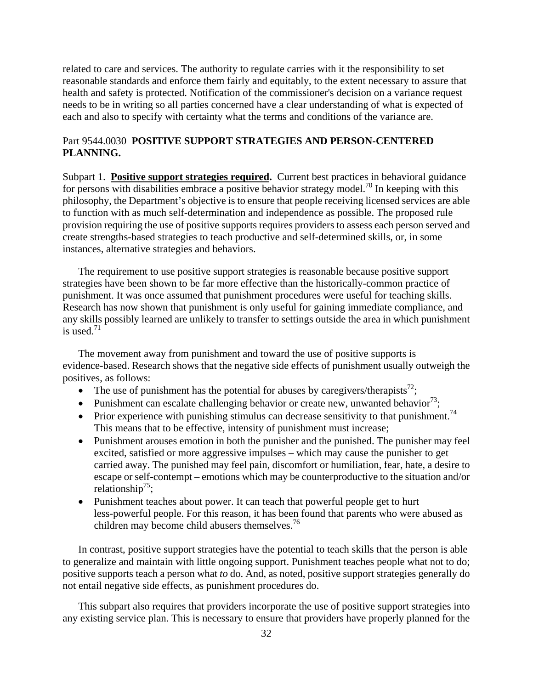related to care and services. The authority to regulate carries with it the responsibility to set reasonable standards and enforce them fairly and equitably, to the extent necessary to assure that health and safety is protected. Notification of the commissioner's decision on a variance request needs to be in writing so all parties concerned have a clear understanding of what is expected of each and also to specify with certainty what the terms and conditions of the variance are.

# Part 9544.0030 **POSITIVE SUPPORT STRATEGIES AND PERSON-CENTERED PLANNING.**

Subpart 1. **Positive support strategies required.** Current best practices in behavioral guidance for persons with disabilities embrace a positive behavior strategy model.<sup>70</sup> In keeping with this philosophy, the Department's objective is to ensure that people receiving licensed services are able to function with as much self-determination and independence as possible. The proposed rule provision requiring the use of positive supports requires providers to assess each person served and create strengths-based strategies to teach productive and self-determined skills, or, in some instances, alternative strategies and behaviors.

is used. $71$ The requirement to use positive support strategies is reasonable because positive support strategies have been shown to be far more effective than the historically-common practice of punishment. It was once assumed that punishment procedures were useful for teaching skills. Research has now shown that punishment is only useful for gaining immediate compliance, and any skills possibly learned are unlikely to transfer to settings outside the area in which punishment

The movement away from punishment and toward the use of positive supports is evidence-based. Research shows that the negative side effects of punishment usually outweigh the positives, as follows:

- The use of punishment has the potential for abuses by caregivers/therapists<sup>72</sup>;
- Punishment can escalate challenging behavior or create new, unwanted behavior<sup>73</sup>;
- Prior experience with punishing stimulus can decrease sensitivity to that punishment.<sup>74</sup> This means that to be effective, intensity of punishment must increase;
- Punishment arouses emotion in both the punisher and the punished. The punisher may feel excited, satisfied or more aggressive impulses – which may cause the punisher to get carried away. The punished may feel pain, discomfort or humiliation, fear, hate, a desire to escape or self-contempt – emotions which may be counterproductive to the situation and/or relationship<sup>75</sup>;
- children may become child abusers themselves.<sup>76</sup> • Punishment teaches about power. It can teach that powerful people get to hurt less-powerful people. For this reason, it has been found that parents who were abused as

In contrast, positive support strategies have the potential to teach skills that the person is able to generalize and maintain with little ongoing support. Punishment teaches people what not to do; positive supports teach a person what *to* do. And, as noted, positive support strategies generally do not entail negative side effects, as punishment procedures do.

This subpart also requires that providers incorporate the use of positive support strategies into any existing service plan. This is necessary to ensure that providers have properly planned for the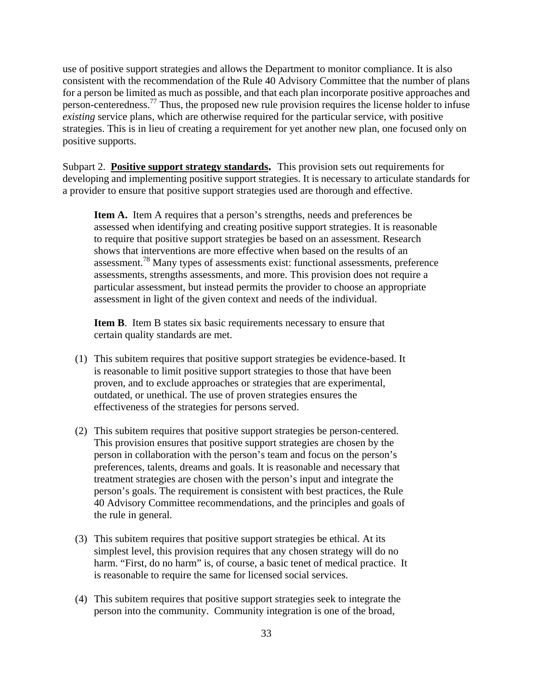use of positive support strategies and allows the Department to monitor compliance. It is also consistent with the recommendation of the Rule 40 Advisory Committee that the number of plans for a person be limited as much as possible, and that each plan incorporate positive approaches and person-centeredness.77 Thus, the proposed new rule provision requires the license holder to infuse *existing* service plans, which are otherwise required for the particular service, with positive strategies. This is in lieu of creating a requirement for yet another new plan, one focused only on positive supports.

 Subpart 2. **Positive support strategy standards.** This provision sets out requirements for developing and implementing positive support strategies. It is necessary to articulate standards for a provider to ensure that positive support strategies used are thorough and effective.

**Item A.** Item A requires that a person's strengths, needs and preferences be assessed when identifying and creating positive support strategies. It is reasonable to require that positive support strategies be based on an assessment. Research shows that interventions are more effective when based on the results of an assessment.78 Many types of assessments exist: functional assessments, preference assessments, strengths assessments, and more. This provision does not require a particular assessment, but instead permits the provider to choose an appropriate assessment in light of the given context and needs of the individual.

**Item B**. Item B states six basic requirements necessary to ensure that certain quality standards are met.

- (1) This subitem requires that positive support strategies be evidence-based. It is reasonable to limit positive support strategies to those that have been proven, and to exclude approaches or strategies that are experimental, outdated, or unethical. The use of proven strategies ensures the effectiveness of the strategies for persons served.
- (2) This subitem requires that positive support strategies be person-centered. This provision ensures that positive support strategies are chosen by the person in collaboration with the person's team and focus on the person's preferences, talents, dreams and goals. It is reasonable and necessary that treatment strategies are chosen with the person's input and integrate the person's goals. The requirement is consistent with best practices, the Rule 40 Advisory Committee recommendations, and the principles and goals of the rule in general.
- (3) This subitem requires that positive support strategies be ethical. At its simplest level, this provision requires that any chosen strategy will do no harm. "First, do no harm" is, of course, a basic tenet of medical practice. It is reasonable to require the same for licensed social services.
- (4) This subitem requires that positive support strategies seek to integrate the person into the community. Community integration is one of the broad,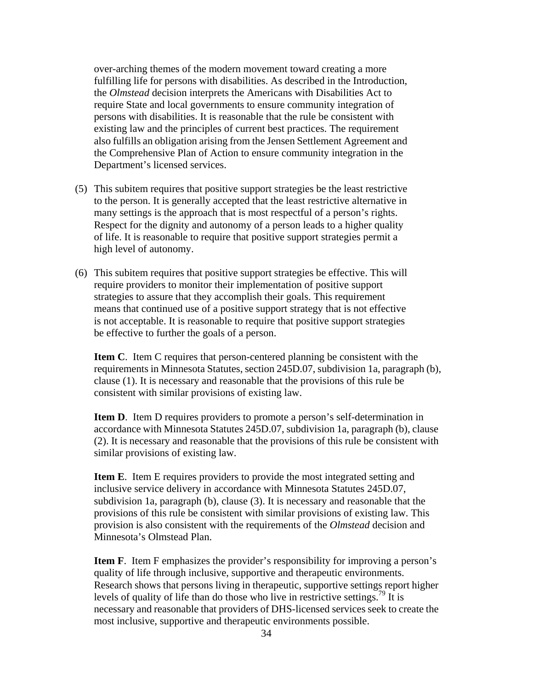over-arching themes of the modern movement toward creating a more fulfilling life for persons with disabilities. As described in the Introduction, the *Olmstead* decision interprets the Americans with Disabilities Act to require State and local governments to ensure community integration of persons with disabilities. It is reasonable that the rule be consistent with existing law and the principles of current best practices. The requirement also fulfills an obligation arising from the Jensen Settlement Agreement and the Comprehensive Plan of Action to ensure community integration in the Department's licensed services.

- (5) This subitem requires that positive support strategies be the least restrictive to the person. It is generally accepted that the least restrictive alternative in many settings is the approach that is most respectful of a person's rights. Respect for the dignity and autonomy of a person leads to a higher quality of life. It is reasonable to require that positive support strategies permit a high level of autonomy.
- (6) This subitem requires that positive support strategies be effective. This will require providers to monitor their implementation of positive support strategies to assure that they accomplish their goals. This requirement means that continued use of a positive support strategy that is not effective is not acceptable. It is reasonable to require that positive support strategies be effective to further the goals of a person.

**Item C**. Item C requires that person-centered planning be consistent with the requirements in Minnesota Statutes, section 245D.07, subdivision 1a, paragraph (b), clause (1). It is necessary and reasonable that the provisions of this rule be consistent with similar provisions of existing law.

**Item D.** Item D requires providers to promote a person's self-determination in accordance with Minnesota Statutes 245D.07, subdivision 1a, paragraph (b), clause (2). It is necessary and reasonable that the provisions of this rule be consistent with similar provisions of existing law.

**Item E**. Item E requires providers to provide the most integrated setting and inclusive service delivery in accordance with Minnesota Statutes 245D.07, subdivision 1a, paragraph (b), clause (3). It is necessary and reasonable that the provisions of this rule be consistent with similar provisions of existing law. This provision is also consistent with the requirements of the *Olmstead* decision and Minnesota's Olmstead Plan.

**Item F**. Item F emphasizes the provider's responsibility for improving a person's quality of life through inclusive, supportive and therapeutic environments. Research shows that persons living in therapeutic, supportive settings report higher levels of quality of life than do those who live in restrictive settings.<sup>79</sup> It is necessary and reasonable that providers of DHS-licensed services seek to create the most inclusive, supportive and therapeutic environments possible.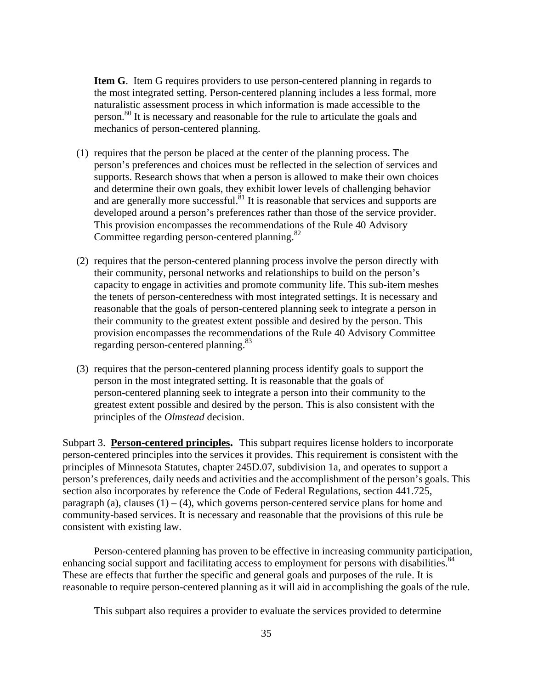**Item G**. Item G requires providers to use person-centered planning in regards to the most integrated setting. Person-centered planning includes a less formal, more naturalistic assessment process in which information is made accessible to the person.<sup>80</sup> It is necessary and reasonable for the rule to articulate the goals and mechanics of person-centered planning.

- Committee regarding person-centered planning.<sup>82</sup> (1) requires that the person be placed at the center of the planning process. The person's preferences and choices must be reflected in the selection of services and supports. Research shows that when a person is allowed to make their own choices and determine their own goals, they exhibit lower levels of challenging behavior and are generally more successful. ${}^{81}$  It is reasonable that services and supports are developed around a person's preferences rather than those of the service provider. This provision encompasses the recommendations of the Rule 40 Advisory
- regarding person-centered planning.<sup>83</sup> (2) requires that the person-centered planning process involve the person directly with their community, personal networks and relationships to build on the person's capacity to engage in activities and promote community life. This sub-item meshes the tenets of person-centeredness with most integrated settings. It is necessary and reasonable that the goals of person-centered planning seek to integrate a person in their community to the greatest extent possible and desired by the person. This provision encompasses the recommendations of the Rule 40 Advisory Committee
- (3) requires that the person-centered planning process identify goals to support the person in the most integrated setting. It is reasonable that the goals of person-centered planning seek to integrate a person into their community to the greatest extent possible and desired by the person. This is also consistent with the principles of the *Olmstead* decision.

 Subpart 3. **Person-centered principles.** This subpart requires license holders to incorporate person-centered principles into the services it provides. This requirement is consistent with the principles of Minnesota Statutes, chapter 245D.07, subdivision 1a, and operates to support a person's preferences, daily needs and activities and the accomplishment of the person's goals. This section also incorporates by reference the Code of Federal Regulations, section 441.725, paragraph (a), clauses  $(1) - (4)$ , which governs person-centered service plans for home and community-based services. It is necessary and reasonable that the provisions of this rule be consistent with existing law.

Person-centered planning has proven to be effective in increasing community participation, enhancing social support and facilitating access to employment for persons with disabilities.<sup>84</sup> These are effects that further the specific and general goals and purposes of the rule. It is reasonable to require person-centered planning as it will aid in accomplishing the goals of the rule.

This subpart also requires a provider to evaluate the services provided to determine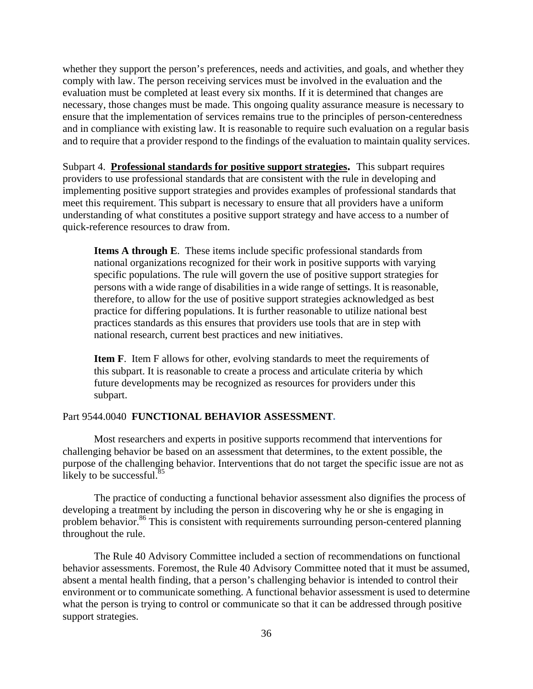whether they support the person's preferences, needs and activities, and goals, and whether they comply with law. The person receiving services must be involved in the evaluation and the evaluation must be completed at least every six months. If it is determined that changes are necessary, those changes must be made. This ongoing quality assurance measure is necessary to ensure that the implementation of services remains true to the principles of person-centeredness and in compliance with existing law. It is reasonable to require such evaluation on a regular basis and to require that a provider respond to the findings of the evaluation to maintain quality services.

 Subpart 4. **Professional standards for positive support strategies.** This subpart requires providers to use professional standards that are consistent with the rule in developing and implementing positive support strategies and provides examples of professional standards that meet this requirement. This subpart is necessary to ensure that all providers have a uniform understanding of what constitutes a positive support strategy and have access to a number of quick-reference resources to draw from.

**Items A through E**. These items include specific professional standards from national organizations recognized for their work in positive supports with varying specific populations. The rule will govern the use of positive support strategies for persons with a wide range of disabilities in a wide range of settings. It is reasonable, therefore, to allow for the use of positive support strategies acknowledged as best practice for differing populations. It is further reasonable to utilize national best practices standards as this ensures that providers use tools that are in step with national research, current best practices and new initiatives.

**Item F**. Item F allows for other, evolving standards to meet the requirements of this subpart. It is reasonable to create a process and articulate criteria by which future developments may be recognized as resources for providers under this subpart.

## Part 9544.0040 **FUNCTIONAL BEHAVIOR ASSESSMENT.**

likely to be successful. $85$ Most researchers and experts in positive supports recommend that interventions for challenging behavior be based on an assessment that determines, to the extent possible, the purpose of the challenging behavior. Interventions that do not target the specific issue are not as

The practice of conducting a functional behavior assessment also dignifies the process of developing a treatment by including the person in discovering why he or she is engaging in problem behavior.<sup>86</sup> This is consistent with requirements surrounding person-centered planning throughout the rule.

The Rule 40 Advisory Committee included a section of recommendations on functional behavior assessments. Foremost, the Rule 40 Advisory Committee noted that it must be assumed, absent a mental health finding, that a person's challenging behavior is intended to control their environment or to communicate something. A functional behavior assessment is used to determine what the person is trying to control or communicate so that it can be addressed through positive support strategies.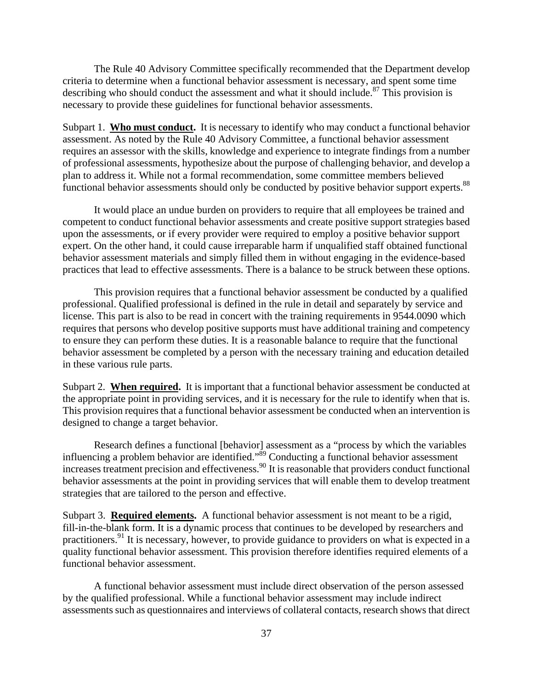The Rule 40 Advisory Committee specifically recommended that the Department develop criteria to determine when a functional behavior assessment is necessary, and spent some time describing who should conduct the assessment and what it should include.<sup>87</sup> This provision is necessary to provide these guidelines for functional behavior assessments.

functional behavior assessments should only be conducted by positive behavior support experts.<sup>88</sup> Subpart 1. **Who must conduct.** It is necessary to identify who may conduct a functional behavior assessment. As noted by the Rule 40 Advisory Committee, a functional behavior assessment requires an assessor with the skills, knowledge and experience to integrate findings from a number of professional assessments, hypothesize about the purpose of challenging behavior, and develop a plan to address it. While not a formal recommendation, some committee members believed

It would place an undue burden on providers to require that all employees be trained and competent to conduct functional behavior assessments and create positive support strategies based upon the assessments, or if every provider were required to employ a positive behavior support expert. On the other hand, it could cause irreparable harm if unqualified staff obtained functional behavior assessment materials and simply filled them in without engaging in the evidence-based practices that lead to effective assessments. There is a balance to be struck between these options.

This provision requires that a functional behavior assessment be conducted by a qualified professional. Qualified professional is defined in the rule in detail and separately by service and license. This part is also to be read in concert with the training requirements in 9544.0090 which requires that persons who develop positive supports must have additional training and competency to ensure they can perform these duties. It is a reasonable balance to require that the functional behavior assessment be completed by a person with the necessary training and education detailed in these various rule parts.

Subpart 2. **When required.** It is important that a functional behavior assessment be conducted at the appropriate point in providing services, and it is necessary for the rule to identify when that is. This provision requires that a functional behavior assessment be conducted when an intervention is designed to change a target behavior.

Research defines a functional [behavior] assessment as a "process by which the variables influencing a problem behavior are identified."<sup>89</sup> Conducting a functional behavior assessment increases treatment precision and effectiveness.<sup>90</sup> It is reasonable that providers conduct functional behavior assessments at the point in providing services that will enable them to develop treatment strategies that are tailored to the person and effective.

Subpart 3. **Required elements.** A functional behavior assessment is not meant to be a rigid, fill-in-the-blank form. It is a dynamic process that continues to be developed by researchers and practitioners.91 It is necessary, however, to provide guidance to providers on what is expected in a quality functional behavior assessment. This provision therefore identifies required elements of a functional behavior assessment.

A functional behavior assessment must include direct observation of the person assessed by the qualified professional. While a functional behavior assessment may include indirect assessments such as questionnaires and interviews of collateral contacts, research shows that direct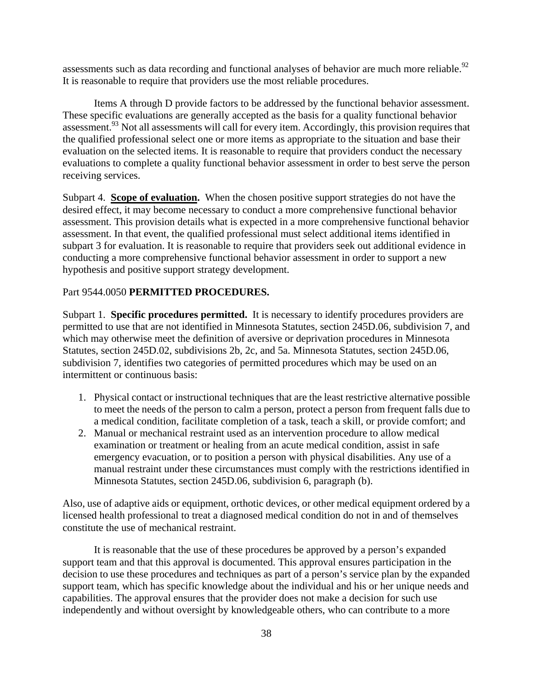assessments such as data recording and functional analyses of behavior are much more reliable.<sup>92</sup> It is reasonable to require that providers use the most reliable procedures.

Items A through D provide factors to be addressed by the functional behavior assessment. These specific evaluations are generally accepted as the basis for a quality functional behavior assessment.<sup>93</sup> Not all assessments will call for every item. Accordingly, this provision requires that the qualified professional select one or more items as appropriate to the situation and base their evaluation on the selected items. It is reasonable to require that providers conduct the necessary evaluations to complete a quality functional behavior assessment in order to best serve the person receiving services.

Subpart 4. **Scope of evaluation.** When the chosen positive support strategies do not have the desired effect, it may become necessary to conduct a more comprehensive functional behavior assessment. This provision details what is expected in a more comprehensive functional behavior assessment. In that event, the qualified professional must select additional items identified in subpart 3 for evaluation. It is reasonable to require that providers seek out additional evidence in conducting a more comprehensive functional behavior assessment in order to support a new hypothesis and positive support strategy development.

# Part 9544.0050 **PERMITTED PROCEDURES.**

intermittent or continuous basis: Subpart 1. **Specific procedures permitted.** It is necessary to identify procedures providers are permitted to use that are not identified in Minnesota Statutes, section 245D.06, subdivision 7, and which may otherwise meet the definition of aversive or deprivation procedures in Minnesota Statutes, section 245D.02, subdivisions 2b, 2c, and 5a. Minnesota Statutes, section 245D.06, subdivision 7, identifies two categories of permitted procedures which may be used on an

- 1. Physical contact or instructional techniques that are the least restrictive alternative possible to meet the needs of the person to calm a person, protect a person from frequent falls due to a medical condition, facilitate completion of a task, teach a skill, or provide comfort; and
- 2. Manual or mechanical restraint used as an intervention procedure to allow medical examination or treatment or healing from an acute medical condition, assist in safe emergency evacuation, or to position a person with physical disabilities. Any use of a manual restraint under these circumstances must comply with the restrictions identified in Minnesota Statutes, section 245D.06, subdivision 6, paragraph (b).

Also, use of adaptive aids or equipment, orthotic devices, or other medical equipment ordered by a licensed health professional to treat a diagnosed medical condition do not in and of themselves constitute the use of mechanical restraint.

It is reasonable that the use of these procedures be approved by a person's expanded support team and that this approval is documented. This approval ensures participation in the decision to use these procedures and techniques as part of a person's service plan by the expanded support team, which has specific knowledge about the individual and his or her unique needs and capabilities. The approval ensures that the provider does not make a decision for such use independently and without oversight by knowledgeable others, who can contribute to a more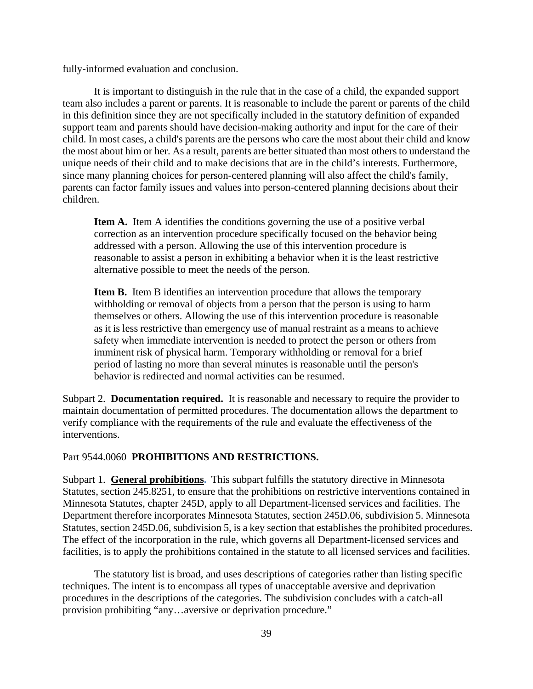fully-informed evaluation and conclusion.

It is important to distinguish in the rule that in the case of a child, the expanded support team also includes a parent or parents. It is reasonable to include the parent or parents of the child in this definition since they are not specifically included in the statutory definition of expanded support team and parents should have decision-making authority and input for the care of their child. In most cases, a child's parents are the persons who care the most about their child and know the most about him or her. As a result, parents are better situated than most others to understand the unique needs of their child and to make decisions that are in the child's interests. Furthermore, since many planning choices for person-centered planning will also affect the child's family, parents can factor family issues and values into person-centered planning decisions about their children.

**Item A.** Item A identifies the conditions governing the use of a positive verbal correction as an intervention procedure specifically focused on the behavior being addressed with a person. Allowing the use of this intervention procedure is reasonable to assist a person in exhibiting a behavior when it is the least restrictive alternative possible to meet the needs of the person.

**Item B.** Item B identifies an intervention procedure that allows the temporary withholding or removal of objects from a person that the person is using to harm themselves or others. Allowing the use of this intervention procedure is reasonable as it is less restrictive than emergency use of manual restraint as a means to achieve safety when immediate intervention is needed to protect the person or others from imminent risk of physical harm. Temporary withholding or removal for a brief period of lasting no more than several minutes is reasonable until the person's behavior is redirected and normal activities can be resumed.

Subpart 2. **Documentation required.** It is reasonable and necessary to require the provider to maintain documentation of permitted procedures. The documentation allows the department to verify compliance with the requirements of the rule and evaluate the effectiveness of the interventions.

#### Part 9544.0060 **PROHIBITIONS AND RESTRICTIONS.**

Subpart 1. **General prohibitions**. This subpart fulfills the statutory directive in Minnesota facilities, is to apply the prohibitions contained in the statute to all licensed services and facilities. The statutory list is broad, and uses descriptions of categories rather than listing specific Statutes, section 245.8251, to ensure that the prohibitions on restrictive interventions contained in Minnesota Statutes, chapter 245D, apply to all Department-licensed services and facilities. The Department therefore incorporates Minnesota Statutes, section 245D.06, subdivision 5. Minnesota Statutes, section 245D.06, subdivision 5, is a key section that establishes the prohibited procedures. The effect of the incorporation in the rule, which governs all Department-licensed services and

techniques. The intent is to encompass all types of unacceptable aversive and deprivation procedures in the descriptions of the categories. The subdivision concludes with a catch-all provision prohibiting "any…aversive or deprivation procedure."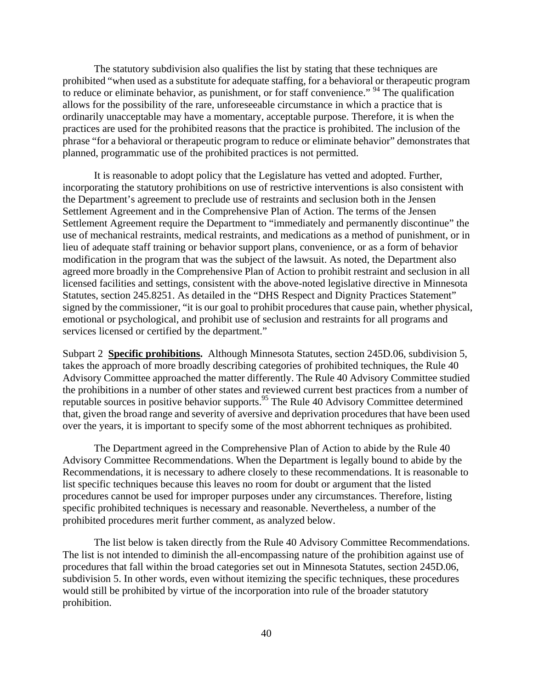The statutory subdivision also qualifies the list by stating that these techniques are prohibited "when used as a substitute for adequate staffing, for a behavioral or therapeutic program to reduce or eliminate behavior, as punishment, or for staff convenience."<sup>94</sup> The qualification allows for the possibility of the rare, unforeseeable circumstance in which a practice that is ordinarily unacceptable may have a momentary, acceptable purpose. Therefore, it is when the practices are used for the prohibited reasons that the practice is prohibited. The inclusion of the phrase "for a behavioral or therapeutic program to reduce or eliminate behavior" demonstrates that planned, programmatic use of the prohibited practices is not permitted.

It is reasonable to adopt policy that the Legislature has vetted and adopted. Further, incorporating the statutory prohibitions on use of restrictive interventions is also consistent with the Department's agreement to preclude use of restraints and seclusion both in the Jensen Settlement Agreement and in the Comprehensive Plan of Action. The terms of the Jensen Settlement Agreement require the Department to "immediately and permanently discontinue" the use of mechanical restraints, medical restraints, and medications as a method of punishment, or in lieu of adequate staff training or behavior support plans, convenience, or as a form of behavior modification in the program that was the subject of the lawsuit. As noted, the Department also agreed more broadly in the Comprehensive Plan of Action to prohibit restraint and seclusion in all licensed facilities and settings, consistent with the above-noted legislative directive in Minnesota Statutes, section 245.8251. As detailed in the "DHS Respect and Dignity Practices Statement" signed by the commissioner, "it is our goal to prohibit procedures that cause pain, whether physical, emotional or psychological, and prohibit use of seclusion and restraints for all programs and services licensed or certified by the department."

Subpart 2 **Specific prohibitions.** Although Minnesota Statutes, section 245D.06, subdivision 5, takes the approach of more broadly describing categories of prohibited techniques, the Rule 40 Advisory Committee approached the matter differently. The Rule 40 Advisory Committee studied the prohibitions in a number of other states and reviewed current best practices from a number of reputable sources in positive behavior supports.95 The Rule 40 Advisory Committee determined that, given the broad range and severity of aversive and deprivation procedures that have been used over the years, it is important to specify some of the most abhorrent techniques as prohibited.

The Department agreed in the Comprehensive Plan of Action to abide by the Rule 40 Advisory Committee Recommendations. When the Department is legally bound to abide by the Recommendations, it is necessary to adhere closely to these recommendations. It is reasonable to list specific techniques because this leaves no room for doubt or argument that the listed procedures cannot be used for improper purposes under any circumstances. Therefore, listing specific prohibited techniques is necessary and reasonable. Nevertheless, a number of the prohibited procedures merit further comment, as analyzed below.

The list below is taken directly from the Rule 40 Advisory Committee Recommendations. The list is not intended to diminish the all-encompassing nature of the prohibition against use of procedures that fall within the broad categories set out in Minnesota Statutes, section 245D.06, subdivision 5. In other words, even without itemizing the specific techniques, these procedures would still be prohibited by virtue of the incorporation into rule of the broader statutory prohibition.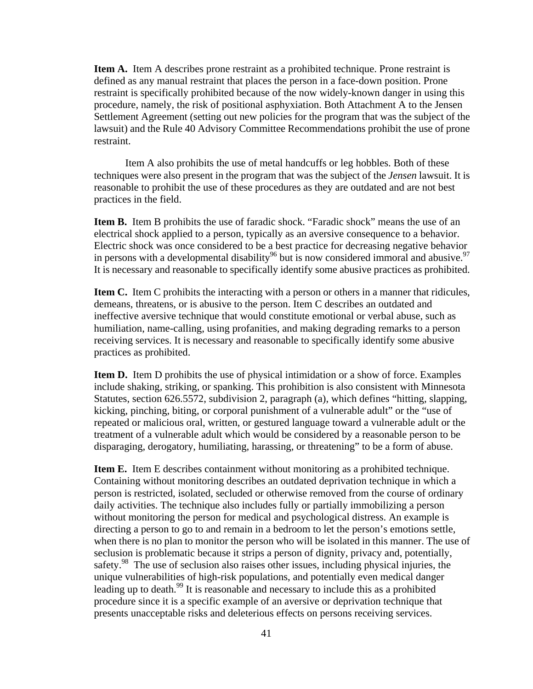**Item A.** Item A describes prone restraint as a prohibited technique. Prone restraint is defined as any manual restraint that places the person in a face-down position. Prone restraint is specifically prohibited because of the now widely-known danger in using this procedure, namely, the risk of positional asphyxiation. Both Attachment A to the Jensen Settlement Agreement (setting out new policies for the program that was the subject of the lawsuit) and the Rule 40 Advisory Committee Recommendations prohibit the use of prone restraint.

Item A also prohibits the use of metal handcuffs or leg hobbles. Both of these techniques were also present in the program that was the subject of the *Jensen* lawsuit. It is reasonable to prohibit the use of these procedures as they are outdated and are not best practices in the field.

in persons with a developmental disability<sup>96</sup> but is now considered immoral and abusive.<sup>97</sup> **Item B.** Item B prohibits the use of faradic shock. "Faradic shock" means the use of an electrical shock applied to a person, typically as an aversive consequence to a behavior. Electric shock was once considered to be a best practice for decreasing negative behavior It is necessary and reasonable to specifically identify some abusive practices as prohibited.

**Item C.** Item C prohibits the interacting with a person or others in a manner that ridicules, demeans, threatens, or is abusive to the person. Item C describes an outdated and ineffective aversive technique that would constitute emotional or verbal abuse, such as humiliation, name-calling, using profanities, and making degrading remarks to a person receiving services. It is necessary and reasonable to specifically identify some abusive practices as prohibited.

**Item D.** Item D prohibits the use of physical intimidation or a show of force. Examples include shaking, striking, or spanking. This prohibition is also consistent with Minnesota Statutes, section 626.5572, subdivision 2, paragraph (a), which defines "hitting, slapping, kicking, pinching, biting, or corporal punishment of a vulnerable adult" or the "use of repeated or malicious oral, written, or gestured language toward a vulnerable adult or the treatment of a vulnerable adult which would be considered by a reasonable person to be disparaging, derogatory, humiliating, harassing, or threatening" to be a form of abuse.

**Item E.** Item E describes containment without monitoring as a prohibited technique. Containing without monitoring describes an outdated deprivation technique in which a person is restricted, isolated, secluded or otherwise removed from the course of ordinary daily activities. The technique also includes fully or partially immobilizing a person without monitoring the person for medical and psychological distress. An example is directing a person to go to and remain in a bedroom to let the person's emotions settle, when there is no plan to monitor the person who will be isolated in this manner. The use of seclusion is problematic because it strips a person of dignity, privacy and, potentially, safety.<sup>98</sup> The use of seclusion also raises other issues, including physical injuries, the unique vulnerabilities of high-risk populations, and potentially even medical danger leading up to death.<sup>99</sup> It is reasonable and necessary to include this as a prohibited procedure since it is a specific example of an aversive or deprivation technique that presents unacceptable risks and deleterious effects on persons receiving services.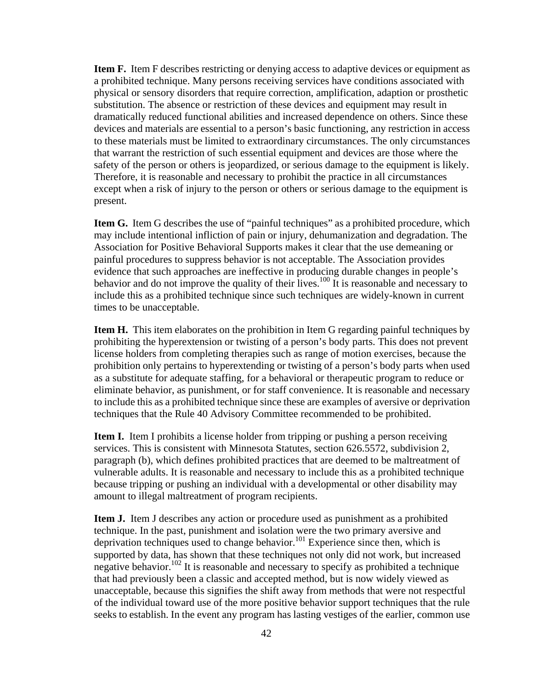**Item F.** Item F describes restricting or denying access to adaptive devices or equipment as a prohibited technique. Many persons receiving services have conditions associated with physical or sensory disorders that require correction, amplification, adaption or prosthetic substitution. The absence or restriction of these devices and equipment may result in dramatically reduced functional abilities and increased dependence on others. Since these devices and materials are essential to a person's basic functioning, any restriction in access to these materials must be limited to extraordinary circumstances. The only circumstances that warrant the restriction of such essential equipment and devices are those where the safety of the person or others is jeopardized, or serious damage to the equipment is likely. Therefore, it is reasonable and necessary to prohibit the practice in all circumstances except when a risk of injury to the person or others or serious damage to the equipment is present.

**Item G.** Item G describes the use of "painful techniques" as a prohibited procedure, which may include intentional infliction of pain or injury, dehumanization and degradation. The Association for Positive Behavioral Supports makes it clear that the use demeaning or painful procedures to suppress behavior is not acceptable. The Association provides evidence that such approaches are ineffective in producing durable changes in people's behavior and do not improve the quality of their lives.<sup>100</sup> It is reasonable and necessary to include this as a prohibited technique since such techniques are widely-known in current times to be unacceptable.

**Item H.** This item elaborates on the prohibition in Item G regarding painful techniques by prohibiting the hyperextension or twisting of a person's body parts. This does not prevent license holders from completing therapies such as range of motion exercises, because the prohibition only pertains to hyperextending or twisting of a person's body parts when used as a substitute for adequate staffing, for a behavioral or therapeutic program to reduce or eliminate behavior, as punishment, or for staff convenience. It is reasonable and necessary to include this as a prohibited technique since these are examples of aversive or deprivation techniques that the Rule 40 Advisory Committee recommended to be prohibited.

**Item I.** Item I prohibits a license holder from tripping or pushing a person receiving services. This is consistent with Minnesota Statutes, section 626.5572, subdivision 2, paragraph (b), which defines prohibited practices that are deemed to be maltreatment of vulnerable adults. It is reasonable and necessary to include this as a prohibited technique because tripping or pushing an individual with a developmental or other disability may amount to illegal maltreatment of program recipients.

**Item J.** Item J describes any action or procedure used as punishment as a prohibited technique. In the past, punishment and isolation were the two primary aversive and deprivation techniques used to change behavior.<sup>101</sup> Experience since then, which is supported by data, has shown that these techniques not only did not work, but increased negative behavior.<sup>102</sup> It is reasonable and necessary to specify as prohibited a technique that had previously been a classic and accepted method, but is now widely viewed as unacceptable, because this signifies the shift away from methods that were not respectful of the individual toward use of the more positive behavior support techniques that the rule seeks to establish. In the event any program has lasting vestiges of the earlier, common use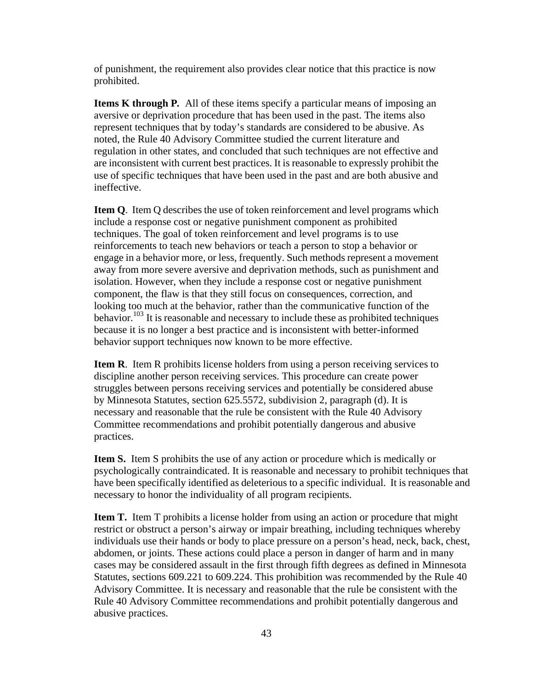of punishment, the requirement also provides clear notice that this practice is now prohibited.

**Items K through P***.* All of these items specify a particular means of imposing an aversive or deprivation procedure that has been used in the past. The items also represent techniques that by today's standards are considered to be abusive. As noted, the Rule 40 Advisory Committee studied the current literature and regulation in other states, and concluded that such techniques are not effective and are inconsistent with current best practices. It is reasonable to expressly prohibit the use of specific techniques that have been used in the past and are both abusive and ineffective.

**Item Q**. Item Q describes the use of token reinforcement and level programs which include a response cost or negative punishment component as prohibited techniques. The goal of token reinforcement and level programs is to use reinforcements to teach new behaviors or teach a person to stop a behavior or engage in a behavior more, or less, frequently. Such methods represent a movement away from more severe aversive and deprivation methods, such as punishment and isolation. However, when they include a response cost or negative punishment component, the flaw is that they still focus on consequences, correction, and looking too much at the behavior, rather than the communicative function of the behavior.<sup>103</sup> It is reasonable and necessary to include these as prohibited techniques because it is no longer a best practice and is inconsistent with better-informed behavior support techniques now known to be more effective.

**Item R**. Item R prohibits license holders from using a person receiving services to discipline another person receiving services. This procedure can create power struggles between persons receiving services and potentially be considered abuse by Minnesota Statutes, section 625.5572, subdivision 2, paragraph (d). It is necessary and reasonable that the rule be consistent with the Rule 40 Advisory Committee recommendations and prohibit potentially dangerous and abusive practices.

**Item S.** Item S prohibits the use of any action or procedure which is medically or psychologically contraindicated. It is reasonable and necessary to prohibit techniques that have been specifically identified as deleterious to a specific individual. It is reasonable and necessary to honor the individuality of all program recipients.

**Item T.** Item T prohibits a license holder from using an action or procedure that might restrict or obstruct a person's airway or impair breathing, including techniques whereby individuals use their hands or body to place pressure on a person's head, neck, back, chest, abdomen, or joints. These actions could place a person in danger of harm and in many cases may be considered assault in the first through fifth degrees as defined in Minnesota Statutes, sections 609.221 to 609.224. This prohibition was recommended by the Rule 40 Advisory Committee. It is necessary and reasonable that the rule be consistent with the Rule 40 Advisory Committee recommendations and prohibit potentially dangerous and abusive practices.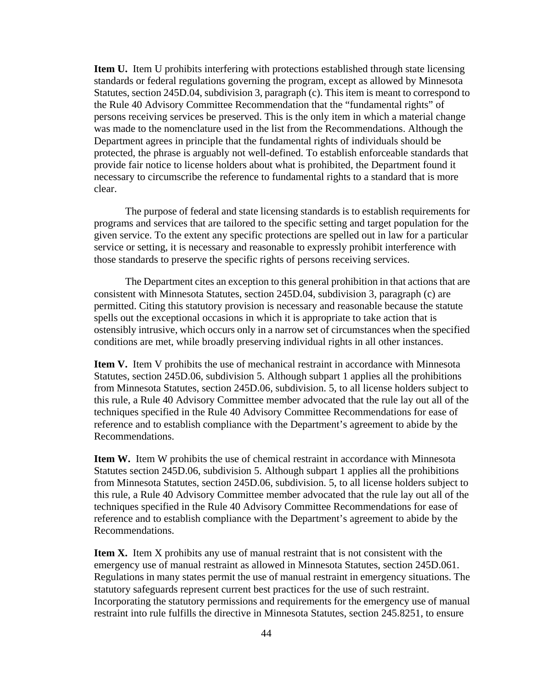**Item U.** Item U prohibits interfering with protections established through state licensing standards or federal regulations governing the program, except as allowed by Minnesota Statutes, section 245D.04, subdivision 3, paragraph (c). This item is meant to correspond to the Rule 40 Advisory Committee Recommendation that the "fundamental rights" of persons receiving services be preserved. This is the only item in which a material change was made to the nomenclature used in the list from the Recommendations. Although the Department agrees in principle that the fundamental rights of individuals should be protected, the phrase is arguably not well-defined. To establish enforceable standards that provide fair notice to license holders about what is prohibited, the Department found it necessary to circumscribe the reference to fundamental rights to a standard that is more clear.

The purpose of federal and state licensing standards is to establish requirements for programs and services that are tailored to the specific setting and target population for the given service. To the extent any specific protections are spelled out in law for a particular service or setting, it is necessary and reasonable to expressly prohibit interference with those standards to preserve the specific rights of persons receiving services.

The Department cites an exception to this general prohibition in that actions that are consistent with Minnesota Statutes, section 245D.04, subdivision 3, paragraph (c) are permitted. Citing this statutory provision is necessary and reasonable because the statute spells out the exceptional occasions in which it is appropriate to take action that is ostensibly intrusive, which occurs only in a narrow set of circumstances when the specified conditions are met, while broadly preserving individual rights in all other instances.

**Item V.** Item V prohibits the use of mechanical restraint in accordance with Minnesota Statutes, section 245D.06, subdivision 5. Although subpart 1 applies all the prohibitions from Minnesota Statutes, section 245D.06, subdivision. 5, to all license holders subject to this rule, a Rule 40 Advisory Committee member advocated that the rule lay out all of the techniques specified in the Rule 40 Advisory Committee Recommendations for ease of reference and to establish compliance with the Department's agreement to abide by the Recommendations.

**Item W.** Item W prohibits the use of chemical restraint in accordance with Minnesota Statutes section 245D.06, subdivision 5. Although subpart 1 applies all the prohibitions from Minnesota Statutes, section 245D.06, subdivision. 5, to all license holders subject to this rule, a Rule 40 Advisory Committee member advocated that the rule lay out all of the techniques specified in the Rule 40 Advisory Committee Recommendations for ease of reference and to establish compliance with the Department's agreement to abide by the Recommendations.

**Item X.** Item X prohibits any use of manual restraint that is not consistent with the emergency use of manual restraint as allowed in Minnesota Statutes, section 245D.061. Regulations in many states permit the use of manual restraint in emergency situations. The statutory safeguards represent current best practices for the use of such restraint. Incorporating the statutory permissions and requirements for the emergency use of manual restraint into rule fulfills the directive in Minnesota Statutes, section 245.8251, to ensure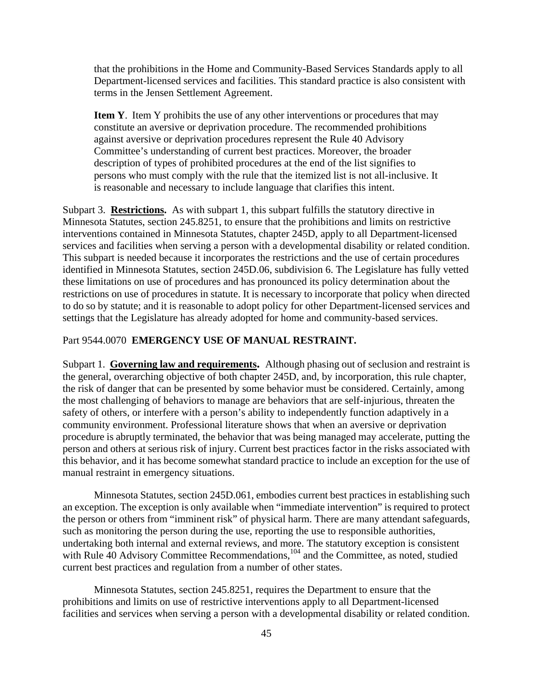that the prohibitions in the Home and Community-Based Services Standards apply to all Department-licensed services and facilities. This standard practice is also consistent with terms in the Jensen Settlement Agreement.

**Item Y**. Item Y prohibits the use of any other interventions or procedures that may constitute an aversive or deprivation procedure. The recommended prohibitions against aversive or deprivation procedures represent the Rule 40 Advisory Committee's understanding of current best practices. Moreover, the broader description of types of prohibited procedures at the end of the list signifies to persons who must comply with the rule that the itemized list is not all-inclusive. It is reasonable and necessary to include language that clarifies this intent.

Subpart 3. **Restrictions.** As with subpart 1, this subpart fulfills the statutory directive in Minnesota Statutes, section 245.8251, to ensure that the prohibitions and limits on restrictive interventions contained in Minnesota Statutes, chapter 245D, apply to all Department-licensed services and facilities when serving a person with a developmental disability or related condition. This subpart is needed because it incorporates the restrictions and the use of certain procedures identified in Minnesota Statutes, section 245D.06, subdivision 6. The Legislature has fully vetted these limitations on use of procedures and has pronounced its policy determination about the restrictions on use of procedures in statute. It is necessary to incorporate that policy when directed to do so by statute; and it is reasonable to adopt policy for other Department-licensed services and settings that the Legislature has already adopted for home and community-based services.

## Part 9544.0070 **EMERGENCY USE OF MANUAL RESTRAINT.**

Subpart 1. **Governing law and requirements.** Although phasing out of seclusion and restraint is the general, overarching objective of both chapter 245D, and, by incorporation, this rule chapter, the risk of danger that can be presented by some behavior must be considered. Certainly, among the most challenging of behaviors to manage are behaviors that are self-injurious, threaten the safety of others, or interfere with a person's ability to independently function adaptively in a community environment. Professional literature shows that when an aversive or deprivation procedure is abruptly terminated, the behavior that was being managed may accelerate, putting the person and others at serious risk of injury. Current best practices factor in the risks associated with this behavior, and it has become somewhat standard practice to include an exception for the use of manual restraint in emergency situations.

Minnesota Statutes, section 245D.061, embodies current best practices in establishing such an exception. The exception is only available when "immediate intervention" is required to protect the person or others from "imminent risk" of physical harm. There are many attendant safeguards, such as monitoring the person during the use, reporting the use to responsible authorities, undertaking both internal and external reviews, and more. The statutory exception is consistent with Rule 40 Advisory Committee Recommendations,<sup>104</sup> and the Committee, as noted, studied current best practices and regulation from a number of other states.

Minnesota Statutes, section 245.8251, requires the Department to ensure that the prohibitions and limits on use of restrictive interventions apply to all Department-licensed facilities and services when serving a person with a developmental disability or related condition.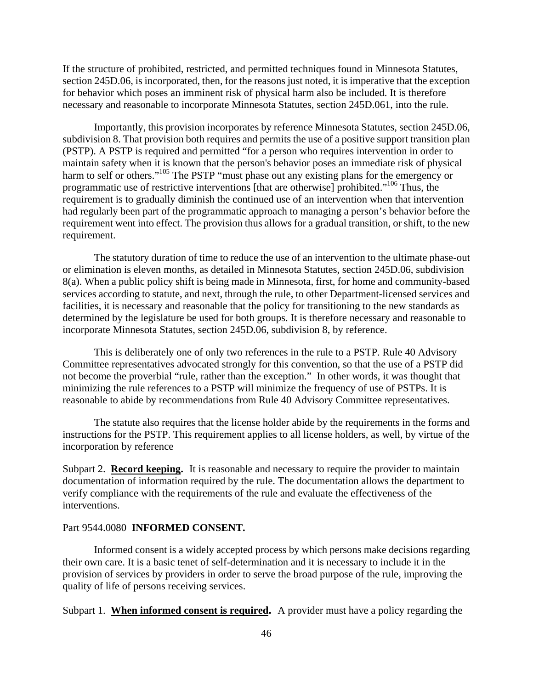If the structure of prohibited, restricted, and permitted techniques found in Minnesota Statutes, section 245D.06, is incorporated, then, for the reasons just noted, it is imperative that the exception for behavior which poses an imminent risk of physical harm also be included. It is therefore necessary and reasonable to incorporate Minnesota Statutes, section 245D.061, into the rule.

Importantly, this provision incorporates by reference Minnesota Statutes, section 245D.06, subdivision 8. That provision both requires and permits the use of a positive support transition plan (PSTP). A PSTP is required and permitted "for a person who requires intervention in order to maintain safety when it is known that the person's behavior poses an immediate risk of physical harm to self or others."<sup>105</sup> The PSTP "must phase out any existing plans for the emergency or programmatic use of restrictive interventions [that are otherwise] prohibited."106 Thus, the requirement is to gradually diminish the continued use of an intervention when that intervention had regularly been part of the programmatic approach to managing a person's behavior before the requirement went into effect. The provision thus allows for a gradual transition, or shift, to the new requirement.

The statutory duration of time to reduce the use of an intervention to the ultimate phase-out or elimination is eleven months, as detailed in Minnesota Statutes, section 245D.06, subdivision 8(a). When a public policy shift is being made in Minnesota, first, for home and community-based services according to statute, and next, through the rule, to other Department-licensed services and facilities, it is necessary and reasonable that the policy for transitioning to the new standards as determined by the legislature be used for both groups. It is therefore necessary and reasonable to incorporate Minnesota Statutes, section 245D.06, subdivision 8, by reference.

This is deliberately one of only two references in the rule to a PSTP. Rule 40 Advisory Committee representatives advocated strongly for this convention, so that the use of a PSTP did not become the proverbial "rule, rather than the exception." In other words, it was thought that minimizing the rule references to a PSTP will minimize the frequency of use of PSTPs. It is reasonable to abide by recommendations from Rule 40 Advisory Committee representatives.

The statute also requires that the license holder abide by the requirements in the forms and instructions for the PSTP. This requirement applies to all license holders, as well, by virtue of the incorporation by reference

 Subpart 2. **Record keeping.** It is reasonable and necessary to require the provider to maintain documentation of information required by the rule. The documentation allows the department to verify compliance with the requirements of the rule and evaluate the effectiveness of the interventions.

#### Part 9544.0080 **INFORMED CONSENT.**

Informed consent is a widely accepted process by which persons make decisions regarding their own care. It is a basic tenet of self-determination and it is necessary to include it in the provision of services by providers in order to serve the broad purpose of the rule, improving the quality of life of persons receiving services.

Subpart 1. **When informed consent is required.** A provider must have a policy regarding the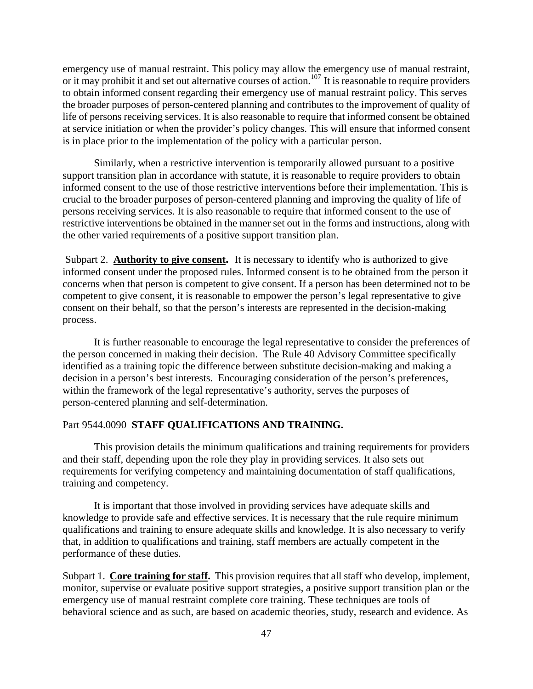emergency use of manual restraint. This policy may allow the emergency use of manual restraint, or it may prohibit it and set out alternative courses of action.<sup>107</sup> It is reasonable to require providers to obtain informed consent regarding their emergency use of manual restraint policy. This serves the broader purposes of person-centered planning and contributes to the improvement of quality of life of persons receiving services. It is also reasonable to require that informed consent be obtained at service initiation or when the provider's policy changes. This will ensure that informed consent is in place prior to the implementation of the policy with a particular person.

Similarly, when a restrictive intervention is temporarily allowed pursuant to a positive support transition plan in accordance with statute, it is reasonable to require providers to obtain informed consent to the use of those restrictive interventions before their implementation. This is crucial to the broader purposes of person-centered planning and improving the quality of life of persons receiving services. It is also reasonable to require that informed consent to the use of restrictive interventions be obtained in the manner set out in the forms and instructions, along with the other varied requirements of a positive support transition plan.

Subpart 2. **Authority to give consent.** It is necessary to identify who is authorized to give informed consent under the proposed rules. Informed consent is to be obtained from the person it concerns when that person is competent to give consent. If a person has been determined not to be competent to give consent, it is reasonable to empower the person's legal representative to give consent on their behalf, so that the person's interests are represented in the decision-making process.

It is further reasonable to encourage the legal representative to consider the preferences of the person concerned in making their decision. The Rule 40 Advisory Committee specifically identified as a training topic the difference between substitute decision-making and making a decision in a person's best interests. Encouraging consideration of the person's preferences, within the framework of the legal representative's authority, serves the purposes of person-centered planning and self-determination.

### Part 9544.0090 **STAFF QUALIFICATIONS AND TRAINING.**

This provision details the minimum qualifications and training requirements for providers and their staff, depending upon the role they play in providing services. It also sets out requirements for verifying competency and maintaining documentation of staff qualifications, training and competency.

It is important that those involved in providing services have adequate skills and knowledge to provide safe and effective services. It is necessary that the rule require minimum qualifications and training to ensure adequate skills and knowledge. It is also necessary to verify that, in addition to qualifications and training, staff members are actually competent in the performance of these duties.

Subpart 1. **Core training for staff.** This provision requires that all staff who develop, implement, monitor, supervise or evaluate positive support strategies, a positive support transition plan or the emergency use of manual restraint complete core training. These techniques are tools of behavioral science and as such, are based on academic theories, study, research and evidence. As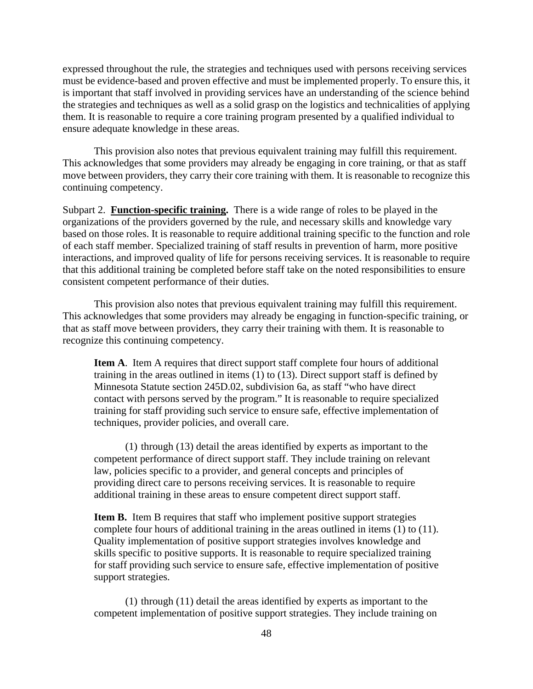expressed throughout the rule, the strategies and techniques used with persons receiving services must be evidence-based and proven effective and must be implemented properly. To ensure this, it is important that staff involved in providing services have an understanding of the science behind the strategies and techniques as well as a solid grasp on the logistics and technicalities of applying them. It is reasonable to require a core training program presented by a qualified individual to ensure adequate knowledge in these areas.

This provision also notes that previous equivalent training may fulfill this requirement. This acknowledges that some providers may already be engaging in core training, or that as staff move between providers, they carry their core training with them. It is reasonable to recognize this continuing competency.

Subpart 2. **Function-specific training.** There is a wide range of roles to be played in the organizations of the providers governed by the rule, and necessary skills and knowledge vary based on those roles. It is reasonable to require additional training specific to the function and role of each staff member. Specialized training of staff results in prevention of harm, more positive interactions, and improved quality of life for persons receiving services. It is reasonable to require that this additional training be completed before staff take on the noted responsibilities to ensure consistent competent performance of their duties.

This provision also notes that previous equivalent training may fulfill this requirement. This acknowledges that some providers may already be engaging in function-specific training, or that as staff move between providers, they carry their training with them. It is reasonable to recognize this continuing competency.

**Item A**. Item A requires that direct support staff complete four hours of additional training in the areas outlined in items (1) to (13). Direct support staff is defined by Minnesota Statute section 245D.02, subdivision 6a, as staff "who have direct contact with persons served by the program." It is reasonable to require specialized training for staff providing such service to ensure safe, effective implementation of techniques, provider policies, and overall care.

(1) through (13) detail the areas identified by experts as important to the competent performance of direct support staff. They include training on relevant law, policies specific to a provider, and general concepts and principles of providing direct care to persons receiving services. It is reasonable to require additional training in these areas to ensure competent direct support staff.

**Item B.** Item B requires that staff who implement positive support strategies complete four hours of additional training in the areas outlined in items (1) to (11). Quality implementation of positive support strategies involves knowledge and skills specific to positive supports. It is reasonable to require specialized training for staff providing such service to ensure safe, effective implementation of positive support strategies.

(1) through (11) detail the areas identified by experts as important to the competent implementation of positive support strategies. They include training on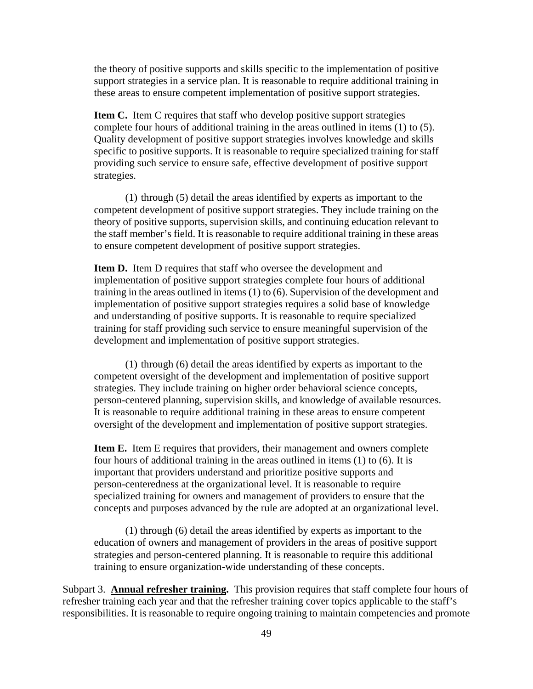the theory of positive supports and skills specific to the implementation of positive support strategies in a service plan. It is reasonable to require additional training in these areas to ensure competent implementation of positive support strategies.

**Item C.** Item C requires that staff who develop positive support strategies complete four hours of additional training in the areas outlined in items (1) to (5). Quality development of positive support strategies involves knowledge and skills specific to positive supports. It is reasonable to require specialized training for staff providing such service to ensure safe, effective development of positive support strategies.

(1) through (5) detail the areas identified by experts as important to the competent development of positive support strategies. They include training on the theory of positive supports, supervision skills, and continuing education relevant to the staff member's field. It is reasonable to require additional training in these areas to ensure competent development of positive support strategies.

**Item D.** Item D requires that staff who oversee the development and implementation of positive support strategies complete four hours of additional training in the areas outlined in items (1) to (6). Supervision of the development and implementation of positive support strategies requires a solid base of knowledge and understanding of positive supports. It is reasonable to require specialized training for staff providing such service to ensure meaningful supervision of the development and implementation of positive support strategies.

(1) through (6) detail the areas identified by experts as important to the competent oversight of the development and implementation of positive support strategies. They include training on higher order behavioral science concepts, person-centered planning, supervision skills, and knowledge of available resources. It is reasonable to require additional training in these areas to ensure competent oversight of the development and implementation of positive support strategies.

**Item E.** Item E requires that providers, their management and owners complete four hours of additional training in the areas outlined in items (1) to (6). It is important that providers understand and prioritize positive supports and person-centeredness at the organizational level. It is reasonable to require specialized training for owners and management of providers to ensure that the concepts and purposes advanced by the rule are adopted at an organizational level.

(1) through (6) detail the areas identified by experts as important to the education of owners and management of providers in the areas of positive support strategies and person-centered planning. It is reasonable to require this additional training to ensure organization-wide understanding of these concepts.

Subpart 3. **Annual refresher training.** This provision requires that staff complete four hours of refresher training each year and that the refresher training cover topics applicable to the staff's responsibilities. It is reasonable to require ongoing training to maintain competencies and promote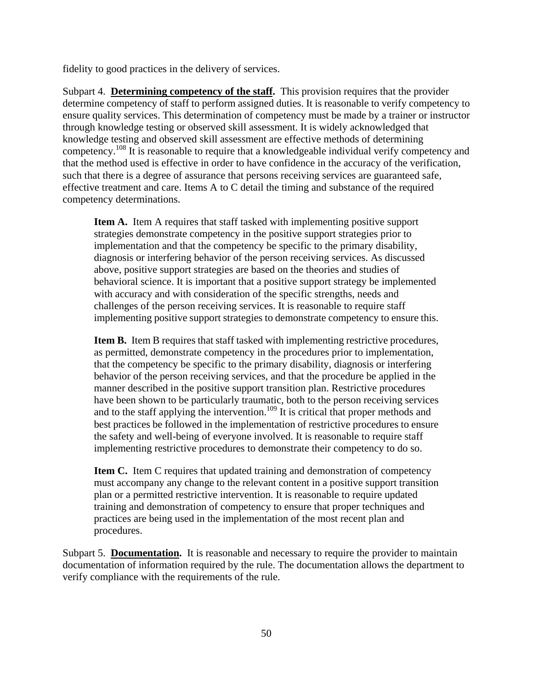fidelity to good practices in the delivery of services.

Subpart 4. **Determining competency of the staff.** This provision requires that the provider determine competency of staff to perform assigned duties. It is reasonable to verify competency to ensure quality services. This determination of competency must be made by a trainer or instructor through knowledge testing or observed skill assessment. It is widely acknowledged that knowledge testing and observed skill assessment are effective methods of determining competency.108 It is reasonable to require that a knowledgeable individual verify competency and that the method used is effective in order to have confidence in the accuracy of the verification, such that there is a degree of assurance that persons receiving services are guaranteed safe, effective treatment and care. Items A to C detail the timing and substance of the required competency determinations.

**Item A.** Item A requires that staff tasked with implementing positive support strategies demonstrate competency in the positive support strategies prior to implementation and that the competency be specific to the primary disability, diagnosis or interfering behavior of the person receiving services. As discussed above, positive support strategies are based on the theories and studies of behavioral science. It is important that a positive support strategy be implemented with accuracy and with consideration of the specific strengths, needs and challenges of the person receiving services. It is reasonable to require staff implementing positive support strategies to demonstrate competency to ensure this.

**Item B.** Item B requires that staff tasked with implementing restrictive procedures, as permitted, demonstrate competency in the procedures prior to implementation, that the competency be specific to the primary disability, diagnosis or interfering behavior of the person receiving services, and that the procedure be applied in the manner described in the positive support transition plan. Restrictive procedures have been shown to be particularly traumatic, both to the person receiving services and to the staff applying the intervention.<sup>109</sup> It is critical that proper methods and best practices be followed in the implementation of restrictive procedures to ensure the safety and well-being of everyone involved. It is reasonable to require staff implementing restrictive procedures to demonstrate their competency to do so.

**Item C.** Item C requires that updated training and demonstration of competency must accompany any change to the relevant content in a positive support transition plan or a permitted restrictive intervention. It is reasonable to require updated training and demonstration of competency to ensure that proper techniques and practices are being used in the implementation of the most recent plan and procedures.

Subpart 5. **Documentation.** It is reasonable and necessary to require the provider to maintain documentation of information required by the rule. The documentation allows the department to verify compliance with the requirements of the rule.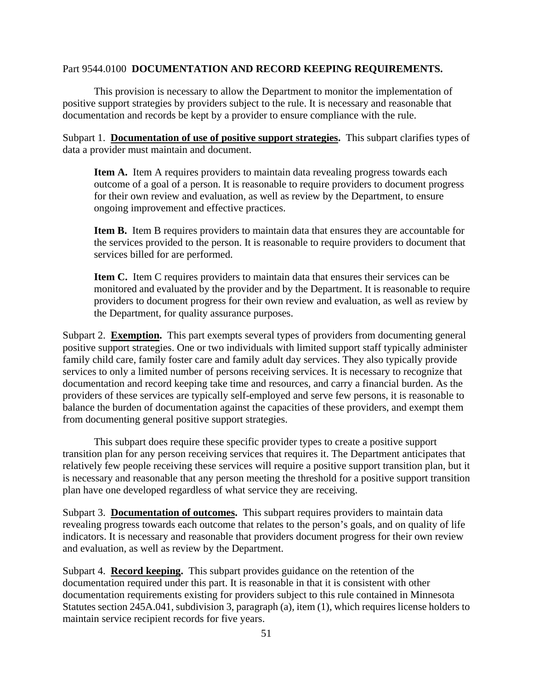### Part 9544.0100 **DOCUMENTATION AND RECORD KEEPING REQUIREMENTS.**

This provision is necessary to allow the Department to monitor the implementation of positive support strategies by providers subject to the rule. It is necessary and reasonable that documentation and records be kept by a provider to ensure compliance with the rule.

Subpart 1. **Documentation of use of positive support strategies.** This subpart clarifies types of data a provider must maintain and document.

**Item A.** Item A requires providers to maintain data revealing progress towards each outcome of a goal of a person. It is reasonable to require providers to document progress for their own review and evaluation, as well as review by the Department, to ensure ongoing improvement and effective practices.

Item B. Item B requires providers to maintain data that ensures they are accountable for the services provided to the person. It is reasonable to require providers to document that services billed for are performed.

**Item C.** Item C requires providers to maintain data that ensures their services can be monitored and evaluated by the provider and by the Department. It is reasonable to require providers to document progress for their own review and evaluation, as well as review by the Department, for quality assurance purposes.

Subpart 2. **Exemption.** This part exempts several types of providers from documenting general positive support strategies. One or two individuals with limited support staff typically administer family child care, family foster care and family adult day services. They also typically provide services to only a limited number of persons receiving services. It is necessary to recognize that documentation and record keeping take time and resources, and carry a financial burden. As the providers of these services are typically self-employed and serve few persons, it is reasonable to balance the burden of documentation against the capacities of these providers, and exempt them from documenting general positive support strategies.

This subpart does require these specific provider types to create a positive support transition plan for any person receiving services that requires it. The Department anticipates that relatively few people receiving these services will require a positive support transition plan, but it is necessary and reasonable that any person meeting the threshold for a positive support transition plan have one developed regardless of what service they are receiving.

Subpart 3. **Documentation of outcomes.** This subpart requires providers to maintain data revealing progress towards each outcome that relates to the person's goals, and on quality of life indicators. It is necessary and reasonable that providers document progress for their own review and evaluation, as well as review by the Department.

Subpart 4. **Record keeping.** This subpart provides guidance on the retention of the documentation required under this part. It is reasonable in that it is consistent with other documentation requirements existing for providers subject to this rule contained in Minnesota Statutes section 245A.041, subdivision 3, paragraph (a), item (1), which requires license holders to maintain service recipient records for five years.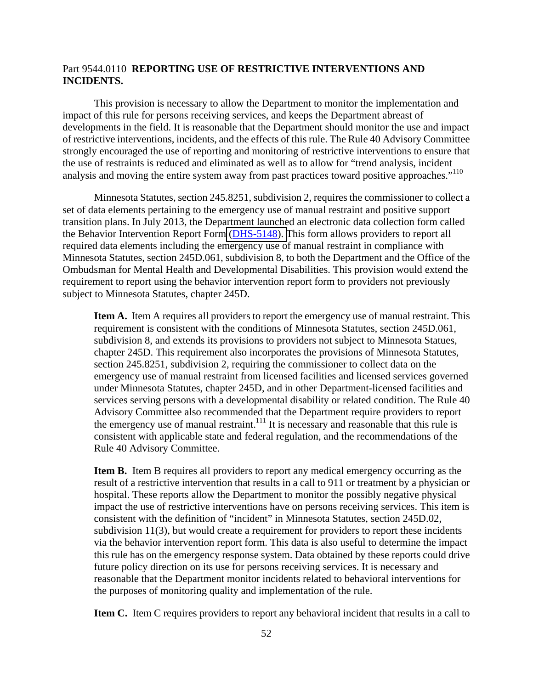## Part 9544.0110 **REPORTING USE OF RESTRICTIVE INTERVENTIONS AND INCIDENTS.**

analysis and moving the entire system away from past practices toward positive approaches."<sup>110</sup> This provision is necessary to allow the Department to monitor the implementation and impact of this rule for persons receiving services, and keeps the Department abreast of developments in the field. It is reasonable that the Department should monitor the use and impact of restrictive interventions, incidents, and the effects of this rule. The Rule 40 Advisory Committee strongly encouraged the use of reporting and monitoring of restrictive interventions to ensure that the use of restraints is reduced and eliminated as well as to allow for "trend analysis, incident

Minnesota Statutes, section 245.8251, subdivision 2, requires the commissioner to collect a set of data elements pertaining to the emergency use of manual restraint and positive support transition plans. In July 2013, the Department launched an electronic data collection form called the Behavior Intervention Report Form [\(DHS-5148\). T](https://edocs.dhs.state.mn.us/lfserver/Secure/DHS-5148-ENG)his form allows providers to report all required data elements including the emergency use of manual restraint in compliance with Minnesota Statutes, section 245D.061, subdivision 8, to both the Department and the Office of the Ombudsman for Mental Health and Developmental Disabilities. This provision would extend the requirement to report using the behavior intervention report form to providers not previously subject to Minnesota Statutes, chapter 245D.

**Item A.** Item A requires all providers to report the emergency use of manual restraint. This requirement is consistent with the conditions of Minnesota Statutes, section 245D.061, subdivision 8, and extends its provisions to providers not subject to Minnesota Statues, chapter 245D. This requirement also incorporates the provisions of Minnesota Statutes, section 245.8251, subdivision 2, requiring the commissioner to collect data on the emergency use of manual restraint from licensed facilities and licensed services governed under Minnesota Statutes, chapter 245D, and in other Department-licensed facilities and services serving persons with a developmental disability or related condition. The Rule 40 Advisory Committee also recommended that the Department require providers to report the emergency use of manual restraint.<sup>111</sup> It is necessary and reasonable that this rule is consistent with applicable state and federal regulation, and the recommendations of the Rule 40 Advisory Committee.

**Item B.** Item B requires all providers to report any medical emergency occurring as the result of a restrictive intervention that results in a call to 911 or treatment by a physician or hospital. These reports allow the Department to monitor the possibly negative physical impact the use of restrictive interventions have on persons receiving services. This item is consistent with the definition of "incident" in Minnesota Statutes, section 245D.02, subdivision 11(3), but would create a requirement for providers to report these incidents via the behavior intervention report form. This data is also useful to determine the impact this rule has on the emergency response system. Data obtained by these reports could drive future policy direction on its use for persons receiving services. It is necessary and reasonable that the Department monitor incidents related to behavioral interventions for the purposes of monitoring quality and implementation of the rule.

**Item C.** Item C requires providers to report any behavioral incident that results in a call to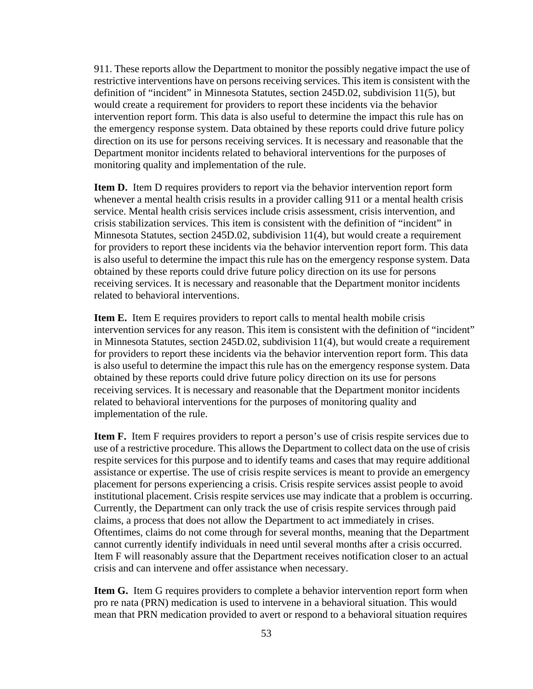911. These reports allow the Department to monitor the possibly negative impact the use of restrictive interventions have on persons receiving services. This item is consistent with the definition of "incident" in Minnesota Statutes, section 245D.02, subdivision 11(5), but would create a requirement for providers to report these incidents via the behavior intervention report form. This data is also useful to determine the impact this rule has on the emergency response system. Data obtained by these reports could drive future policy direction on its use for persons receiving services. It is necessary and reasonable that the Department monitor incidents related to behavioral interventions for the purposes of monitoring quality and implementation of the rule.

**Item D.** Item D requires providers to report via the behavior intervention report form whenever a mental health crisis results in a provider calling 911 or a mental health crisis service. Mental health crisis services include crisis assessment, crisis intervention, and crisis stabilization services. This item is consistent with the definition of "incident" in Minnesota Statutes, section 245D.02, subdivision 11(4), but would create a requirement for providers to report these incidents via the behavior intervention report form. This data is also useful to determine the impact this rule has on the emergency response system. Data obtained by these reports could drive future policy direction on its use for persons receiving services. It is necessary and reasonable that the Department monitor incidents related to behavioral interventions.

**Item E.** Item E requires providers to report calls to mental health mobile crisis intervention services for any reason. This item is consistent with the definition of "incident" in Minnesota Statutes, section 245D.02, subdivision 11(4), but would create a requirement for providers to report these incidents via the behavior intervention report form. This data is also useful to determine the impact this rule has on the emergency response system. Data obtained by these reports could drive future policy direction on its use for persons receiving services. It is necessary and reasonable that the Department monitor incidents related to behavioral interventions for the purposes of monitoring quality and implementation of the rule.

 crisis and can intervene and offer assistance when necessary. **Item F.** Item F requires providers to report a person's use of crisis respite services due to use of a restrictive procedure. This allows the Department to collect data on the use of crisis respite services for this purpose and to identify teams and cases that may require additional assistance or expertise. The use of crisis respite services is meant to provide an emergency placement for persons experiencing a crisis. Crisis respite services assist people to avoid institutional placement. Crisis respite services use may indicate that a problem is occurring. Currently, the Department can only track the use of crisis respite services through paid claims, a process that does not allow the Department to act immediately in crises. Oftentimes, claims do not come through for several months, meaning that the Department cannot currently identify individuals in need until several months after a crisis occurred. Item F will reasonably assure that the Department receives notification closer to an actual

**Item G.** Item G requires providers to complete a behavior intervention report form when pro re nata (PRN) medication is used to intervene in a behavioral situation. This would mean that PRN medication provided to avert or respond to a behavioral situation requires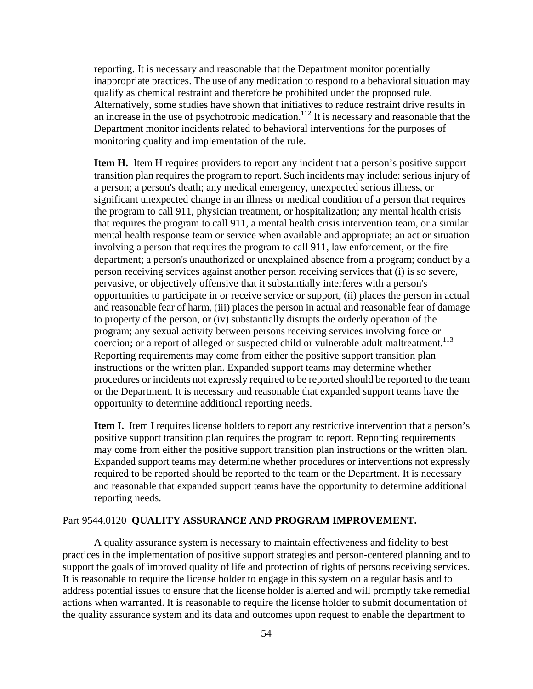reporting. It is necessary and reasonable that the Department monitor potentially inappropriate practices. The use of any medication to respond to a behavioral situation may qualify as chemical restraint and therefore be prohibited under the proposed rule. Alternatively, some studies have shown that initiatives to reduce restraint drive results in an increase in the use of psychotropic medication.<sup>112</sup> It is necessary and reasonable that the Department monitor incidents related to behavioral interventions for the purposes of monitoring quality and implementation of the rule.

**Item H.** Item H requires providers to report any incident that a person's positive support transition plan requires the program to report. Such incidents may include: serious injury of a person; a person's death; any medical emergency, unexpected serious illness, or significant unexpected change in an illness or medical condition of a person that requires the program to call 911, physician treatment, or hospitalization; any mental health crisis that requires the program to call 911, a mental health crisis intervention team, or a similar mental health response team or service when available and appropriate; an act or situation involving a person that requires the program to call 911, law enforcement, or the fire department; a person's unauthorized or unexplained absence from a program; conduct by a person receiving services against another person receiving services that (i) is so severe, pervasive, or objectively offensive that it substantially interferes with a person's opportunities to participate in or receive service or support, (ii) places the person in actual and reasonable fear of harm, (iii) places the person in actual and reasonable fear of damage to property of the person, or (iv) substantially disrupts the orderly operation of the program; any sexual activity between persons receiving services involving force or coercion; or a report of alleged or suspected child or vulnerable adult maltreatment.<sup>113</sup> Reporting requirements may come from either the positive support transition plan instructions or the written plan. Expanded support teams may determine whether procedures or incidents not expressly required to be reported should be reported to the team or the Department. It is necessary and reasonable that expanded support teams have the opportunity to determine additional reporting needs.

**Item I.** Item I requires license holders to report any restrictive intervention that a person's positive support transition plan requires the program to report. Reporting requirements may come from either the positive support transition plan instructions or the written plan. Expanded support teams may determine whether procedures or interventions not expressly required to be reported should be reported to the team or the Department. It is necessary and reasonable that expanded support teams have the opportunity to determine additional reporting needs.

#### Part 9544.0120 **QUALITY ASSURANCE AND PROGRAM IMPROVEMENT.**

A quality assurance system is necessary to maintain effectiveness and fidelity to best practices in the implementation of positive support strategies and person-centered planning and to support the goals of improved quality of life and protection of rights of persons receiving services. It is reasonable to require the license holder to engage in this system on a regular basis and to address potential issues to ensure that the license holder is alerted and will promptly take remedial actions when warranted. It is reasonable to require the license holder to submit documentation of the quality assurance system and its data and outcomes upon request to enable the department to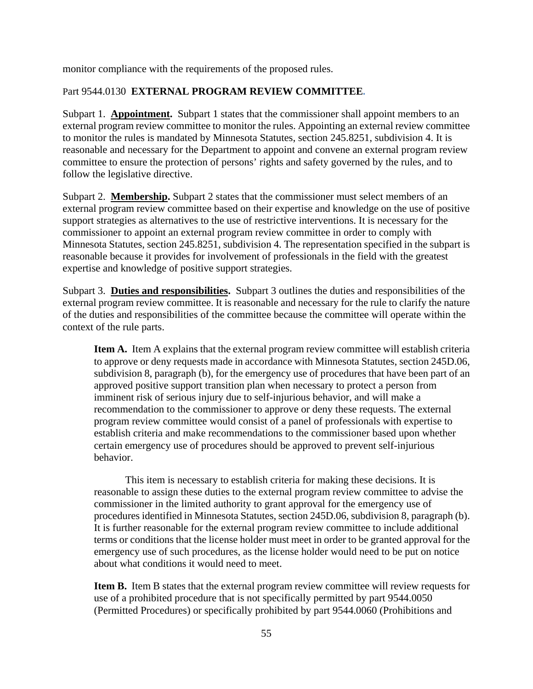monitor compliance with the requirements of the proposed rules.

## Part 9544.0130 **EXTERNAL PROGRAM REVIEW COMMITTEE.**

Subpart 1. **Appointment.** Subpart 1 states that the commissioner shall appoint members to an external program review committee to monitor the rules. Appointing an external review committee to monitor the rules is mandated by Minnesota Statutes, section 245.8251, subdivision 4. It is reasonable and necessary for the Department to appoint and convene an external program review committee to ensure the protection of persons' rights and safety governed by the rules, and to follow the legislative directive.

Subpart 2. **Membership.** Subpart 2 states that the commissioner must select members of an external program review committee based on their expertise and knowledge on the use of positive support strategies as alternatives to the use of restrictive interventions. It is necessary for the commissioner to appoint an external program review committee in order to comply with Minnesota Statutes, section 245.8251, subdivision 4. The representation specified in the subpart is reasonable because it provides for involvement of professionals in the field with the greatest expertise and knowledge of positive support strategies.

Subpart 3. **Duties and responsibilities.** Subpart 3 outlines the duties and responsibilities of the external program review committee. It is reasonable and necessary for the rule to clarify the nature of the duties and responsibilities of the committee because the committee will operate within the context of the rule parts.

**Item A.** Item A explains that the external program review committee will establish criteria to approve or deny requests made in accordance with Minnesota Statutes, section 245D.06, subdivision 8, paragraph (b), for the emergency use of procedures that have been part of an approved positive support transition plan when necessary to protect a person from imminent risk of serious injury due to self-injurious behavior, and will make a recommendation to the commissioner to approve or deny these requests. The external program review committee would consist of a panel of professionals with expertise to establish criteria and make recommendations to the commissioner based upon whether certain emergency use of procedures should be approved to prevent self-injurious behavior.

This item is necessary to establish criteria for making these decisions. It is reasonable to assign these duties to the external program review committee to advise the commissioner in the limited authority to grant approval for the emergency use of procedures identified in Minnesota Statutes, section 245D.06, subdivision 8, paragraph (b). It is further reasonable for the external program review committee to include additional terms or conditions that the license holder must meet in order to be granted approval for the emergency use of such procedures, as the license holder would need to be put on notice about what conditions it would need to meet.

**Item B.** Item B states that the external program review committee will review requests for use of a prohibited procedure that is not specifically permitted by part 9544.0050 (Permitted Procedures) or specifically prohibited by part 9544.0060 (Prohibitions and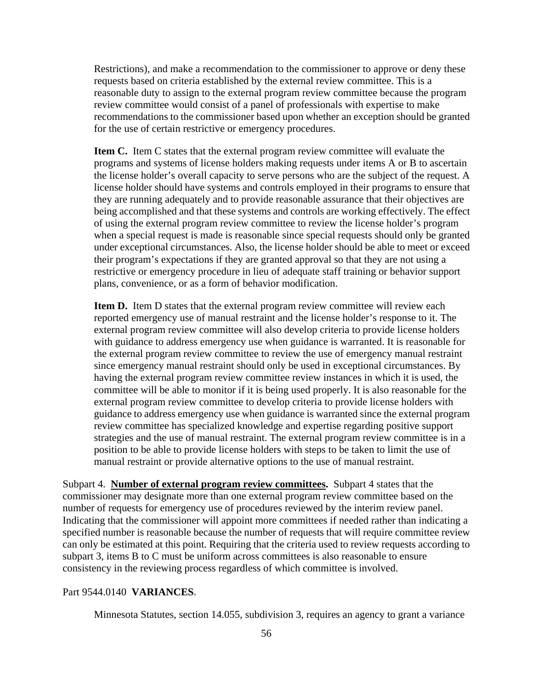Restrictions), and make a recommendation to the commissioner to approve or deny these requests based on criteria established by the external review committee. This is a reasonable duty to assign to the external program review committee because the program review committee would consist of a panel of professionals with expertise to make recommendations to the commissioner based upon whether an exception should be granted for the use of certain restrictive or emergency procedures.

**Item C.** Item C states that the external program review committee will evaluate the programs and systems of license holders making requests under items A or B to ascertain the license holder's overall capacity to serve persons who are the subject of the request. A license holder should have systems and controls employed in their programs to ensure that they are running adequately and to provide reasonable assurance that their objectives are being accomplished and that these systems and controls are working effectively. The effect of using the external program review committee to review the license holder's program when a special request is made is reasonable since special requests should only be granted under exceptional circumstances. Also, the license holder should be able to meet or exceed their program's expectations if they are granted approval so that they are not using a restrictive or emergency procedure in lieu of adequate staff training or behavior support plans, convenience, or as a form of behavior modification.

**Item D.** Item D states that the external program review committee will review each reported emergency use of manual restraint and the license holder's response to it. The external program review committee will also develop criteria to provide license holders with guidance to address emergency use when guidance is warranted. It is reasonable for the external program review committee to review the use of emergency manual restraint since emergency manual restraint should only be used in exceptional circumstances. By having the external program review committee review instances in which it is used, the committee will be able to monitor if it is being used properly. It is also reasonable for the external program review committee to develop criteria to provide license holders with guidance to address emergency use when guidance is warranted since the external program review committee has specialized knowledge and expertise regarding positive support strategies and the use of manual restraint. The external program review committee is in a position to be able to provide license holders with steps to be taken to limit the use of manual restraint or provide alternative options to the use of manual restraint.

Subpart 4. **Number of external program review committees.** Subpart 4 states that the commissioner may designate more than one external program review committee based on the number of requests for emergency use of procedures reviewed by the interim review panel. Indicating that the commissioner will appoint more committees if needed rather than indicating a specified number is reasonable because the number of requests that will require committee review can only be estimated at this point. Requiring that the criteria used to review requests according to subpart 3, items B to C must be uniform across committees is also reasonable to ensure consistency in the reviewing process regardless of which committee is involved.

#### Part 9544.0140 **VARIANCES.**

Minnesota Statutes, section 14.055, subdivision 3, requires an agency to grant a variance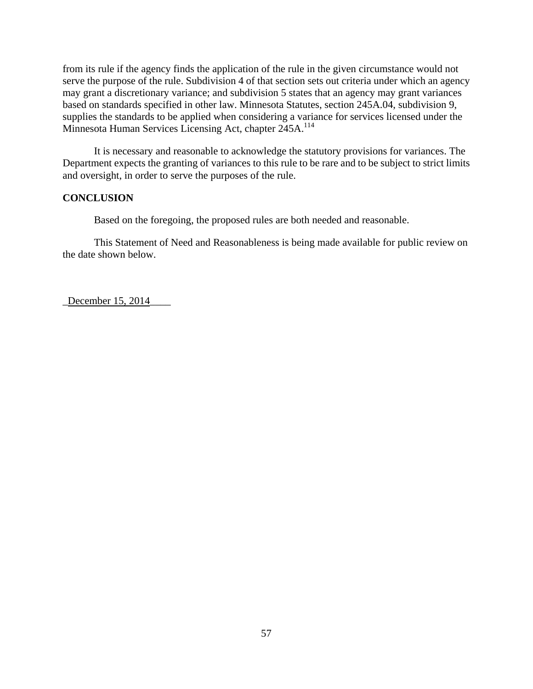Minnesota Human Services Licensing Act, chapter 245A.<sup>114</sup> from its rule if the agency finds the application of the rule in the given circumstance would not serve the purpose of the rule. Subdivision 4 of that section sets out criteria under which an agency may grant a discretionary variance; and subdivision 5 states that an agency may grant variances based on standards specified in other law. Minnesota Statutes, section 245A.04, subdivision 9, supplies the standards to be applied when considering a variance for services licensed under the

It is necessary and reasonable to acknowledge the statutory provisions for variances. The Department expects the granting of variances to this rule to be rare and to be subject to strict limits and oversight, in order to serve the purposes of the rule.

## **CONCLUSION**

Based on the foregoing, the proposed rules are both needed and reasonable.

This Statement of Need and Reasonableness is being made available for public review on the date shown below.

\_December 15, 2014\_\_\_\_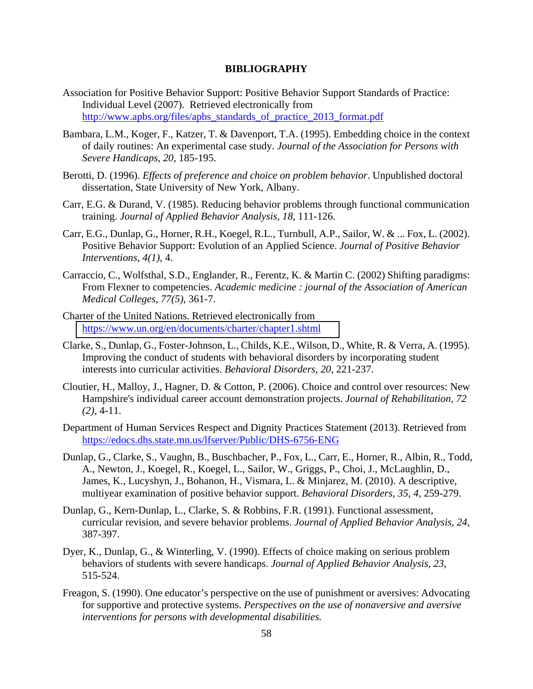#### **BIBLIOGRAPHY**

- http://www.apbs.org/files/apbs\_standards\_of\_practice\_2013\_format.pdf Association for Positive Behavior Support: Positive Behavior Support Standards of Practice: Individual Level (2007). Retrieved electronically from
- Bambara, L.M., Koger, F., Katzer, T. & Davenport, T.A. (1995). Embedding choice in the context of daily routines: An experimental case study. *Journal of the Association for Persons with Severe Handicaps, 20*, 185-195.
- Berotti, D. (1996). *Effects of preference and choice on problem behavior*. Unpublished doctoral dissertation, State University of New York, Albany.
- Carr, E.G. & Durand, V. (1985). Reducing behavior problems through functional communication training. *Journal of Applied Behavior Analysis, 18*, 111-126.
- Carr, E.G., Dunlap, G., Horner, R.H., Koegel, R.L., Turnbull, A.P., Sailor, W. & ... Fox, L. (2002). Positive Behavior Support: Evolution of an Applied Science. *Journal of Positive Behavior Interventions*, *4(1)*, 4.
- Carraccio, C., Wolfsthal, S.D., Englander, R., Ferentz, K. & Martin C. (2002) Shifting paradigms: From Flexner to competencies. *Academic medicine : journal of the Association of American Medical Colleges, 77(5)*, 361-7.
- https://www.un.org/en/documents/charter/chapter1.shtml Charter of the United Nations. Retrieved electronically from
- Clarke, S., Dunlap, G., Foster-Johnson, L., Childs, K.E., Wilson, D., White, R. & Verra, A. (1995). Improving the conduct of students with behavioral disorders by incorporating student interests into curricular activities. *Behavioral Disorders, 20*, 221-237.
- Cloutier, H., Malloy, J., Hagner, D. & Cotton, P. (2006). Choice and control over resources: New Hampshire's individual career account demonstration projects. *Journal of Rehabilitation, 72 (2)*, 4-11.
- https://edocs.dhs.state.mn.us/lfserver/Public/DHS-6756-ENG Department of Human Services Respect and Dignity Practices Statement (2013). Retrieved from
- Dunlap, G., Clarke, S., Vaughn, B., Buschbacher, P., Fox, L., Carr, E., Horner, R., Albin, R., Todd, A., Newton, J., Koegel, R., Koegel, L., Sailor, W., Griggs, P., Choi, J., McLaughlin, D., James, K., Lucyshyn, J., Bohanon, H., Vismara, L. & Minjarez, M. (2010). A descriptive, multiyear examination of positive behavior support. *Behavioral Disorders*, *35, 4,* 259-279.
- Dunlap, G., Kern-Dunlap, L., Clarke, S. & Robbins, F.R. (1991). Functional assessment, curricular revision, and severe behavior problems. *Journal of Applied Behavior Analysis, 24*, 387-397.
- Dyer, K., Dunlap, G., & Winterling, V. (1990). Effects of choice making on serious problem behaviors of students with severe handicaps. *Journal of Applied Behavior Analysis, 23*, 515-524.
- Freagon, S. (1990). One educator's perspective on the use of punishment or aversives: Advocating for supportive and protective systems. *Perspectives on the use of nonaversive and aversive interventions for persons with developmental disabilities.*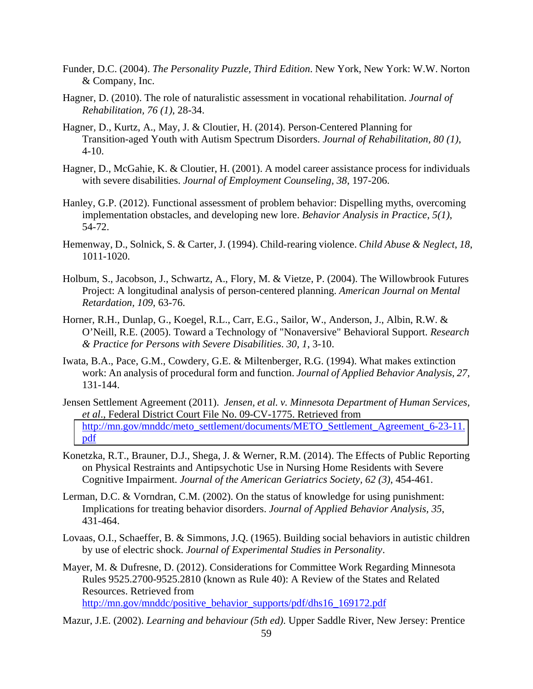- Funder, D.C. (2004). *The Personality Puzzle, Third Edition*. New York, New York: W.W. Norton & Company, Inc.
- Hagner, D. (2010). The role of naturalistic assessment in vocational rehabilitation. *Journal of Rehabilitation, 76 (1)*, 28-34.
- Hagner, D., Kurtz, A., May, J. & Cloutier, H. (2014). Person-Centered Planning for Transition-aged Youth with Autism Spectrum Disorders. *Journal of Rehabilitation, 80 (1)*, 4-10.
- Hagner, D., McGahie, K. & Cloutier, H. (2001). A model career assistance process for individuals with severe disabilities. *Journal of Employment Counseling, 38*, 197-206.
- Hanley, G.P. (2012). Functional assessment of problem behavior: Dispelling myths, overcoming implementation obstacles, and developing new lore. *Behavior Analysis in Practice*, *5(1)*, 54-72.
- Hemenway, D., Solnick, S. & Carter, J. (1994). Child-rearing violence. *Child Abuse & Neglect*, *18*, 1011-1020.
- Holbum, S., Jacobson, J., Schwartz, A., Flory, M. & Vietze, P. (2004). The Willowbrook Futures Project: A longitudinal analysis of person-centered planning. *American Journal on Mental Retardation, 109*, 63-76.
- Horner, R.H., Dunlap, G., Koegel, R.L., Carr, E.G., Sailor, W., Anderson, J., Albin, R.W. & O'Neill, R.E. (2005). Toward a Technology of "Nonaversive" Behavioral Support. *Research & Practice for Persons with Severe Disabilities*. *30, 1*, 3-10.
- Iwata, B.A., Pace, G.M., Cowdery, G.E. & Miltenberger, R.G. (1994). What makes extinction work: An analysis of procedural form and function. *Journal of Applied Behavior Analysis, 27,*  131-144.
- pdf Jensen Settlement Agreement (2011). *Jensen, et al. v. Minnesota Department of Human Services, et al*., Federal District Court File No. 09-CV-1775. Retrieved from http://mn.gov/mnddc/meto\_settlement/documents/METO\_Settlement\_Agreement\_6-23-11.
- Konetzka, R.T., Brauner, D.J., Shega, J. & Werner, R.M. (2014). The Effects of Public Reporting on Physical Restraints and Antipsychotic Use in Nursing Home Residents with Severe Cognitive Impairment. *Journal of the American Geriatrics Society, 62 (3)*, 454-461.
- Lerman, D.C. & Vorndran, C.M. (2002). On the status of knowledge for using punishment: Implications for treating behavior disorders. *Journal of Applied Behavior Analysis, 35*, 431-464.
- Lovaas, O.I., Schaeffer, B. & Simmons, J.Q. (1965). Building social behaviors in autistic children by use of electric shock. *Journal of Experimental Studies in Personality*.
- http://mn.gov/mnddc/positive\_behavior\_supports/pdf/dhs16\_169172.pdf Mayer, M. & Dufresne, D. (2012). Considerations for Committee Work Regarding Minnesota Rules 9525.2700-9525.2810 (known as Rule 40): A Review of the States and Related Resources. Retrieved from
- http://mazur, J.E. (2002). *Learning and behaviour (5th ed)*. Upper Saddle River, New Jersey: Prentice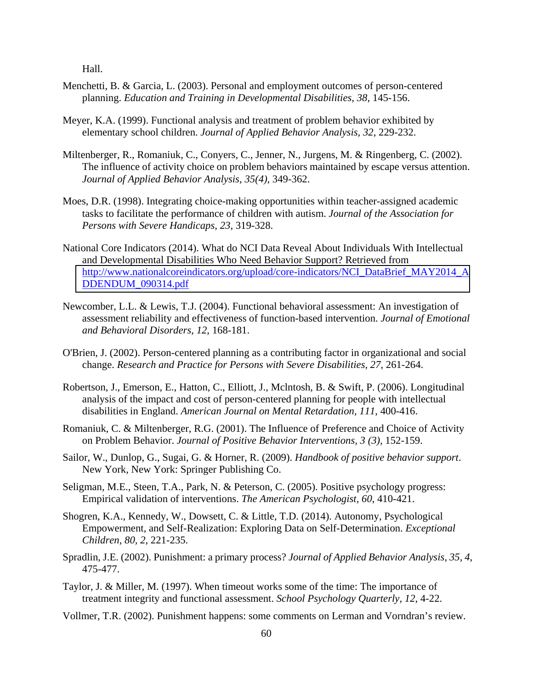Hall.

- Menchetti, B. & Garcia, L. (2003). Personal and employment outcomes of person-centered planning. *Education and Training in Developmental Disabilities, 38*, 145-156.
- Meyer, K.A. (1999). Functional analysis and treatment of problem behavior exhibited by elementary school children. *Journal of Applied Behavior Analysis, 32*, 229-232.
- Miltenberger, R., Romaniuk, C., Conyers, C., Jenner, N., Jurgens, M. & Ringenberg, C. (2002). The influence of activity choice on problem behaviors maintained by escape versus attention. *Journal of Applied Behavior Analysis*, *35(4)*, 349-362.
- Moes, D.R. (1998). Integrating choice-making opportunities within teacher-assigned academic tasks to facilitate the performance of children with autism. *Journal of the Association for Persons with Severe Handicaps, 23*, 319-328.
- National Core Indicators (2014). What do NCI Data Reveal About Individuals With Intellectual and Developmental Disabilities Who Need Behavior Support? Retrieved from [http://www.nationalcoreindicators.org/upload/core-indicators/NCI\\_DataBrief\\_MAY2014\\_A](http://www.nationalcoreindicators.org/upload/core-indicators/NCI_DataBrief_MAY2014_ADDENDUM_090314.pdf)  DDENDUM\_090314.pdf
- Newcomber, L.L. & Lewis, T.J. (2004). Functional behavioral assessment: An investigation of assessment reliability and effectiveness of function-based intervention. *Journal of Emotional and Behavioral Disorders, 12*, 168-181.
- O'Brien, J. (2002). Person-centered planning as a contributing factor in organizational and social change. *Research and Practice for Persons with Severe Disabilities, 27*, 261-264.
- Robertson, J., Emerson, E., Hatton, C., Elliott, J., Mclntosh, B. & Swift, P. (2006). Longitudinal analysis of the impact and cost of person-centered planning for people with intellectual disabilities in England. *American Journal on Mental Retardation, 111*, 400-416.
- Romaniuk, C. & Miltenberger, R.G. (2001). The Influence of Preference and Choice of Activity on Problem Behavior. *Journal of Positive Behavior Interventions, 3 (3),* 152-159.
- Sailor, W., Dunlop, G., Sugai, G. & Horner, R. (2009). *Handbook of positive behavior support*. New York, New York: Springer Publishing Co.
- Seligman, M.E., Steen, T.A., Park, N. & Peterson, C. (2005). Positive psychology progress: Empirical validation of interventions. *The American Psychologist, 60*, 410-421.
- Shogren, K.A., Kennedy, W., Dowsett, C. & Little, T.D. (2014). Autonomy, Psychological Empowerment, and Self-Realization: Exploring Data on Self-Determination. *Exceptional Children, 80, 2*, 221-235.
- Spradlin, J.E. (2002). Punishment: a primary process? *Journal of Applied Behavior Analysis*, *35, 4*, 475-477.
- Taylor, J. & Miller, M. (1997). When timeout works some of the time: The importance of treatment integrity and functional assessment. *School Psychology Quarterly, 12*, 4-22.
- Vollmer, T.R. (2002). Punishment happens: some comments on Lerman and Vorndran's review.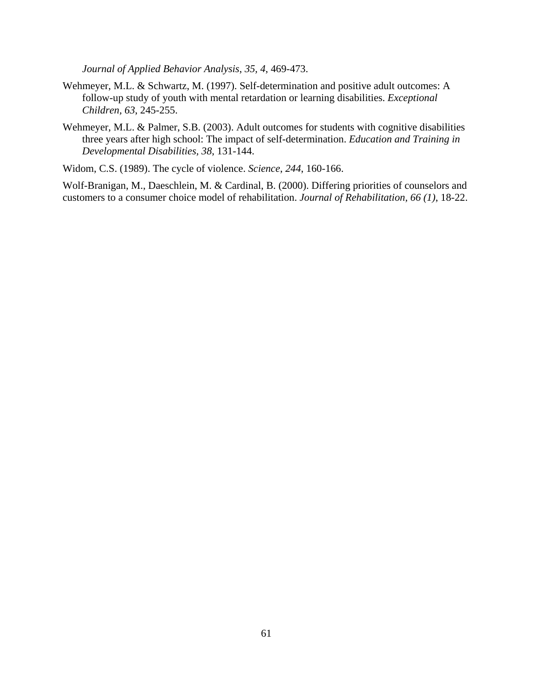*Journal of Applied Behavior Analysis*, *35, 4*, 469-473.

- Wehmeyer, M.L. & Schwartz, M. (1997). Self-determination and positive adult outcomes: A follow-up study of youth with mental retardation or learning disabilities. *Exceptional Children, 63*, 245-255.
- Wehmeyer, M.L. & Palmer, S.B. (2003). Adult outcomes for students with cognitive disabilities three years after high school: The impact of self-determination. *Education and Training in Developmental Disabilities, 38*, 131-144.

Widom, C.S. (1989). The cycle of violence. *Science*, *244*, 160-166.

Wolf-Branigan, M., Daeschlein, M. & Cardinal, B. (2000). Differing priorities of counselors and customers to a consumer choice model of rehabilitation. *Journal of Rehabilitation, 66 (1)*, 18-22.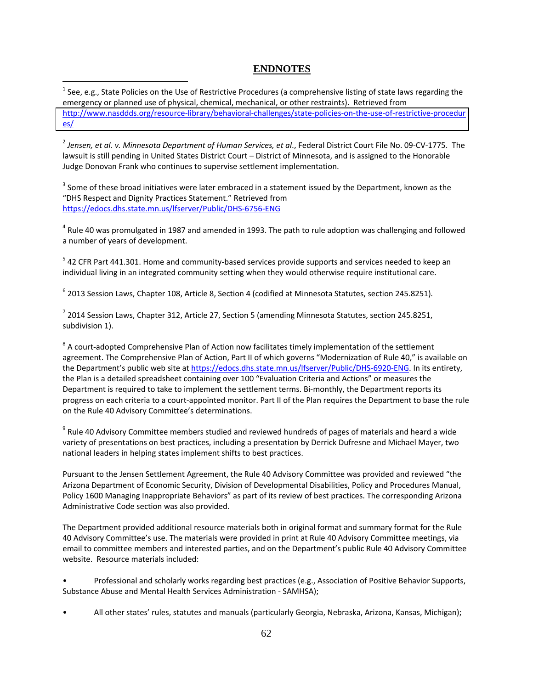# **ENDNOTES**

<sup>1</sup> See, e.g., State Policies on the Use of Restrictive Procedures (a comprehensive listing of state laws regarding the emergency or planned use of physical, chemical, mechanical, or other restraints). Retrieved from [http://www.nasddds.org/resource](http://www.nasddds.org/resource-library/behavioral-challenges/state-policies-on-the-use-of-restrictive-procedures/)‐library/behavioral‐challenges/state‐policies‐on‐the‐use‐of‐restrictive‐procedur es/

 $\overline{a}$ 

 $^2$  Jensen, et al. v. Minnesota Department of Human Services, et al., Federal District Court File No. 09-CV-1775. The lawsuit is still pending in United States District Court – District of Minnesota, and is assigned to the Honorable Judge Donovan Frank who continues to supervise settlement implementation.

 $3$  Some of these broad initiatives were later embraced in a statement issued by the Department, known as the "DHS Respect and Dignity Practices Statement." Retrieved from https://edocs.dhs.state.mn.us/lfserver/Public/DHS‐6756‐ENG

 $^4$  Rule 40 was promulgated in 1987 and amended in 1993. The path to rule adoption was challenging and followed a number of years of development.

 $<sup>5</sup>$  42 CFR Part 441.301. Home and community-based services provide supports and services needed to keep an</sup> individual living in an integrated community setting when they would otherwise require institutional care.

<sup>6</sup> 2013 Session Laws, Chapter 108, Article 8, Section 4 (codified at Minnesota Statutes, section 245.8251)*.*

 $^7$  2014 Session Laws, Chapter 312, Article 27, Section 5 (amending Minnesota Statutes, section 245.8251, subdivision 1).

 $8$  A court-adopted Comprehensive Plan of Action now facilitates timely implementation of the settlement agreement. The Comprehensive Plan of Action, Part II of which governs "Modernization of Rule 40," is available on the Department's public web site at <u>https://edocs.dhs.state.mn.us/lfserver/Public/DHS-6920-ENG</u>. In its entirety, the Plan is a detailed spreadsheet containing over 100 "Evaluation Criteria and Actions" or measures the Department is required to take to implement the settlement terms. Bi‐monthly, the Department reports its progress on each criteria to a court‐appointed monitor. Part II of the Plan requires the Department to base the rule on the Rule 40 Advisory Committee's determinations.

 $^9$  Rule 40 Advisory Committee members studied and reviewed hundreds of pages of materials and heard a wide variety of presentations on best practices, including a presentation by Derrick Dufresne and Michael Mayer, two national leaders in helping states implement shifts to best practices.

 Pursuant to the Jensen Settlement Agreement, the Rule 40 Advisory Committee was provided and reviewed "the Arizona Department of Economic Security, Division of Developmental Disabilities, Policy and Procedures Manual, Policy 1600 Managing Inappropriate Behaviors" as part of its review of best practices. The corresponding Arizona Administrative Code section was also provided.

 The Department provided additional resource materials both in original format and summary format for the Rule 40 Advisory Committee's use. The materials were provided in print at Rule 40 Advisory Committee meetings, via email to committee members and interested parties, and on the Department's public Rule 40 Advisory Committee website. Resource materials included:

 • Professional and scholarly works regarding best practices (e.g., Association of Positive Behavior Supports, Substance Abuse and Mental Health Services Administration ‐ SAMHSA);

• All other states' rules, statutes and manuals (particularly Georgia, Nebraska, Arizona, Kansas, Michigan);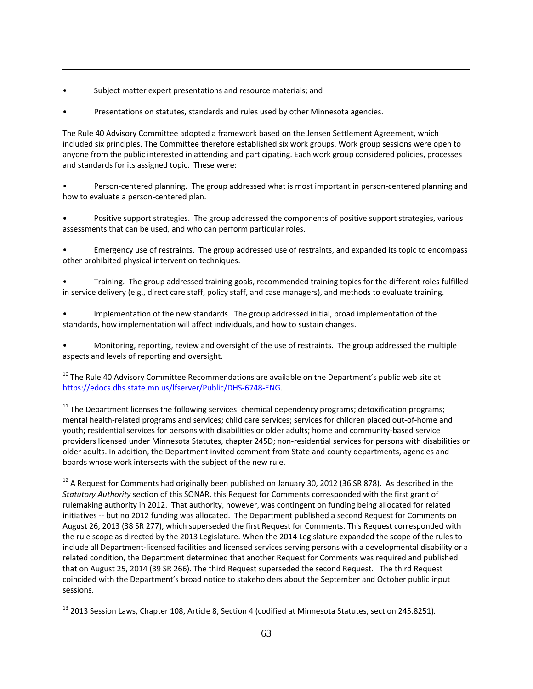• Subject matter expert presentations and resource materials; and

 $\overline{a}$ 

• Presentations on statutes, standards and rules used by other Minnesota agencies.

 The Rule 40 Advisory Committee adopted a framework based on the Jensen Settlement Agreement, which included six principles. The Committee therefore established six work groups. Work group sessions were open to anyone from the public interested in attending and participating. Each work group considered policies, processes and standards for its assigned topic. These were:

• Person-centered planning. The group addressed what is most important in person-centered planning and how to evaluate a person‐centered plan.

 • Positive support strategies. The group addressed the components of positive support strategies, various assessments that can be used, and who can perform particular roles.

 • Emergency use of restraints. The group addressed use of restraints, and expanded its topic to encompass other prohibited physical intervention techniques.

 • Training. The group addressed training goals, recommended training topics for the different roles fulfilled in service delivery (e.g., direct care staff, policy staff, and case managers), and methods to evaluate training.

 • Implementation of the new standards. The group addressed initial, broad implementation of the standards, how implementation will affect individuals, and how to sustain changes.

 • Monitoring, reporting, review and oversight of the use of restraints. The group addressed the multiple aspects and levels of reporting and oversight.

 $^{10}$  The Rule 40 Advisory Committee Recommendations are available on the Department's public web site at https://edocs.dhs.state.mn.us/lfserver/Public/DHS‐6748‐ENG.

 $11$  The Department licenses the following services: chemical dependency programs; detoxification programs; mental health‐related programs and services; child care services; services for children placed out‐of‐home and youth; residential services for persons with disabilities or older adults; home and community‐based service providers licensed under Minnesota Statutes, chapter 245D; non‐residential services for persons with disabilities or older adults. In addition, the Department invited comment from State and county departments, agencies and boards whose work intersects with the subject of the new rule.

 $^{12}$  A Request for Comments had originally been published on January 30, 2012 (36 SR 878). As described in the *Statutory Authority* section of this SONAR, this Request for Comments corresponded with the first grant of rulemaking authority in 2012. That authority, however, was contingent on funding being allocated for related initiatives ‐‐ but no 2012 funding was allocated. The Department published a second Request for Comments on August 26, 2013 (38 SR 277), which superseded the first Request for Comments. This Request corresponded with the rule scope as directed by the 2013 Legislature. When the 2014 Legislature expanded the scope of the rules to include all Department‐licensed facilities and licensed services serving persons with a developmental disability or a related condition, the Department determined that another Request for Comments was required and published that on August 25, 2014 (39 SR 266). The third Request superseded the second Request. The third Request coincided with the Department's broad notice to stakeholders about the September and October public input sessions.

<sup>13</sup> 2013 Session Laws, Chapter 108, Article 8, Section 4 (codified at Minnesota Statutes, section 245.8251)*.*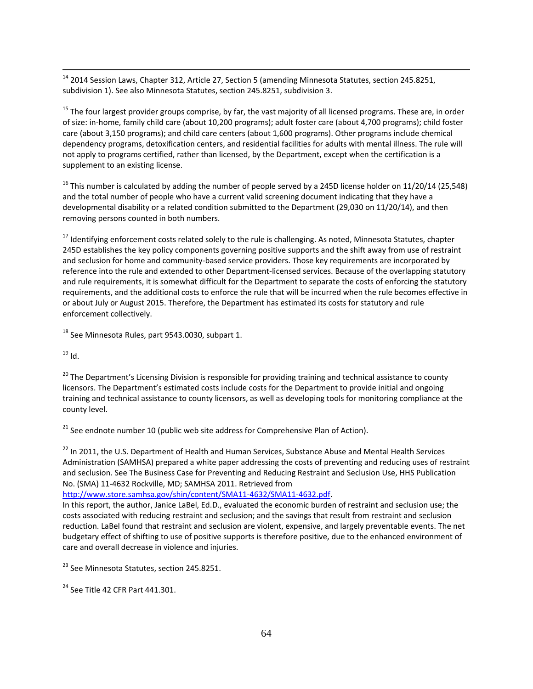$^{14}$  2014 Session Laws, Chapter 312, Article 27, Section 5 (amending Minnesota Statutes, section 245.8251, subdivision 1). See also Minnesota Statutes, section 245.8251, subdivision 3.

<sup>15</sup> The four largest provider groups comprise, by far, the vast majority of all licensed programs. These are, in order of size: in‐home, family child care (about 10,200 programs); adult foster care (about 4,700 programs); child foster care (about 3,150 programs); and child care centers (about 1,600 programs). Other programs include chemical dependency programs, detoxification centers, and residential facilities for adults with mental illness. The rule will not apply to programs certified, rather than licensed, by the Department, except when the certification is a supplement to an existing license.

<sup>16</sup> This number is calculated by adding the number of people served by a 245D license holder on 11/20/14 (25,548) and the total number of people who have a current valid screening document indicating that they have a developmental disability or a related condition submitted to the Department (29,030 on 11/20/14), and then removing persons counted in both numbers.

<sup>17</sup> Identifying enforcement costs related solely to the rule is challenging. As noted, Minnesota Statutes, chapter 245D establishes the key policy components governing positive supports and the shift away from use of restraint and seclusion for home and community‐based service providers. Those key requirements are incorporated by reference into the rule and extended to other Department‐licensed services. Because of the overlapping statutory and rule requirements, it is somewhat difficult for the Department to separate the costs of enforcing the statutory requirements, and the additional costs to enforce the rule that will be incurred when the rule becomes effective in or about July or August 2015. Therefore, the Department has estimated its costs for statutory and rule enforcement collectively.

 $^{18}$  See Minnesota Rules, part 9543.0030, subpart 1.

 $^{19}$  Id.

 $\overline{a}$ 

<sup>20</sup> The Department's Licensing Division is responsible for providing training and technical assistance to county licensors. The Department's estimated costs include costs for the Department to provide initial and ongoing training and technical assistance to county licensors, as well as developing tools for monitoring compliance at the county level.

 $21$  See endnote number 10 (public web site address for Comprehensive Plan of Action).

 $^{22}$  In 2011, the U.S. Department of Health and Human Services, Substance Abuse and Mental Health Services Administration (SAMHSA) prepared a white paper addressing the costs of preventing and reducing uses of restraint and seclusion. See The Business Case for Preventing and Reducing Restraint and Seclusion Use, HHS Publication No. (SMA) 11‐4632 Rockville, MD; SAMHSA 2011. Retrieved from

http://www.store.samhsa.gov/shin/content/SMA11‐4632/SMA11‐4632.pdf.

 In this report, the author, Janice LaBel, Ed.D., evaluated the economic burden of restraint and seclusion use; the costs associated with reducing restraint and seclusion; and the savings that result from restraint and seclusion reduction. LaBel found that restraint and seclusion are violent, expensive, and largely preventable events. The net budgetary effect of shifting to use of positive supports is therefore positive, due to the enhanced environment of care and overall decrease in violence and injuries.

<sup>23</sup> See Minnesota Statutes, section 245.8251.

 $24$  See Title 42 CFR Part 441.301.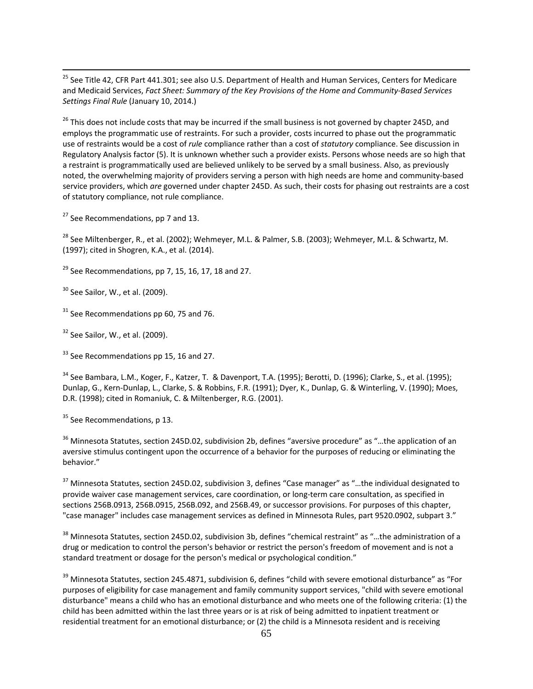<sup>25</sup> See Title 42, CFR Part 441.301; see also U.S. Department of Health and Human Services, Centers for Medicare and Medicaid Services, Fact Sheet: Summary of the Key Provisions of the Home and Community-Based Services  *Settings Final Rule* (January 10, 2014.)

<sup>26</sup> This does not include costs that may be incurred if the small business is not governed by chapter 245D, and employs the programmatic use of restraints. For such a provider, costs incurred to phase out the programmatic use of restraints would be a cost of *rule* compliance rather than a cost of *statutory* compliance. See discussion in Regulatory Analysis factor (5). It is unknown whether such a provider exists. Persons whose needs are so high that a restraint is programmatically used are believed unlikely to be served by a small business. Also, as previously noted, the overwhelming majority of providers serving a person with high needs are home and community‐based service providers, which *are* governed under chapter 245D. As such, their costs for phasing out restraints are a cost of statutory compliance, not rule compliance.

<sup>27</sup> See Recommendations, pp 7 and 13.

<sup>28</sup> See Miltenberger, R., et al. (2002); Wehmeyer, M.L. & Palmer, S.B. (2003); Wehmeyer, M.L. & Schwartz, M. (1997); cited in Shogren, K.A., et al. (2014).

 $^{29}$  See Recommendations, pp 7, 15, 16, 17, 18 and 27.

 $30$  See Sailor, W., et al. (2009).

 $\overline{a}$ 

 $31$  See Recommendations pp 60, 75 and 76.

 $32$  See Sailor, W., et al. (2009).

 $33$  See Recommendations pp 15, 16 and 27.

<sup>34</sup> See Bambara, L.M., Koger, F., Katzer, T. & Davenport, T.A. (1995); Berotti, D. (1996); Clarke, S., et al. (1995); Dunlap, G., Kern‐Dunlap, L., Clarke, S. & Robbins, F.R. (1991); Dyer, K., Dunlap, G. & Winterling, V. (1990); Moes, D.R. (1998); cited in Romaniuk, C. & Miltenberger, R.G. (2001).

<sup>35</sup> See Recommendations, p 13.

 $36$  Minnesota Statutes, section 245D.02, subdivision 2b, defines "aversive procedure" as "...the application of an aversive stimulus contingent upon the occurrence of a behavior for the purposes of reducing or eliminating the behavior."

 provide waiver case management services, care coordination, or long‐term care consultation, as specified in sections 256B.0913, 256B.0915, 256B.092, and 256B.49, or successor provisions. For purposes of this chapter, "case manager" includes case management services as defined in Minnesota Rules, part 9520.0902, subpart 3." <sup>37</sup> Minnesota Statutes, section 245D.02, subdivision 3, defines "Case manager" as "...the individual designated to

 $^{38}$  Minnesota Statutes, section 245D.02, subdivision 3b, defines "chemical restraint" as "...the administration of a drug or medication to control the person's behavior or restrict the person's freedom of movement and is not a standard treatment or dosage for the person's medical or psychological condition."

 $39$  Minnesota Statutes, section 245.4871, subdivision 6, defines "child with severe emotional disturbance" as "For purposes of eligibility for case management and family community support services, "child with severe emotional disturbance" means a child who has an emotional disturbance and who meets one of the following criteria: (1) the child has been admitted within the last three years or is at risk of being admitted to inpatient treatment or residential treatment for an emotional disturbance; or (2) the child is a Minnesota resident and is receiving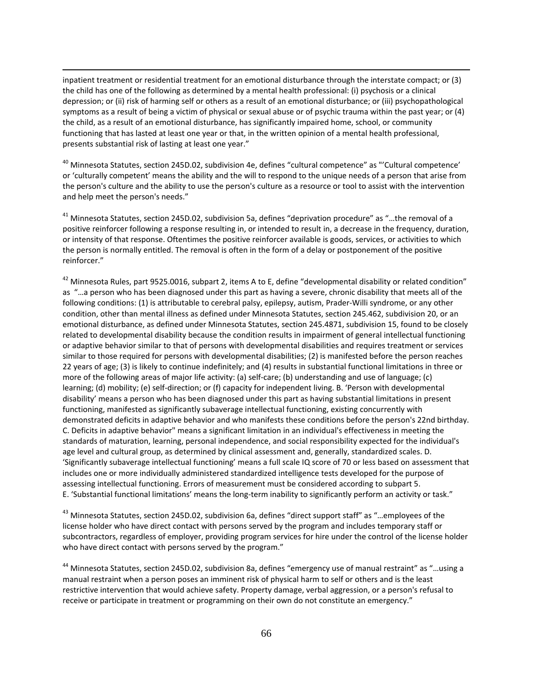inpatient treatment or residential treatment for an emotional disturbance through the interstate compact; or (3) the child has one of the following as determined by a mental health professional: (i) psychosis or a clinical depression; or (ii) risk of harming self or others as a result of an emotional disturbance; or (iii) psychopathological symptoms as a result of being a victim of physical or sexual abuse or of psychic trauma within the past year; or (4) the child, as a result of an emotional disturbance, has significantly impaired home, school, or community functioning that has lasted at least one year or that, in the written opinion of a mental health professional, presents substantial risk of lasting at least one year."

 $\overline{a}$ 

 $^{40}$  Minnesota Statutes, section 245D.02, subdivision 4e, defines "cultural competence" as "'Cultural competence' or 'culturally competent' means the ability and the will to respond to the unique needs of a person that arise from the person's culture and the ability to use the person's culture as a resource or tool to assist with the intervention and help meet the person's needs."

 $^{41}$  Minnesota Statutes, section 245D.02, subdivision 5a, defines "deprivation procedure" as "...the removal of a positive reinforcer following a response resulting in, or intended to result in, a decrease in the frequency, duration, or intensity of that response. Oftentimes the positive reinforcer available is goods, services, or activities to which the person is normally entitled. The removal is often in the form of a delay or postponement of the positive reinforcer."

 $^{42}$  Minnesota Rules, part 9525.0016, subpart 2, items A to E, define "developmental disability or related condition" as "…a person who has been diagnosed under this part as having a severe, chronic disability that meets all of the following conditions: (1) is attributable to cerebral palsy, epilepsy, autism, Prader‐Willi syndrome, or any other condition, other than mental illness as defined under Minnesota Statutes, section 245.462, subdivision 20, or an emotional disturbance, as defined under Minnesota Statutes, section 245.4871, subdivision 15, found to be closely related to developmental disability because the condition results in impairment of general intellectual functioning or adaptive behavior similar to that of persons with developmental disabilities and requires treatment or services similar to those required for persons with developmental disabilities; (2) is manifested before the person reaches 22 years of age; (3) is likely to continue indefinitely; and (4) results in substantial functional limitations in three or more of the following areas of major life activity: (a) self‐care; (b) understanding and use of language; (c) learning; (d) mobility; (e) self‐direction; or (f) capacity for independent living. B. 'Person with developmental disability' means a person who has been diagnosed under this part as having substantial limitations in present functioning, manifested as significantly subaverage intellectual functioning, existing concurrently with demonstrated deficits in adaptive behavior and who manifests these conditions before the person's 22nd birthday. C. Deficits in adaptive behavior" means a significant limitation in an individual's effectiveness in meeting the standards of maturation, learning, personal independence, and social responsibility expected for the individual's age level and cultural group, as determined by clinical assessment and, generally, standardized scales. D. 'Significantly subaverage intellectual functioning' means a full scale IQ score of 70 or less based on assessment that includes one or more individually administered standardized intelligence tests developed for the purpose of assessing intellectual functioning. Errors of measurement must be considered according to subpart 5. E. 'Substantial functional limitations' means the long‐term inability to significantly perform an activity or task."

<sup>43</sup> Minnesota Statutes, section 245D.02, subdivision 6a, defines "direct support staff" as "...employees of the license holder who have direct contact with persons served by the program and includes temporary staff or subcontractors, regardless of employer, providing program services for hire under the control of the license holder who have direct contact with persons served by the program."

<sup>44</sup> Minnesota Statutes, section 245D.02, subdivision 8a, defines "emergency use of manual restraint" as "...using a manual restraint when a person poses an imminent risk of physical harm to self or others and is the least restrictive intervention that would achieve safety. Property damage, verbal aggression, or a person's refusal to receive or participate in treatment or programming on their own do not constitute an emergency."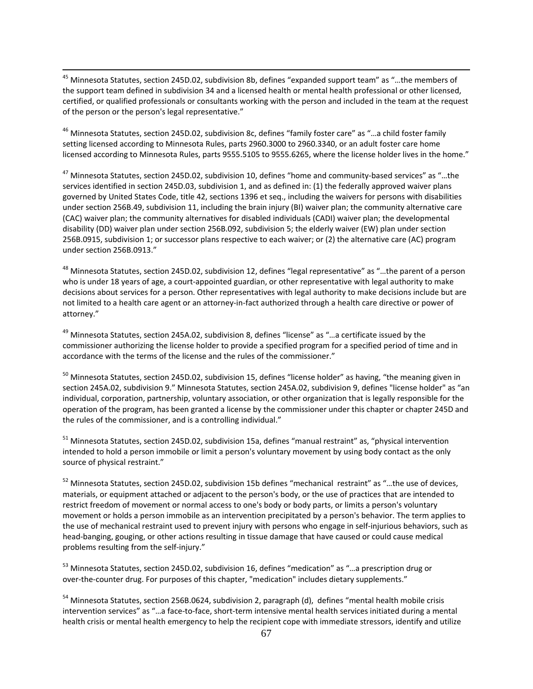<sup>45</sup> Minnesota Statutes, section 245D.02, subdivision 8b, defines "expanded support team" as "...the members of the support team defined in subdivision 34 and a licensed health or mental health professional or other licensed, certified, or qualified professionals or consultants working with the person and included in the team at the request of the person or the person's legal representative."

 $\overline{a}$ 

 $^{46}$  Minnesota Statutes, section 245D.02, subdivision 8c, defines "family foster care" as "...a child foster family setting licensed according to Minnesota Rules, parts 2960.3000 to 2960.3340, or an adult foster care home licensed according to Minnesota Rules, parts 9555.5105 to 9555.6265, where the license holder lives in the home."

 $^{47}$  Minnesota Statutes, section 245D.02, subdivision 10, defines "home and community-based services" as "...the services identified in section 245D.03, subdivision 1, and as defined in: (1) the federally approved waiver plans governed by United States Code, title 42, sections 1396 et seq., including the waivers for persons with disabilities under section 256B.49, subdivision 11, including the brain injury (BI) waiver plan; the community alternative care (CAC) waiver plan; the community alternatives for disabled individuals (CADI) waiver plan; the developmental disability (DD) waiver plan under section 256B.092, subdivision 5; the elderly waiver (EW) plan under section 256B.0915, subdivision 1; or successor plans respective to each waiver; or (2) the alternative care (AC) program under section 256B.0913."

<sup>48</sup> Minnesota Statutes, section 245D.02, subdivision 12, defines "legal representative" as "...the parent of a person who is under 18 years of age, a court‐appointed guardian, or other representative with legal authority to make decisions about services for a person. Other representatives with legal authority to make decisions include but are not limited to a health care agent or an attorney‐in‐fact authorized through a health care directive or power of attorney."

 $^{49}$  Minnesota Statutes, section 245A.02, subdivision 8, defines "license" as "...a certificate issued by the commissioner authorizing the license holder to provide a specified program for a specified period of time and in accordance with the terms of the license and the rules of the commissioner."

 $^{50}$  Minnesota Statutes, section 245D.02, subdivision 15, defines "license holder" as having, "the meaning given in section 245A.02, subdivision 9." Minnesota Statutes, section 245A.02, subdivision 9, defines "license holder" as "an individual, corporation, partnership, voluntary association, or other organization that is legally responsible for the operation of the program, has been granted a license by the commissioner under this chapter or chapter 245D and the rules of the commissioner, and is a controlling individual."

<sup>51</sup> Minnesota Statutes, section 245D.02, subdivision 15a, defines "manual restraint" as, "physical intervention intended to hold a person immobile or limit a person's voluntary movement by using body contact as the only source of physical restraint."

 $52$  Minnesota Statutes, section 245D.02, subdivision 15b defines "mechanical restraint" as "...the use of devices, materials, or equipment attached or adjacent to the person's body, or the use of practices that are intended to restrict freedom of movement or normal access to one's body or body parts, or limits a person's voluntary movement or holds a person immobile as an intervention precipitated by a person's behavior. The term applies to the use of mechanical restraint used to prevent injury with persons who engage in self‐injurious behaviors, such as head‐banging, gouging, or other actions resulting in tissue damage that have caused or could cause medical problems resulting from the self‐injury."

<sup>53</sup> Minnesota Statutes, section 245D.02, subdivision 16, defines "medication" as "...a prescription drug or over‐the‐counter drug. For purposes of this chapter, "medication" includes dietary supplements."

<sup>54</sup> Minnesota Statutes, section 256B.0624, subdivision 2, paragraph (d), defines "mental health mobile crisis intervention services" as "…a face‐to‐face, short‐term intensive mental health services initiated during a mental health crisis or mental health emergency to help the recipient cope with immediate stressors, identify and utilize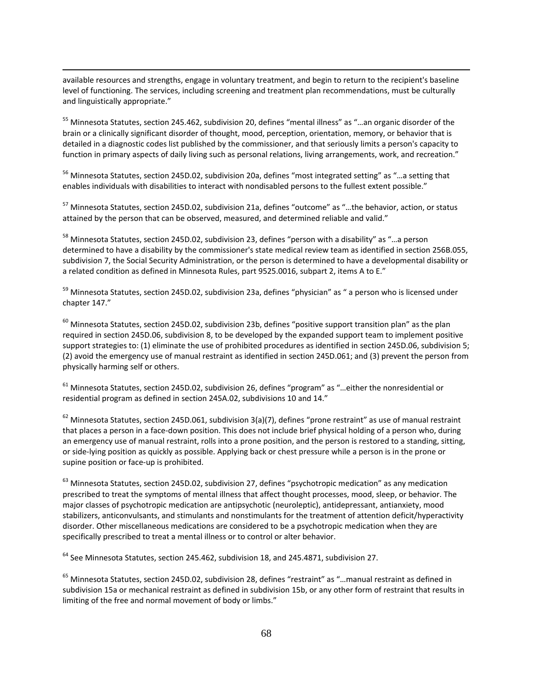available resources and strengths, engage in voluntary treatment, and begin to return to the recipient's baseline level of functioning. The services, including screening and treatment plan recommendations, must be culturally and linguistically appropriate."

 $\overline{a}$ 

<sup>55</sup> Minnesota Statutes, section 245.462, subdivision 20, defines "mental illness" as "...an organic disorder of the brain or a clinically significant disorder of thought, mood, perception, orientation, memory, or behavior that is detailed in a diagnostic codes list published by the commissioner, and that seriously limits a person's capacity to function in primary aspects of daily living such as personal relations, living arrangements, work, and recreation."

<sup>56</sup> Minnesota Statutes, section 245D.02, subdivision 20a, defines "most integrated setting" as "...a setting that enables individuals with disabilities to interact with nondisabled persons to the fullest extent possible."

<sup>57</sup> Minnesota Statutes, section 245D.02, subdivision 21a, defines "outcome" as "...the behavior, action, or status attained by the person that can be observed, measured, and determined reliable and valid."

 $^{58}$  Minnesota Statutes, section 245D.02, subdivision 23, defines "person with a disability" as "...a person determined to have a disability by the commissioner's state medical review team as identified in section 256B.055, subdivision 7, the Social Security Administration, or the person is determined to have a developmental disability or a related condition as defined in Minnesota Rules, part 9525.0016, subpart 2, items A to E."

<sup>59</sup> Minnesota Statutes, section 245D.02, subdivision 23a, defines "physician" as " a person who is licensed under chapter 147."

 $^{60}$  Minnesota Statutes, section 245D.02, subdivision 23b, defines "positive support transition plan" as the plan required in section 245D.06, subdivision 8, to be developed by the expanded support team to implement positive support strategies to: (1) eliminate the use of prohibited procedures as identified in section 245D.06, subdivision 5; (2) avoid the emergency use of manual restraint as identified in section 245D.061; and (3) prevent the person from physically harming self or others.

 $^{61}$  Minnesota Statutes, section 245D.02, subdivision 26, defines "program" as "...either the nonresidential or residential program as defined in section 245A.02, subdivisions 10 and 14."

 $^{62}$  Minnesota Statutes, section 245D.061, subdivision 3(a)(7), defines "prone restraint" as use of manual restraint that places a person in a face‐down position. This does not include brief physical holding of a person who, during an emergency use of manual restraint, rolls into a prone position, and the person is restored to a standing, sitting, or side‐lying position as quickly as possible. Applying back or chest pressure while a person is in the prone or supine position or face‐up is prohibited.

 $^{63}$  Minnesota Statutes, section 245D.02, subdivision 27, defines "psychotropic medication" as any medication prescribed to treat the symptoms of mental illness that affect thought processes, mood, sleep, or behavior. The major classes of psychotropic medication are antipsychotic (neuroleptic), antidepressant, antianxiety, mood stabilizers, anticonvulsants, and stimulants and nonstimulants for the treatment of attention deficit/hyperactivity disorder. Other miscellaneous medications are considered to be a psychotropic medication when they are specifically prescribed to treat a mental illness or to control or alter behavior.

 $^{64}$  See Minnesota Statutes, section 245.462, subdivision 18, and 245.4871, subdivision 27.

 $^{65}$  Minnesota Statutes, section 245D.02, subdivision 28, defines "restraint" as "...manual restraint as defined in subdivision 15a or mechanical restraint as defined in subdivision 15b, or any other form of restraint that results in limiting of the free and normal movement of body or limbs."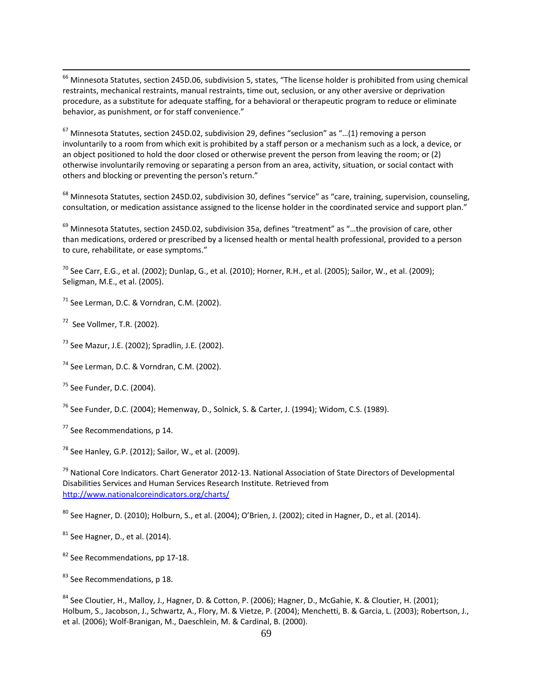$^{66}$  Minnesota Statutes, section 245D.06, subdivision 5, states, "The license holder is prohibited from using chemical restraints, mechanical restraints, manual restraints, time out, seclusion, or any other aversive or deprivation procedure, as a substitute for adequate staffing, for a behavioral or therapeutic program to reduce or eliminate behavior, as punishment, or for staff convenience."

 $^{67}$  Minnesota Statutes, section 245D.02, subdivision 29, defines "seclusion" as "...(1) removing a person involuntarily to a room from which exit is prohibited by a staff person or a mechanism such as a lock, a device, or an object positioned to hold the door closed or otherwise prevent the person from leaving the room; or (2) otherwise involuntarily removing or separating a person from an area, activity, situation, or social contact with others and blocking or preventing the person's return."

 $^{68}$  Minnesota Statutes, section 245D.02, subdivision 30, defines "service" as "care, training, supervision, counseling, consultation, or medication assistance assigned to the license holder in the coordinated service and support plan."

 $^{69}$  Minnesota Statutes, section 245D.02, subdivision 35a, defines "treatment" as "...the provision of care, other than medications, ordered or prescribed by a licensed health or mental health professional, provided to a person to cure, rehabilitate, or ease symptoms."

 $^{70}$  See Carr, E.G., et al. (2002); Dunlap, G., et al. (2010); Horner, R.H., et al. (2005); Sailor, W., et al. (2009); Seligman, M.E., et al. (2005).

 $71$  See Lerman, D.C. & Vorndran, C.M. (2002).

 $72$  See Vollmer, T.R. (2002).

 $\overline{a}$ 

<sup>73</sup> See Mazur, J.E. (2002); Spradlin, J.E. (2002).

<sup>74</sup> See Lerman, D.C. & Vorndran, C.M. (2002).

<sup>75</sup> See Funder, D.C. (2004).

<sup>76</sup> See Funder, D.C. (2004); Hemenway, D., Solnick, S. & Carter, J. (1994); Widom, C.S. (1989).

<sup>77</sup> See Recommendations, p 14.

 $^{78}$  See Hanley, G.P. (2012); Sailor, W., et al. (2009).

<sup>79</sup> National Core Indicators. Chart Generator 2012-13. National Association of State Directors of Developmental Disabilities Services and Human Services Research Institute. Retrieved from http://www.nationalcoreindicators.org/charts/

 $^{80}$  See Hagner, D. (2010); Holburn, S., et al. (2004); O'Brien, J. (2002); cited in Hagner, D., et al. (2014).

 $81$  See Hagner, D., et al. (2014).

82 See Recommendations, pp 17-18.

<sup>&</sup>lt;sup>83</sup> See Recommendations, p 18.

<sup>&</sup>lt;sup>84</sup> See Cloutier, H., Malloy, J., Hagner, D. & Cotton, P. (2006); Hagner, D., McGahie, K. & Cloutier, H. (2001); Holbum, S., Jacobson, J., Schwartz, A., Flory, M. & Vietze, P. (2004); Menchetti, B. & Garcia, L. (2003); Robertson, J., et al. (2006); Wolf‐Branigan, M., Daeschlein, M. & Cardinal, B. (2000).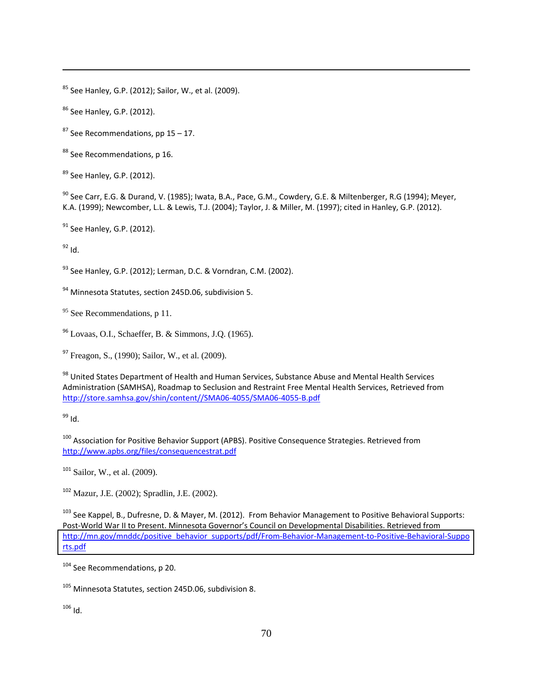$85$  See Hanley, G.P. (2012); Sailor, W., et al. (2009).

<sup>86</sup> See Hanley, G.P. (2012).

 $87$  See Recommendations, pp 15 – 17.

<sup>88</sup> See Recommendations, p 16.

<sup>89</sup> See Hanley, G.P. (2012).

 $^{90}$  See Carr, E.G. & Durand, V. (1985); Iwata, B.A., Pace, G.M., Cowdery, G.E. & Miltenberger, R.G (1994); Meyer, K.A. (1999); Newcomber, L.L. & Lewis, T.J. (2004); Taylor, J. & Miller, M. (1997); cited in Hanley, G.P. (2012).

 $^{91}$  See Hanley, G.P. (2012).

 $^{92}$  Id.

 $\overline{a}$ 

 $^{93}$  See Hanley, G.P. (2012); Lerman, D.C. & Vorndran, C.M. (2002).

 $94$  Minnesota Statutes, section 245D.06, subdivision 5.

 $95$  See Recommendations, p 11.

<sup>96</sup> Lovaas, O.I., Schaeffer, B. & Simmons, J.Q. (1965).

<sup>97</sup> Freagon, S., (1990); Sailor, W., et al. (2009).

 $^{98}$  United States Department of Health and Human Services, Substance Abuse and Mental Health Services Administration (SAMHSA), Roadmap to Seclusion and Restraint Free Mental Health Services, Retrieved from http://store.samhsa.gov/shin/content//SMA06‐4055/SMA06‐4055‐B.pdf

<sup>99</sup> Id.

 $^{100}$  Association for Positive Behavior Support (APBS). Positive Consequence Strategies. Retrieved from http://www.apbs.org/files/consequencestrat.pdf

 $101$  Sailor, W., et al. (2009).

<sup>102</sup> Mazur, J.E. (2002); Spradlin, J.E. (2002).

<sup>103</sup> See Kappel, B., Dufresne, D. & Mayer, M. (2012). From Behavior Management to Positive Behavioral Supports: Post‐World War II to Present. Minnesota Governor's Council on Developmental Disabilities. Retrieved from rts.pdf [http://mn.gov/mnddc/positive\\_behavior\\_supports/pdf/From](http://mn.gov/mnddc/positive_behavior_supports/pdf/From-Behavior-Management-to-Positive-Behavioral-Supports.pdf)‐Behavior‐Management‐to‐Positive‐Behavioral‐Suppo

<sup>104</sup> See Recommendations, p 20.

<sup>105</sup> Minnesota Statutes, section 245D.06, subdivision 8.

 $106$  Id.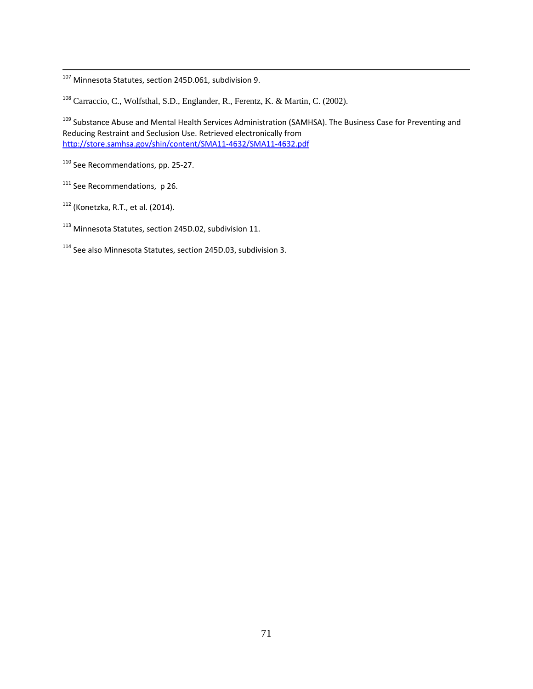<sup>107</sup> Minnesota Statutes, section 245D.061, subdivision 9.

<sup>108</sup> Carraccio, C., Wolfsthal, S.D., Englander, R., Ferentz, K. & Martin, C. (2002).

<sup>109</sup> Substance Abuse and Mental Health Services Administration (SAMHSA). The Business Case for Preventing and Reducing Restraint and Seclusion Use. Retrieved electronically from http://store.samhsa.gov/shin/content/SMA11‐4632/SMA11‐4632.pdf

<sup>110</sup> See Recommendations, pp. 25-27.

<sup>111</sup> See Recommendations, p 26.

 $\overline{a}$ 

 $112$  (Konetzka, R.T., et al. (2014).

 $^{113}$  Minnesota Statutes, section 245D.02, subdivision 11.

 $114$  See also Minnesota Statutes, section 245D.03, subdivision 3.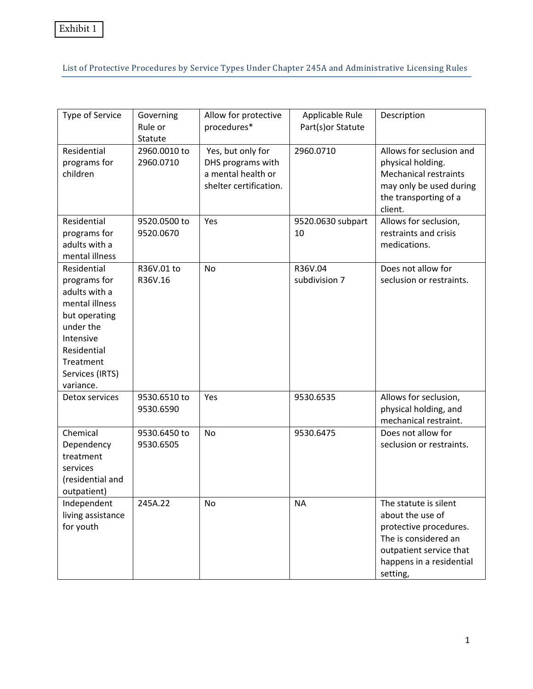List of Protective Procedures by Service Types Under Chapter 245A and Administrative Licensing Rules

| Type of Service                                                                                                                                                       | Governing<br>Rule or<br>Statute | Allow for protective<br>procedures*                                                    | Applicable Rule<br>Part(s) or Statute | Description                                                                                                                                                    |
|-----------------------------------------------------------------------------------------------------------------------------------------------------------------------|---------------------------------|----------------------------------------------------------------------------------------|---------------------------------------|----------------------------------------------------------------------------------------------------------------------------------------------------------------|
| Residential<br>programs for<br>children                                                                                                                               | 2960.0010 to<br>2960.0710       | Yes, but only for<br>DHS programs with<br>a mental health or<br>shelter certification. | 2960.0710                             | Allows for seclusion and<br>physical holding.<br><b>Mechanical restraints</b><br>may only be used during<br>the transporting of a<br>client.                   |
| Residential<br>programs for<br>adults with a<br>mental illness                                                                                                        | 9520.0500 to<br>9520.0670       | Yes                                                                                    | 9520.0630 subpart<br>10               | Allows for seclusion,<br>restraints and crisis<br>medications.                                                                                                 |
| Residential<br>programs for<br>adults with a<br>mental illness<br>but operating<br>under the<br>Intensive<br>Residential<br>Treatment<br>Services (IRTS)<br>variance. | R36V.01 to<br>R36V.16           | <b>No</b>                                                                              | R36V.04<br>subdivision 7              | Does not allow for<br>seclusion or restraints.                                                                                                                 |
| Detox services                                                                                                                                                        | 9530.6510 to<br>9530.6590       | Yes                                                                                    | 9530.6535                             | Allows for seclusion,<br>physical holding, and<br>mechanical restraint.                                                                                        |
| Chemical<br>Dependency<br>treatment<br>services<br>(residential and<br>outpatient)                                                                                    | 9530.6450 to<br>9530.6505       | <b>No</b>                                                                              | 9530.6475                             | Does not allow for<br>seclusion or restraints.                                                                                                                 |
| Independent<br>living assistance<br>for youth                                                                                                                         | 245A.22                         | No                                                                                     | <b>NA</b>                             | The statute is silent<br>about the use of<br>protective procedures.<br>The is considered an<br>outpatient service that<br>happens in a residential<br>setting, |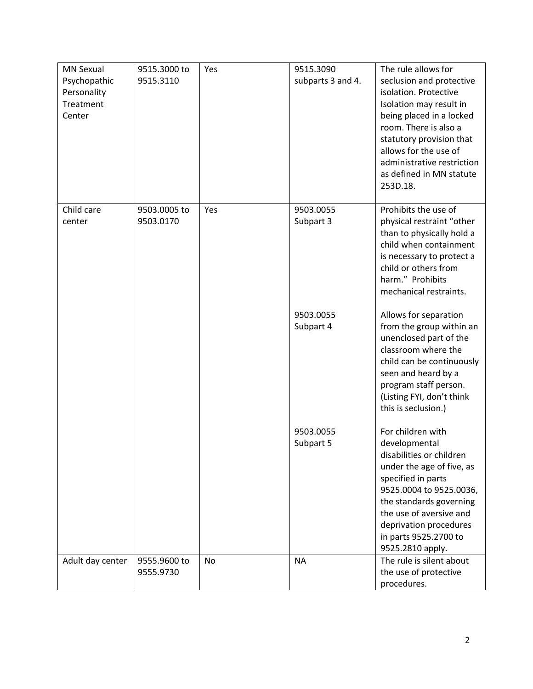| <b>MN Sexual</b><br>Psychopathic<br>Personality<br>Treatment<br>Center | 9515.3000 to<br>9515.3110 | Yes       | 9515.3090<br>subparts 3 and 4. | The rule allows for<br>seclusion and protective<br>isolation. Protective<br>Isolation may result in<br>being placed in a locked<br>room. There is also a<br>statutory provision that<br>allows for the use of<br>administrative restriction<br>as defined in MN statute<br>253D.18. |
|------------------------------------------------------------------------|---------------------------|-----------|--------------------------------|-------------------------------------------------------------------------------------------------------------------------------------------------------------------------------------------------------------------------------------------------------------------------------------|
| Child care<br>center                                                   | 9503.0005 to<br>9503.0170 | Yes       | 9503.0055<br>Subpart 3         | Prohibits the use of<br>physical restraint "other<br>than to physically hold a<br>child when containment<br>is necessary to protect a<br>child or others from<br>harm." Prohibits<br>mechanical restraints.                                                                         |
|                                                                        |                           |           | 9503.0055<br>Subpart 4         | Allows for separation<br>from the group within an<br>unenclosed part of the<br>classroom where the<br>child can be continuously<br>seen and heard by a<br>program staff person.<br>(Listing FYI, don't think<br>this is seclusion.)                                                 |
|                                                                        |                           |           | 9503.0055<br>Subpart 5         | For children with<br>developmental<br>disabilities or children<br>under the age of five, as<br>specified in parts<br>9525.0004 to 9525.0036,<br>the standards governing<br>the use of aversive and<br>deprivation procedures<br>in parts 9525.2700 to<br>9525.2810 apply.           |
| Adult day center                                                       | 9555.9600 to<br>9555.9730 | <b>No</b> | <b>NA</b>                      | The rule is silent about<br>the use of protective<br>procedures.                                                                                                                                                                                                                    |